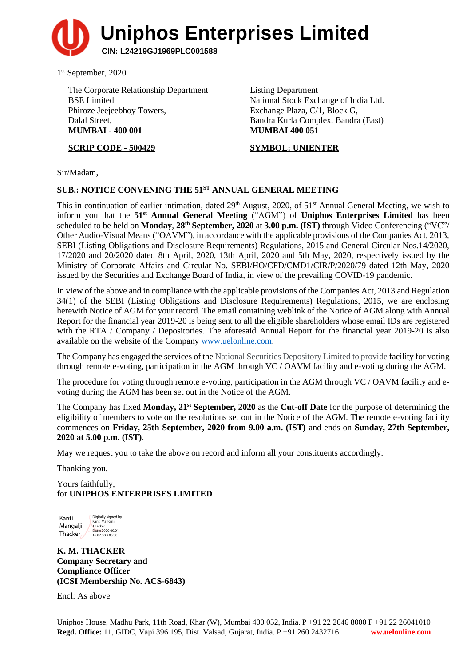**Uniphos Enterprises Limited**

**CIN: L24219GJ1969PLC001588**

1 st September, 2020

| The Corporate Relationship Department | <b>Listing Department</b>             |
|---------------------------------------|---------------------------------------|
| <b>BSE</b> Limited                    | National Stock Exchange of India Ltd. |
| Phiroze Jeejeebhoy Towers,            | Exchange Plaza, C/1, Block G,         |
| Dalal Street,                         | Bandra Kurla Complex, Bandra (East)   |
| <b>MUMBAI - 400 001</b>               | <b>MUMBAI 400 051</b>                 |
| <b>SCRIP CODE - 500429</b>            | <b>SYMBOL: UNIENTER</b>               |

Sir/Madam,

# **SUB.: NOTICE CONVENING THE 51 ST ANNUAL GENERAL MEETING**

This in continuation of earlier intimation, dated 29<sup>th</sup> August, 2020, of 51<sup>st</sup> Annual General Meeting, we wish to inform you that the **51st Annual General Meeting** ("AGM") of **Uniphos Enterprises Limited** has been scheduled to be held on **Monday**, **28th September, 2020** at **3.00 p.m. (IST)** through Video Conferencing ("VC"/ Other Audio-Visual Means("OAVM"), in accordance with the applicable provisions of the Companies Act, 2013, SEBI (Listing Obligations and Disclosure Requirements) Regulations, 2015 and General Circular Nos.14/2020, 17/2020 and 20/2020 dated 8th April, 2020, 13th April, 2020 and 5th May, 2020, respectively issued by the Ministry of Corporate Affairs and Circular No. SEBI/HO/CFD/CMD1/CIR/P/2020/79 dated 12th May, 2020 issued by the Securities and Exchange Board of India, in view of the prevailing COVID-19 pandemic.

In view of the above and in compliance with the applicable provisions of the Companies Act, 2013 and Regulation 34(1) of the SEBI (Listing Obligations and Disclosure Requirements) Regulations, 2015, we are enclosing herewith Notice of AGM for your record. The email containing weblink of the Notice of AGM along with Annual Report for the financial year 2019-20 is being sent to all the eligible shareholders whose email IDs are registered with the RTA / Company / Depositories. The aforesaid Annual Report for the financial year 2019-20 is also available on the website of the Company [www.uelonline.com.](http://www.uelonline.com/)

The Company has engaged the services of the National Securities Depository Limited to provide facility for voting through remote e-voting, participation in the AGM through VC / OAVM facility and e-voting during the AGM.

The procedure for voting through remote e-voting, participation in the AGM through VC / OAVM facility and evoting during the AGM has been set out in the Notice of the AGM.

The Company has fixed **Monday, 21st September, 2020** as the **Cut-off Date** for the purpose of determining the eligibility of members to vote on the resolutions set out in the Notice of the AGM. The remote e-voting facility commences on **Friday, 25th September, 2020 from 9.00 a.m. (IST)** and ends on **Sunday, 27th September, 2020 at 5.00 p.m. (IST)**.

May we request you to take the above on record and inform all your constituents accordingly.

Thanking you,

Yours faithfully, for **UNIPHOS ENTERPRISES LIMITED**

Kanti Mangalji Thacker Digitally signed by Kanti Mangalji Thacker Date: 2020.09.01 16:07:38 +05'30'

**K. M. THACKER Company Secretary and Compliance Officer (ICSI Membership No. ACS-6843)**

Encl: As above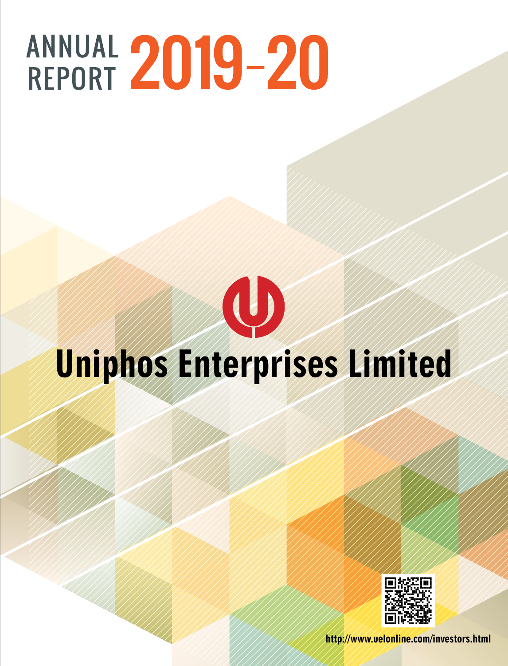# ANNUAL 2019-20

# $\bigcirc$ **Uniphos Enterprises Limited**  Uniphos Enterprises Limited

The Members,

Financial Results

section 188(1) of the Companies Act,2013)

**PARTICULARS OF LOANS,GUARANTEES, INVESTMENTS** 

**Corporate Overview Statutory Reports Financial Statements**

**UNDER SECTION 186**

recommend a dividend at the rate of `2 per equity share, i.e. 20% of the paid up Equity Share Capital for the year ended  $\frac{1}{2}$ 

During the year under review, your Company neitheraccepted any deposits nor there were any amounts outstanding at the **DIRECTORS' REPORT**



Company, together with the Audited Financial Statements for the year ended March 31, 2019.

Your Directors have pleasure in presenting the Twenty First Annual Report of the Company on the business and operations of the

The Company's performance during the financial year ended March 31, 2019 as compared to the previous financial year is summarized

Other income 12,962.52 10,911.85 12,962.52 10,911.85

AMAMAMAMANI /// http://www.uelonline.com/investors.html related parties entered during the year under review.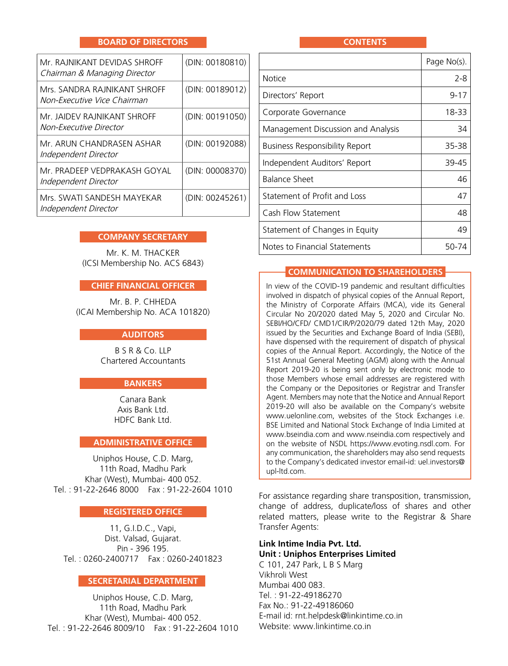#### **BOARD OF DIRECTORS**

| Mr. RAINIKANT DEVIDAS SHROFF<br>Chairman & Managing Director | (DIN: 00180810) |
|--------------------------------------------------------------|-----------------|
| Mrs. SANDRA RAINIKANT SHROFF<br>Non-Executive Vice Chairman  | (DIN: 00189012) |
| Mr. JAIDEV RAJNIKANT SHROFF<br>Non-Executive Director        | (DIN: 00191050) |
| Mr. ARUN CHANDRASEN ASHAR<br>Independent Director            | (DIN: 00192088) |
| Mr. PRADEEP VEDPRAKASH GOYAL<br>Independent Director         | (DIN: 00008370) |
| Mrs. SWATI SANDESH MAYEKAR<br>Independent Director           | (DIN: 00245261) |

#### **COMPANY SECRETARY**

Mr. K. M. THACKER (ICSI Membership No. ACS 6843)

#### **CHIEF FINANCIAL OFFICER**

Mr. B. P. CHHEDA (ICAI Membership No. ACA 101820)

#### **AUDITORS**

B S R & Co. LLP Chartered Accountants

#### **BANKERS**

Canara Bank Axis Bank Ltd. HDFC Bank Ltd.

#### **ADMINISTRATIVE OFFICE**

Uniphos House, C.D. Marg, 11th Road, Madhu Park Khar (West), Mumbai- 400 052. Tel. : 91-22-2646 8000 Fax : 91-22-2604 1010

#### **REGISTERED OFFICE**

11, G.I.D.C., Vapi, Dist. Valsad, Gujarat. Pin - 396 195. Tel. : 0260-2400717 Fax : 0260-2401823

#### **SECRETARIAL DEPARTMENT**

Uniphos House, C.D. Marg, 11th Road, Madhu Park Khar (West), Mumbai- 400 052. Tel. : 91-22-2646 8009/10 Fax : 91-22-2604 1010

#### **CONTENTS**

|                                    | Page No(s). |
|------------------------------------|-------------|
| <b>Notice</b>                      | 2-8         |
| Directors' Report                  | 9-17        |
| Corporate Governance               | 18-33       |
| Management Discussion and Analysis | 34          |
| Business Responsibility Report     | 35-38       |
| Independent Auditors' Report       | 39-45       |
| Balance Sheet                      | 46          |
| Statement of Profit and Loss       | 47          |
| Cash Flow Statement                | 48          |
| Statement of Changes in Equity     | 49          |
| Notes to Financial Statements      | 50-7        |

#### **Communication to Shareholders**

In view of the COVID-19 pandemic and resultant difficulties involved in dispatch of physical copies of the Annual Report, the Ministry of Corporate Affairs (MCA), vide its General Circular No 20/2020 dated May 5, 2020 and Circular No. SEBI/HO/CFD/ CMD1/CIR/P/2020/79 dated 12th May, 2020 issued by the Securities and Exchange Board of India (SEBI), have dispensed with the requirement of dispatch of physical copies of the Annual Report. Accordingly, the Notice of the 51st Annual General Meeting (AGM) along with the Annual Report 2019-20 is being sent only by electronic mode to those Members whose email addresses are registered with the Company or the Depositories or Registrar and Transfer Agent. Members may note that the Notice and Annual Report 2019-20 will also be available on the Company's website [www.uelonline.com,](www.uelonline.com) websites of the Stock Exchanges i.e. BSE Limited and National Stock Exchange of India Limited at <www.bseindia.com> and <www.nseindia.com>respectively and on the website of NSDL [https://www.evoting.nsdl.com.](https://www.evoting.nsdl.com) For any communication, the shareholders may also send requests to the Company's dedicated investor email-id: [uel.investors@](mailto:uel.investors@upl-ltd.com) [upl-ltd.com](mailto:uel.investors@upl-ltd.com).

For assistance regarding share transposition, transmission, change of address, duplicate/loss of shares and other related matters, please write to the Registrar & Share Transfer Agents:

#### **Link Intime India Pvt. Ltd. Unit : Uniphos Enterprises Limited**

C 101, 247 Park, L B S Marg Vikhroli West Mumbai 400 083. Tel. : 91-22-49186270 Fax No.: 91-22-49186060 E-mail id: [rnt.helpdesk@linkintime.co.in](mailto:rnt.helpdesk@linkintime.co.in) Website:<www.linkintime.co.in>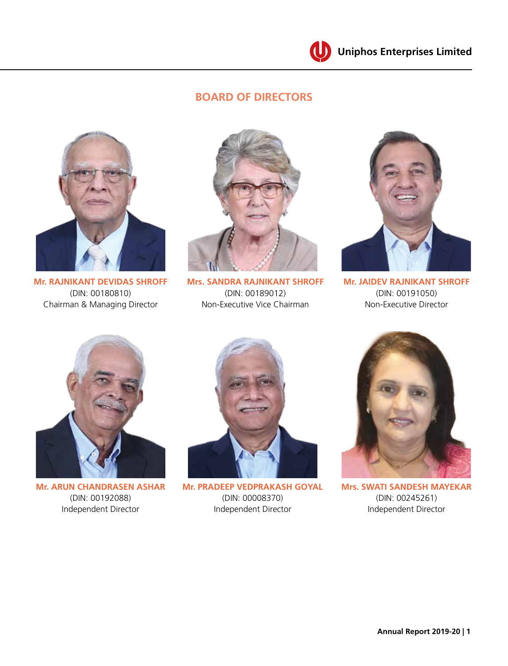

# **BOARD OF DIRECTORS**



**Mr. RAJNIKANT DEVIDAS SHROFF** (DIN: 00180810) Chairman & Managing Director



**Mrs. SANDRA RAJNIKANT SHROFF** (DIN: 00189012) Non-Executive Vice Chairman



**Mr. JAIDEV RAJNIKANT SHROFF**  (DIN: 00191050) Non-Executive Director



**Mr. ARUN CHANDRASEN ASHAR**  (DIN: 00192088) Independent Director



**Mr. PRADEEP VEDPRAKASH GOYAL**  (DIN: 00008370) Independent Director



**Mrs. SWATI SANDESH MAYEKAR**  (DIN: 00245261) Independent Director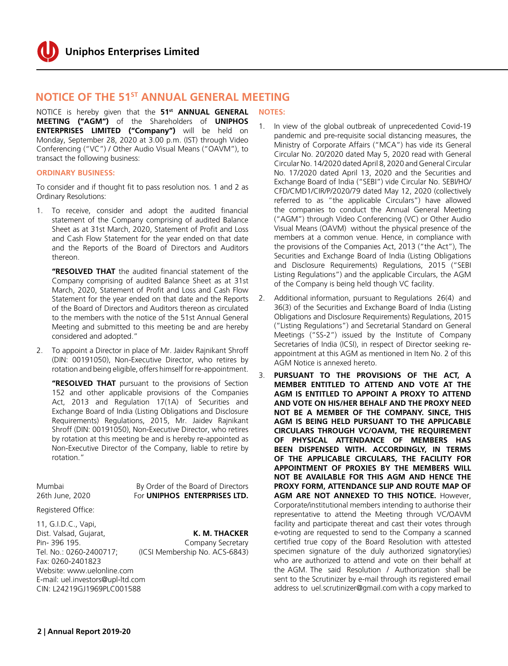# **NOTICE OF THE 51<sup>ST</sup> ANNUAL GENERAL MEETING**

NOTICE is hereby given that the **51st ANNUAL GENERAL MEETING ("AGM")** of the Shareholders of **UNIPHOS ENTERPRISES LIMITED ("Company")** will be held on Monday, September 28, 2020 at 3.00 p.m. (IST) through Video Conferencing ("VC") / Other Audio Visual Means ("OAVM"), to transact the following business:

#### **ORDINARY BUSINESS:**

To consider and if thought fit to pass resolution nos. 1 and 2 as Ordinary Resolutions:

1. To receive, consider and adopt the audited financial statement of the Company comprising of audited Balance Sheet as at 31st March, 2020, Statement of Profit and Loss and Cash Flow Statement for the year ended on that date and the Reports of the Board of Directors and Auditors thereon.

**"RESOLVED THAT** the audited financial statement of the Company comprising of audited Balance Sheet as at 31st March, 2020, Statement of Profit and Loss and Cash Flow Statement for the year ended on that date and the Reports of the Board of Directors and Auditors thereon as circulated to the members with the notice of the 51st Annual General Meeting and submitted to this meeting be and are hereby considered and adopted."

2. To appoint a Director in place of Mr. Jaidev Rajnikant Shroff (DIN: 00191050), Non-Executive Director, who retires by rotation and being eligible, offers himself for re-appointment.

**"RESOLVED THAT** pursuant to the provisions of Section 152 and other applicable provisions of the Companies Act, 2013 and Regulation 17(1A) of Securities and Exchange Board of India (Listing Obligations and Disclosure Requirements) Regulations, 2015, Mr. Jaidev Rajnikant Shroff (DIN: 00191050), Non-Executive Director, who retires by rotation at this meeting be and is hereby re-appointed as Non-Executive Director of the Company, liable to retire by rotation."

Mumbai By Order of the Board of Directors 26th June, 2020 For **UNIPHOS ENTERPRISES LTD.**

#### Registered Office:

11, G.I.D.C., Vapi, Dist. Valsad, Gujarat, **K. M. THACKER** Pin- 396 195. Company Secretary Tel. No.: 0260-2400717; (ICSI Membership No. ACS-6843) Fax: 0260-2401823 Website: www.uelonline.com E-mail: [uel.investors@upl-ltd.com](mailto:uel.investors@upl-ltd.com) CIN: L24219GJ1969PLC001588

#### **NOTES:**

- 1. In view of the global outbreak of unprecedented Covid-19 pandemic and pre-requisite social distancing measures, the Ministry of Corporate Affairs ("MCA") has vide its General Circular No. 20/2020 dated May 5, 2020 read with General Circular No. 14/2020 dated April 8, 2020 and General Circular No. 17/2020 dated April 13, 2020 and the Securities and Exchange Board of India ("SEBI") vide Circular No. SEBI/HO/ CFD/CMD1/CIR/P/2020/79 dated May 12, 2020 (collectively referred to as "the applicable Circulars") have allowed the companies to conduct the Annual General Meeting ("AGM") through Video Conferencing (VC) or Other Audio Visual Means (OAVM) without the physical presence of the members at a common venue. Hence, in compliance with the provisions of the Companies Act, 2013 ("the Act"), The Securities and Exchange Board of India (Listing Obligations and Disclosure Requirements) Regulations, 2015 ("SEBI Listing Regulations") and the applicable Circulars, the AGM of the Company is being held though VC facility.
- 2. Additional information, pursuant to Regulations 26(4) and 36(3) of the Securities and Exchange Board of India (Listing Obligations and Disclosure Requirements) Regulations, 2015 ("Listing Regulations") and Secretarial Standard on General Meetings ("SS-2") issued by the Institute of Company Secretaries of India (ICSI), in respect of Director seeking reappointment at this AGM as mentioned in Item No. 2 of this AGM Notice is annexed hereto.
- 3. **PURSUANT TO THE PROVISIONS OF THE ACT, A MEMBER ENTITLED TO ATTEND AND VOTE AT THE AGM IS ENTITLED TO APPOINT A PROXY TO ATTEND AND VOTE ON HIS/HER BEHALF AND THE PROXY NEED NOT BE A MEMBER OF THE COMPANY. SINCE, THIS AGM IS BEING HELD PURSUANT TO THE APPLICABLE CIRCULARS THROUGH VC/OAVM, THE REQUIREMENT OF PHYSICAL ATTENDANCE OF MEMBERS HAS BEEN DISPENSED WITH. ACCORDINGLY, IN TERMS OF THE APPLICABLE CIRCULARS, THE FACILITY FOR APPOINTMENT OF PROXIES BY THE MEMBERS WILL NOT BE AVAILABLE FOR THIS AGM AND HENCE THE PROXY FORM, ATTENDANCE SLIP AND ROUTE MAP OF AGM ARE NOT ANNEXED TO THIS NOTICE.** However, Corporate/institutional members intending to authorise their representative to attend the Meeting through VC/OAVM facility and participate thereat and cast their votes through e-voting are requested to send to the Company a scanned certified true copy of the Board Resolution with attested specimen signature of the duly authorized signatory(ies) who are authorized to attend and vote on their behalf at the AGM. The said Resolution / Authorization shall be sent to the Scrutinizer by e-mail through its registered email address to [uel.scrutinizer@gmail.com](mailto:uel.scrutinizer@gmail.com) with a copy marked to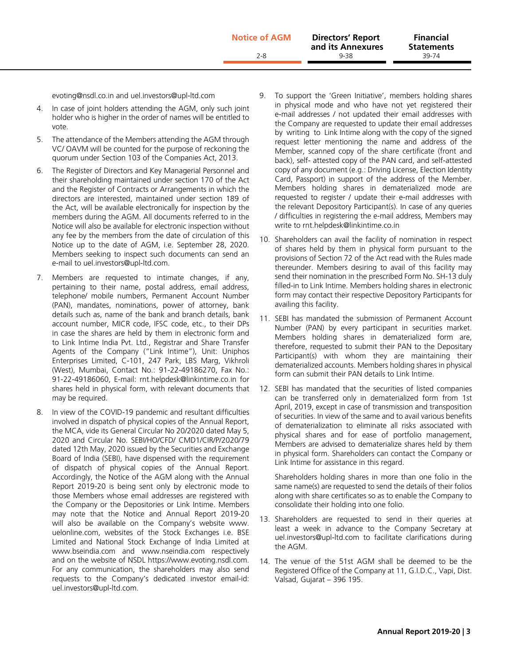[evoting@nsdl.co.in a](mailto:evoting@nsdl.co.in)nd [uel.investors@upl-ltd.com](mailto:uel.investors@upl-ltd.com)

- 4. In case of joint holders attending the AGM, only such joint holder who is higher in the order of names will be entitled to vote.
- 5. The attendance of the Members attending the AGM through VC/ OAVM will be counted for the purpose of reckoning the quorum under Section 103 of the Companies Act, 2013.
- 6. The Register of Directors and Key Managerial Personnel and their shareholding maintained under section 170 of the Act and the Register of Contracts or Arrangements in which the directors are interested, maintained under section 189 of the Act, will be available electronically for inspection by the members during the AGM. All documents referred to in the Notice will also be available for electronic inspection without any fee by the members from the date of circulation of this Notice up to the date of AGM, i.e. September 28, 2020. Members seeking to inspect such documents can send an e-mail to uel.investors@upl-ltd.com.
- 7. Members are requested to intimate changes, if any, pertaining to their name, postal address, email address, telephone/ mobile numbers, Permanent Account Number (PAN), mandates, nominations, power of attorney, bank details such as, name of the bank and branch details, bank account number, MICR code, IFSC code, etc., to their DPs in case the shares are held by them in electronic form and to Link Intime India Pvt. Ltd., Registrar and Share Transfer Agents of the Company ("Link Intime"), Unit: Uniphos Enterprises Limited, C-101, 247 Park, LBS Marg, Vikhroli (West), Mumbai, Contact No.: 91-22-49186270, Fax No.: 91-22-49186060, E-mail: [rnt.helpdesk@linkintime.co.in](mailto:rnt.helpdesk@linkintime.co.in) for shares held in physical form, with relevant documents that may be required.
- 8. In view of the COVID-19 pandemic and resultant difficulties involved in dispatch of physical copies of the Annual Report, the MCA, vide its General Circular No 20/2020 dated May 5, 2020 and Circular No. SEBI/HO/CFD/ CMD1/CIR/P/2020/79 dated 12th May, 2020 issued by the Securities and Exchange Board of India (SEBI), have dispensed with the requirement of dispatch of physical copies of the Annual Report. Accordingly, the Notice of the AGM along with the Annual Report 2019-20 is being sent only by electronic mode to those Members whose email addresses are registered with the Company or the Depositories or Link Intime. Members may note that the Notice and Annual Report 2019-20 will also be available on the Company's website [www.](http://www.uelonline.com) [uelonline.com](http://www.uelonline.com), websites of the Stock Exchanges i.e. BSE Limited and National Stock Exchange of India Limited at [www.bseindia.com](http://www.bseindia.com) and [www.nseindia.com](http://www.nseindia.com) respectively and on the website of NSDL <https://www.evoting.nsdl.com>. For any communication, the shareholders may also send requests to the Company's dedicated investor email-id: [uel.investors@upl-ltd.com.](mailto:uel.investors@upl-ltd.com)
- 9. To support the 'Green Initiative', members holding shares in physical mode and who have not yet registered their e-mail addresses / not updated their email addresses with the Company are requested to update their email addresses by writing to Link Intime along with the copy of the signed request letter mentioning the name and address of the Member, scanned copy of the share certificate (front and back), self- attested copy of the PAN card, and self-attested copy of any document (e.g.: Driving License, Election Identity Card, Passport) in support of the address of the Member. Members holding shares in dematerialized mode are requested to register / update their e-mail addresses with the relevant Depository Participant(s). In case of any queries / difficulties in registering the e-mail address, Members may write t[o](mailto:gavl.secretarial@godrejagrovet.com) [rnt.helpdesk@linkintime.co.in](mailto:rnt.helpdesk@linkintime.co.in)
- 10. Shareholders can avail the facility of nomination in respect of shares held by them in physical form pursuant to the provisions of Section 72 of the Act read with the Rules made thereunder. Members desiring to avail of this facility may send their nomination in the prescribed Form No. SH-13 duly filled-in to Link Intime. Members holding shares in electronic form may contact their respective Depository Participants for availing this facility.
- 11. SEBI has mandated the submission of Permanent Account Number (PAN) by every participant in securities market. Members holding shares in dematerialized form are, therefore, requested to submit their PAN to the Depositary Participant(s) with whom they are maintaining their dematerialized accounts. Members holding shares in physical form can submit their PAN details to Link Intime.
- 12. SEBI has mandated that the securities of listed companies can be transferred only in dematerialized form from 1st April, 2019, except in case of transmission and transposition of securities. In view of the same and to avail various benefits of dematerialization to eliminate all risks associated with physical shares and for ease of portfolio management, Members are advised to dematerialize shares held by them in physical form. Shareholders can contact the Company or Link Intime for assistance in this regard.

Shareholders holding shares in more than one folio in the same name(s) are requested to send the details of their folios along with share certificates so as to enable the Company to consolidate their holding into one folio.

- 13. Shareholders are requested to send in their queries at least a week in advance to the Company Secretary at uel.investors@upl-ltd.com to facilitate clarifications during the AGM.
- 14. The venue of the 51st AGM shall be deemed to be the Registered Office of the Company at 11, G.I.D.C., Vapi, Dist. Valsad, Gujarat – 396 195.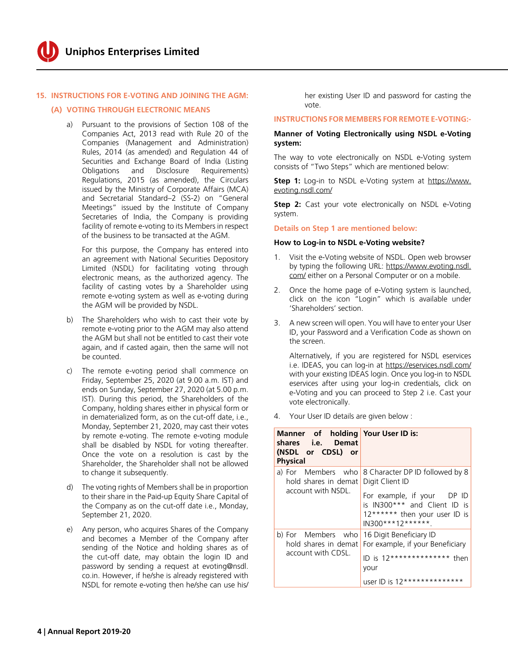#### **15. INSTRUCTIONS FOR E-VOTING AND JOINING THE AGM:**

#### **(A) VOTING THROUGH ELECTRONIC MEANS**

 a) Pursuant to the provisions of Section 108 of the Companies Act, 2013 read with Rule 20 of the Companies (Management and Administration) Rules, 2014 (as amended) and Regulation 44 of Securities and Exchange Board of India (Listing Obligations and Disclosure Requirements) Regulations, 2015 (as amended), the Circulars issued by the Ministry of Corporate Affairs (MCA) and Secretarial Standard–2 (SS-2) on "General Meetings" issued by the Institute of Company Secretaries of India, the Company is providing facility of remote e-voting to its Members in respect of the business to be transacted at the AGM.

 For this purpose, the Company has entered into an agreement with National Securities Depository Limited (NSDL) for facilitating voting through electronic means, as the authorized agency. The facility of casting votes by a Shareholder using remote e-voting system as well as e-voting during the AGM will be provided by NSDL.

- b) The Shareholders who wish to cast their vote by remote e-voting prior to the AGM may also attend the AGM but shall not be entitled to cast their vote again, and if casted again, then the same will not be counted.
- c) The remote e-voting period shall commence on Friday, September 25, 2020 (at 9.00 a.m. IST) and ends on Sunday, September 27, 2020 (at 5.00 p.m. IST). During this period, the Shareholders of the Company, holding shares either in physical form or in dematerialized form, as on the cut-off date, i.e., Monday, September 21, 2020, may cast their votes by remote e-voting. The remote e-voting module shall be disabled by NSDL for voting thereafter. Once the vote on a resolution is cast by the Shareholder, the Shareholder shall not be allowed to change it subsequently.
- d) The voting rights of Members shall be in proportion to their share in the Paid-up Equity Share Capital of the Company as on the cut-off date i.e., Monday, September 21, 2020.
- e) Any person, who acquires Shares of the Company and becomes a Member of the Company after sending of the Notice and holding shares as of the cut-off date, may obtain the login ID and password by sending a request at evoting@nsdl. co.in. However, if he/she is already registered with NSDL for remote e-voting then he/she can use his/

her existing User ID and password for casting the vote.

#### **INSTRUCTIONS FOR MEMBERS FOR REMOTE E-VOTING:-**

#### **Manner of Voting Electronically using NSDL e-Voting system:**

The way to vote electronically on NSDL e-Voting system consists of "Two Steps" which are mentioned below:

**Step 1:** Log-in to NSDL e-Voting system at [https://www.](https://www.evoting.nsdl.com) [evoting.nsdl.com](https://www.evoting.nsdl.com)/

**Step 2:** Cast your vote electronically on NSDL e-Voting system.

**Details on Step 1 are mentioned below:**

#### **How to Log-in to NSDL e-Voting website?**

- 1. Visit the e-Voting website of NSDL. Open web browser by typing the following URL: [https://www.evoting.nsdl.](http://www.evoting.nsdl.com/) [com/](http://www.evoting.nsdl.com/) either on a Personal Computer or on a mobile.
- 2. Once the home page of e-Voting system is launched, click on the icon "Login" which is available under 'Shareholders' section.
- 3. A new screen will open. You will have to enter your User ID, your Password and a Verification Code as shown on the screen.

 Alternatively, if you are registered for NSDL eservices i.e. IDEAS, you can log-in at <https://eservices.nsdl.com>/ with your existing IDEAS login. Once you log-in to NSDL eservices after using your log-in credentials, click on e-Voting and you can proceed to Step 2 i.e. Cast your vote electronically.

4. Your User ID details are given below :

| Manner of holding Your User ID is:<br>shares i.e. Demat<br>(NSDL or CDSL) or<br><b>Physical</b> |                                                                                                                                                                         |
|-------------------------------------------------------------------------------------------------|-------------------------------------------------------------------------------------------------------------------------------------------------------------------------|
| a) For Members who<br>hold shares in demat<br>account with NSDL.                                | 8 Character DP ID followed by 8<br>Digit Client ID<br>For example, if your DP ID<br>is IN300*** and Client ID is<br>12****** then your user ID is<br>$IN300***12******$ |
| b) For Members who<br>hold shares in demat<br>account with CDSL.                                | 16 Digit Beneficiary ID<br>For example, if your Beneficiary<br>$ID$ is $12***************$ then<br>your<br>user ID is 12**************                                  |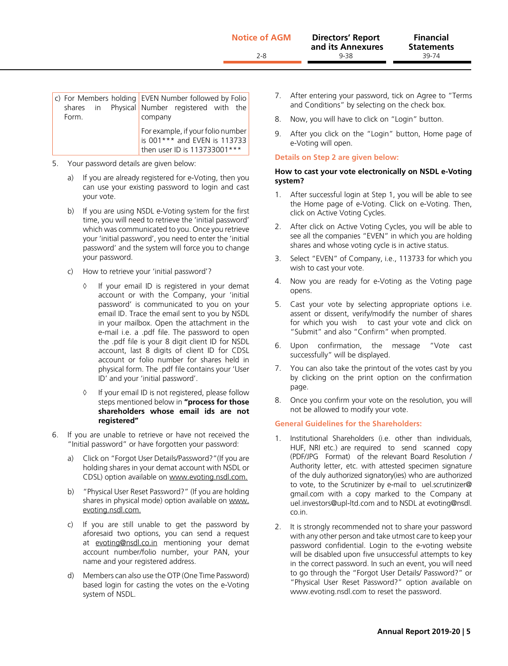| Form. |  | c) For Members holding EVEN Number followed by Folio<br>shares in Physical Number registered with the<br>company |
|-------|--|------------------------------------------------------------------------------------------------------------------|
|       |  | For example, if your folio number<br>is 001 *** and EVEN is 113733<br>then user ID is 113733001***               |

- 5. Your password details are given below:
	- a) If you are already registered for e-Voting, then you can use your existing password to login and cast your vote.
	- b) If you are using NSDL e-Voting system for the first time, you will need to retrieve the 'initial password' which was communicated to you. Once you retrieve your 'initial password', you need to enter the 'initial password' and the system will force you to change your password.
	- c) How to retrieve your 'initial password'?
		- ◊ If your email ID is registered in your demat account or with the Company, your 'initial password' is communicated to you on your email ID. Trace the email sent to you by NSDL in your mailbox. Open the attachment in the e-mail i.e. a .pdf file. The password to open the .pdf file is your 8 digit client ID for NSDL account, last 8 digits of client ID for CDSL account or folio number for shares held in physical form. The .pdf file contains your 'User ID' and your 'initial password'.
		- ◊ If your email ID is not registered, please follow steps mentioned below in **"process for those shareholders whose email ids are not registered"**
- 6. If you are unable to retrieve or have not received the "Initial password" or have forgotten your password:
	- a) Click on "Forgot User Details/Password?"(If you are holding shares in your demat account with NSDL or CDSL) option available on www.evoting.nsdl.com.
	- b) "Physical User Reset Password?" (If you are holding shares in physical mode) option available on www. evoting.nsdl.com.
	- c) If you are still unable to get the password by aforesaid two options, you can send a request at evoting@nsdl.co.in mentioning your demat account number/folio number, your PAN, your name and your registered address.
	- d) Members can also use the OTP (One Time Password) based login for casting the votes on the e-Voting system of NSDL.
- 7. After entering your password, tick on Agree to "Terms and Conditions" by selecting on the check box.
- 8. Now, you will have to click on "Login" button.
- 9. After you click on the "Login" button, Home page of e-Voting will open.

#### **Details on Step 2 are given below:**

#### **How to cast your vote electronically on NSDL e-Voting system?**

- 1. After successful login at Step 1, you will be able to see the Home page of e-Voting. Click on e-Voting. Then, click on Active Voting Cycles.
- 2. After click on Active Voting Cycles, you will be able to see all the companies "EVEN" in which you are holding shares and whose voting cycle is in active status.
- 3. Select "EVEN" of Company, i.e., 113733 for which you wish to cast your vote.
- 4. Now you are ready for e-Voting as the Voting page opens.
- 5. Cast your vote by selecting appropriate options i.e. assent or dissent, verify/modify the number of shares for which you wish to cast your vote and click on "Submit" and also "Confirm" when prompted.
- 6. Upon confirmation, the message "Vote cast successfully" will be displayed.
- 7. You can also take the printout of the votes cast by you by clicking on the print option on the confirmation page.
- 8. Once you confirm your vote on the resolution, you will not be allowed to modify your vote.

#### **General Guidelines for the Shareholders:**

- 1. Institutional Shareholders (i.e. other than individuals, HUF, NRI etc.) are required to send scanned copy (PDF/JPG Format) of the relevant Board Resolution / Authority letter, etc. with attested specimen signature of the duly authorized signatory(ies) who are authorized to vote, to the Scrutinizer by e-mail to [uel.scrutinizer@](mailto:uel.scrutinizer@gmail.com) [gmail.com](mailto:uel.scrutinizer@gmail.com) [w](mailto:narasimhan.b8@gmail.com)ith a copy marked to the Company at [uel.investors@upl-ltd.com](mailto:uel.investors@upl-ltd.com) and to NSDL at [evoting@nsdl.](mailto:evoting@nsdl.co.in) [co.in.](mailto:evoting@nsdl.co.in)
- 2. It is strongly recommended not to share your password with any other person and take utmost care to keep your password confidential. Login to the e-voting website will be disabled upon five unsuccessful attempts to key in the correct password. In such an event, you will need to go through the "Forgot User Details/ Password?" or "Physical User Reset Password?" option available on www.evoting.nsdl.com to reset the password.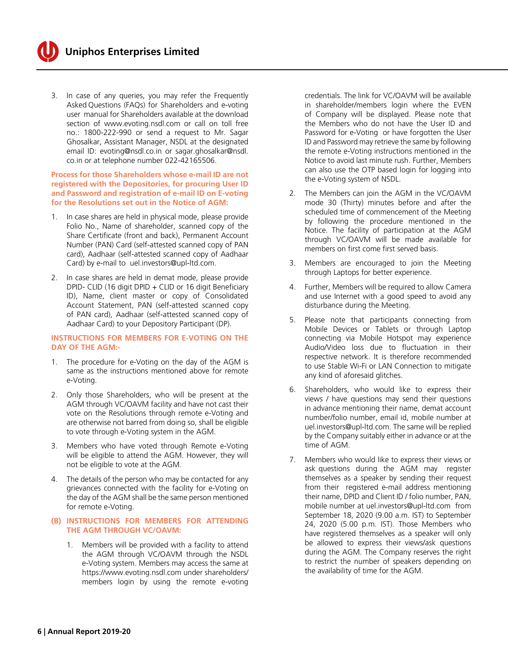

3. In case of any queries, you may refer the Frequently Asked Questions (FAQs) for Shareholders and e-voting user manual for Shareholders available at the download section of www.evoting.nsdl.com or call on toll free no.: 1800-222-990 or send a request to Mr. Sagar Ghosalkar, Assistant Manager, NSDL at the designated email ID: evoting@nsdl.co.in or[sagar.ghosalkar@nsdl.](mailto:sagar.ghosalkar@nsdl.co.in) [co.in](mailto:sagar.ghosalkar@nsdl.co.in) or at telephone number 022-42165506.

#### **Process for those Shareholders whose e-mail ID are not registered with the Depositories, for procuring User ID and Password and registration of e-mail ID on E-voting for the Resolutions set out in the Notice of AGM:**

- 1. In case shares are held in physical mode, please provide Folio No., Name of shareholder, scanned copy of the Share Certificate (front and back), Permanent Account Number (PAN) Card (self-attested scanned copy of PAN card), Aadhaar (self-attested scanned copy of Aadhaar Card) by e-mail to uel.investors@upl-ltd.com.
- 2. In case shares are held in demat mode, please provide DPID- CLID (16 digit DPID + CLID or 16 digit Beneficiary ID), Name, client master or copy of Consolidated Account Statement, PAN (self-attested scanned copy of PAN card), Aadhaar (self-attested scanned copy of Aadhaar Card) to your Depository Participant (DP).

#### **INSTRUCTIONS FOR MEMBERS FOR E-VOTING ON THE DAY OF THE AGM:-**

- 1. The procedure for e-Voting on the day of the AGM is same as the instructions mentioned above for remote e-Voting.
- 2. Only those Shareholders, who will be present at the AGM through VC/OAVM facility and have not cast their vote on the Resolutions through remote e-Voting and are otherwise not barred from doing so, shall be eligible to vote through e-Voting system in the AGM.
- 3. Members who have voted through Remote e-Voting will be eligible to attend the AGM. However, they will not be eligible to vote at the AGM.
- 4. The details of the person who may be contacted for any grievances connected with the facility for e-Voting on the day of the AGM shall be the same person mentioned for remote e-Voting.

#### **(B) INSTRUCTIONS FOR MEMBERS FOR ATTENDING THE AGM THROUGH VC/OAVM:**

 1. Members will be provided with a facility to attend the AGM through VC/OAVM through the NSDL e-Voting system. Members may access the same at <https://www.evoting.nsdl.com> under shareholders/ members login by using the remote e-voting credentials. The link for VC/OAVM will be available in shareholder/members login where the EVEN of Company will be displayed. Please note that the Members who do not have the User ID and Password for e-Voting or have forgotten the User ID and Password may retrieve the same by following the remote e-Voting instructions mentioned in the Notice to avoid last minute rush. Further, Members can also use the OTP based login for logging into the e-Voting system of NSDL.

- 2. The Members can join the AGM in the VC/OAVM mode 30 (Thirty) minutes before and after the scheduled time of commencement of the Meeting by following the procedure mentioned in the Notice. The facility of participation at the AGM through VC/OAVM will be made available for members on first come first served basis.
- 3. Members are encouraged to join the Meeting through Laptops for better experience.
- 4. Further, Members will be required to allow Camera and use Internet with a good speed to avoid any disturbance during the Meeting.
- 5. Please note that participants connecting from Mobile Devices or Tablets or through Laptop connecting via Mobile Hotspot may experience Audio/Video loss due to fluctuation in their respective network. It is therefore recommended to use Stable Wi-Fi or LAN Connection to mitigate any kind of aforesaid glitches.
- 6. Shareholders, who would like to express their views / have questions may send their questions in advance mentioning their name, demat account number/folio number, email id, mobile number at uel.investors@upl-ltd.com. The same will be replied by the Company suitably either in advance or at the time of AGM.
- 7. Members who would like to express their views or ask questions during the AGM may register themselves as a speaker by sending their request from their registered e-mail address mentioning their name, DPID and Client ID / folio number, PAN, mobile number at [uel.investors@upl-ltd.com](mailto:uel.investors@upl-ltd.com) from September 18, 2020 (9.00 a.m. IST) to September 24, 2020 (5.00 p.m. IST). Those Members who have registered themselves as a speaker will only be allowed to express their views/ask questions during the AGM. The Company reserves the right to restrict the number of speakers depending on the availability of time for the AGM.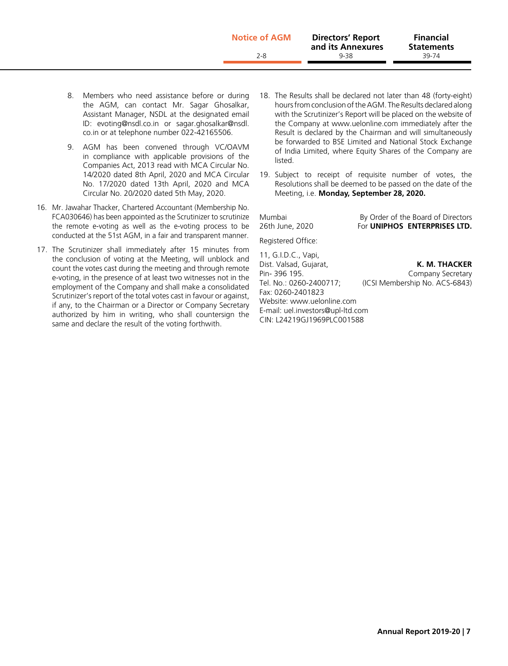| <b>Notice of AGM</b> | <b>Directors' Report</b><br>and its Annexures | <b>Financial</b><br><b>Statements</b> |
|----------------------|-----------------------------------------------|---------------------------------------|
| 2-8                  | 9-38                                          | 39-74                                 |
|                      |                                               |                                       |

- 8. Members who need assistance before or during the AGM, can contact Mr. Sagar Ghosalkar, Assistant Manager, NSDL at the designated email ID: evoting@nsdl.co.in or [sagar.ghosalkar@nsdl.](mailto:sagar.ghosalkar@nsdl.co.in) [co.in](mailto:sagar.ghosalkar@nsdl.co.in) or at telephone number 022-42165506.
- 9. AGM has been convened through VC/OAVM in compliance with applicable provisions of the Companies Act, 2013 read with MCA Circular No. 14/2020 dated 8th April, 2020 and MCA Circular No. 17/2020 dated 13th April, 2020 and MCA Circular No. 20/2020 dated 5th May, 2020.
- 16. Mr. Jawahar Thacker, Chartered Accountant (Membership No. FCA030646) has been appointed as the Scrutinizer to scrutinize the remote e-voting as well as the e-voting process to be conducted at the 51st AGM, in a fair and transparent manner.
- 17. The Scrutinizer shall immediately after 15 minutes from the conclusion of voting at the Meeting, will unblock and count the votes cast during the meeting and through remote e-voting, in the presence of at least two witnesses not in the employment of the Company and shall make a consolidated Scrutinizer's report of the total votes cast in favour or against, if any, to the Chairman or a Director or Company Secretary authorized by him in writing, who shall countersign the same and declare the result of the voting forthwith.
- 18. The Results shall be declared not later than 48 (forty-eight) hours from conclusion of the AGM. The Results declared along with the Scrutinizer's Report will be placed on the website of the Company at www.uelonline.com immediately after the Result is declared by the Chairman and will simultaneously be forwarded to BSE Limited and National Stock Exchange of India Limited, where Equity Shares of the Company are listed.
- 19. Subject to receipt of requisite number of votes, the Resolutions shall be deemed to be passed on the date of the Meeting, i.e. **Monday, September 28, 2020.**

Mumbai By Order of the Board of Directors 26th June, 2020 For **UNIPHOS ENTERPRISES LTD.** Registered Office: 11, G.I.D.C., Vapi,

Dist. Valsad, Gujarat, **K. M. THACKER** Pin- 396 195. Company Secretary Tel. No.: 0260-2400717; (ICSI Membership No. ACS-6843) Fax: 0260-2401823 Website: www.uelonline.com E-mail: [uel.investors@upl-ltd.com](mailto:uel.investors@upl-ltd.com) CIN: L24219GJ1969PLC001588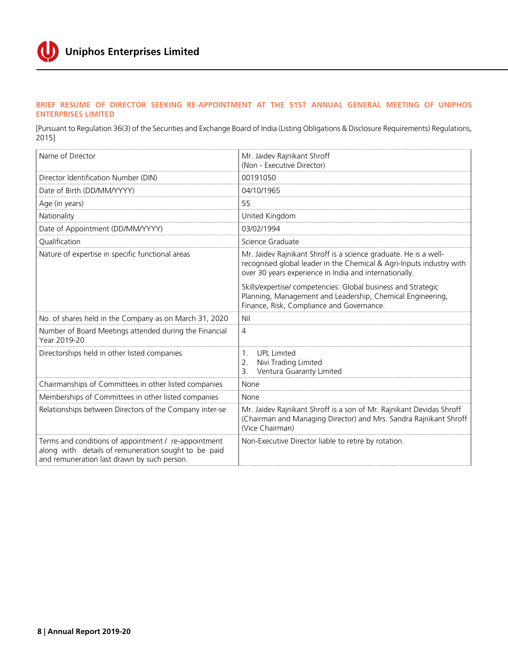

#### **BRIEF RESUME OF DIRECTOR SEEKING RE-APPOINTMENT AT THE 51ST ANNUAL GENERAL MEETING OF UNIPHOS ENTERPRISES LIMITED**

[Pursuant to Regulation 36(3) of the Securities and Exchange Board of India (Listing Obligations & Disclosure Requirements) Regulations, 2015]

| Name of Director                                                                                                                                            | Mr. Jaidev Rajnikant Shroff<br>(Non - Executive Director)                                                                                                                                          |
|-------------------------------------------------------------------------------------------------------------------------------------------------------------|----------------------------------------------------------------------------------------------------------------------------------------------------------------------------------------------------|
| Director Identification Number (DIN)                                                                                                                        | 00191050                                                                                                                                                                                           |
| Date of Birth (DD/MM/YYYY)                                                                                                                                  | 04/10/1965                                                                                                                                                                                         |
| Age (in years)                                                                                                                                              | 55                                                                                                                                                                                                 |
| Nationality                                                                                                                                                 | United Kingdom                                                                                                                                                                                     |
| Date of Appointment (DD/MM/YYYY)                                                                                                                            | 03/02/1994                                                                                                                                                                                         |
| Qualification                                                                                                                                               | Science Graduate                                                                                                                                                                                   |
| Nature of expertise in specific functional areas                                                                                                            | Mr. Jaidev Rajnikant Shroff is a science graduate. He is a well-<br>recognised global leader in the Chemical & Agri-Inputs industry with<br>over 30 years experience in India and internationally. |
|                                                                                                                                                             | Skills/expertise/ competencies: Global business and Strategic<br>Planning, Management and Leadership, Chemical Engineering,<br>Finance, Risk, Compliance and Governance.                           |
| No. of shares held in the Company as on March 31, 2020                                                                                                      | Nil                                                                                                                                                                                                |
| Number of Board Meetings attended during the Financial<br>Year 2019-20                                                                                      | 4                                                                                                                                                                                                  |
| Directorships held in other listed companies                                                                                                                | <b>UPL Limited</b><br>$1_{\cdot}$<br>Nivi Trading Limited<br>2.<br>Ventura Guaranty Limited<br>3.                                                                                                  |
| Chairmanships of Committees in other listed companies                                                                                                       | None                                                                                                                                                                                               |
| Memberships of Committees in other listed companies                                                                                                         | None                                                                                                                                                                                               |
| Relationships between Directors of the Company inter-se                                                                                                     | Mr. Jaidev Rajnikant Shroff is a son of Mr. Rajnikant Devidas Shroff<br>(Chairman and Managing Director) and Mrs. Sandra Rajnikant Shroff<br>(Vice Chairman)                                       |
| Terms and conditions of appointment / re-appointment<br>along with details of remuneration sought to be paid<br>and remuneration last drawn by such person. | Non-Executive Director liable to retire by rotation.                                                                                                                                               |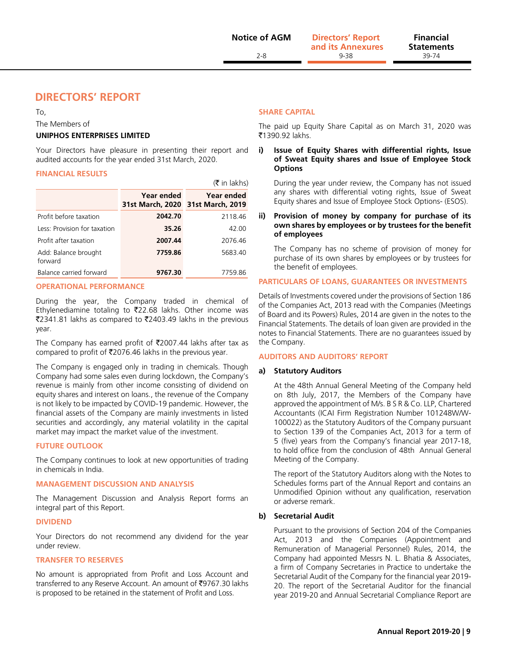**Statements**

# **DIRECTORS' REPORT**

To,

The Members of

#### **UNIPHOS ENTERPRISES LIMITED**

Your Directors have pleasure in presenting their report and audited accounts for the year ended 31st March, 2020.

#### **FINANCIAL RESULTS**

|                                 |                                                 | $(\bar{\bar{\mathbf{x}}}$ in lakhs) |
|---------------------------------|-------------------------------------------------|-------------------------------------|
|                                 | Year ended<br>31st March, 2020 31st March, 2019 | Year ended                          |
| Profit before taxation          | 2042.70                                         | 2118.46                             |
| Less: Provision for taxation    | 35.26                                           | 42.00                               |
| Profit after taxation           | 2007.44                                         | 2076.46                             |
| Add: Balance brought<br>forward | 7759.86                                         | 5683.40                             |
| Balance carried forward         | 9767.30                                         | 7759.86                             |

#### **OPERATIONAL PERFORMANCE**

During the year, the Company traded in chemical of Ethylenediamine totaling to  $\overline{2}22.68$  lakhs. Other income was ₹2341.81 lakhs as compared to ₹2403.49 lakhs in the previous year.

The Company has earned profit of  $\overline{\text{2007.44}}$  lakhs after tax as compared to profit of  $\overline{5}2076.46$  lakhs in the previous year.

The Company is engaged only in trading in chemicals. Though Company had some sales even during lockdown, the Company's revenue is mainly from other income consisting of dividend on equity shares and interest on loans., the revenue of the Company is not likely to be impacted by COVID-19 pandemic. However, the financial assets of the Company are mainly investments in listed securities and accordingly, any material volatility in the capital market may impact the market value of the investment.

#### **FUTURE OUTLOOK**

The Company continues to look at new opportunities of trading in chemicals in India.

#### **MANAGEMENT DISCUSSION AND ANALYSIS**

The Management Discussion and Analysis Report forms an integral part of this Report.

#### **DIVIDEND**

Your Directors do not recommend any dividend for the year under review.

#### **TRANSFER TO RESERVES**

No amount is appropriated from Profit and Loss Account and transferred to any Reserve Account. An amount of ₹9767.30 lakhs is proposed to be retained in the statement of Profit and Loss.

#### **SHARE CAPITAL**

The paid up Equity Share Capital as on March 31, 2020 was ₹1390.92 lakhs.

#### **i) Issue of Equity Shares with differential rights, Issue of Sweat Equity shares and Issue of Employee Stock Options**

During the year under review, the Company has not issued any shares with differential voting rights, Issue of Sweat Equity shares and Issue of Employee Stock Options- (ESOS).

#### **ii) Provision of money by company for purchase of its own shares by employees or by trustees for the benefit of employees**

The Company has no scheme of provision of money for purchase of its own shares by employees or by trustees for the benefit of employees.

#### **PARTICULARS OF LOANS, GUARANTEES OR INVESTMENTS**

Details of Investments covered under the provisions of Section 186 of the Companies Act, 2013 read with the Companies (Meetings of Board and its Powers) Rules, 2014 are given in the notes to the Financial Statements. The details of loan given are provided in the notes to Financial Statements. There are no guarantees issued by the Company.

#### **AUDITORS AND AUDITORS' REPORT**

#### **a) Statutory Auditors**

At the 48th Annual General Meeting of the Company held on 8th July, 2017, the Members of the Company have approved the appointment of M/s. B S R & Co. LLP, Chartered Accountants (ICAI Firm Registration Number 101248W/W-100022) as the Statutory Auditors of the Company pursuant to Section 139 of the Companies Act, 2013 for a term of 5 (five) years from the Company's financial year 2017-18, to hold office from the conclusion of 48th Annual General Meeting of the Company.

The report of the Statutory Auditors along with the Notes to Schedules forms part of the Annual Report and contains an Unmodified Opinion without any qualification, reservation or adverse remark.

#### **b) Secretarial Audit**

Pursuant to the provisions of Section 204 of the Companies Act, 2013 and the Companies (Appointment and Remuneration of Managerial Personnel) Rules, 2014, the Company had appointed Messrs N. L. Bhatia & Associates, a firm of Company Secretaries in Practice to undertake the Secretarial Audit of the Company for the financial year 2019- 20. The report of the Secretarial Auditor for the financial year 2019-20 and Annual Secretarial Compliance Report are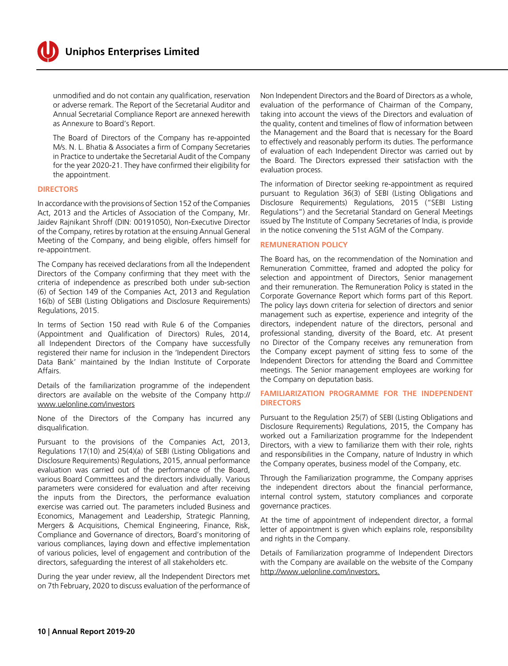

unmodified and do not contain any qualification, reservation or adverse remark. The Report of the Secretarial Auditor and Annual Secretarial Compliance Report are annexed herewith as Annexure to Board's Report.

The Board of Directors of the Company has re-appointed M/s. N. L. Bhatia & Associates a firm of Company Secretaries in Practice to undertake the Secretarial Audit of the Company for the year 2020-21. They have confirmed their eligibility for the appointment.

#### **DIRECTORS**

In accordance with the provisions of Section 152 of the Companies Act, 2013 and the Articles of Association of the Company, Mr. Jaidev Rajnikant Shroff (DIN: 00191050), Non-Executive Director of the Company, retires by rotation at the ensuing Annual General Meeting of the Company, and being eligible, offers himself for re-appointment.

The Company has received declarations from all the Independent Directors of the Company confirming that they meet with the criteria of independence as prescribed both under sub-section (6) of Section 149 of the Companies Act, 2013 and Regulation 16(b) of SEBI (Listing Obligations and Disclosure Requirements) Regulations, 2015.

In terms of Section 150 read with Rule 6 of the Companies (Appointment and Qualification of Directors) Rules, 2014, all Independent Directors of the Company have successfully registered their name for inclusion in the 'Independent Directors Data Bank' maintained by the Indian Institute of Corporate Affairs.

Details of the familiarization programme of the independent directors are available on the website of the Company [http://](http://www.uelonline.com/investors) [www.uelonline.com/investors](http://www.uelonline.com/investors)

None of the Directors of the Company has incurred any disqualification.

Pursuant to the provisions of the Companies Act, 2013, Regulations 17(10) and 25(4)(a) of SEBI (Listing Obligations and Disclosure Requirements) Regulations, 2015, annual performance evaluation was carried out of the performance of the Board, various Board Committees and the directors individually. Various parameters were considered for evaluation and after receiving the inputs from the Directors, the performance evaluation exercise was carried out. The parameters included Business and Economics, Management and Leadership, Strategic Planning, Mergers & Acquisitions, Chemical Engineering, Finance, Risk, Compliance and Governance of directors, Board's monitoring of various compliances, laying down and effective implementation of various policies, level of engagement and contribution of the directors, safeguarding the interest of all stakeholders etc.

During the year under review, all the Independent Directors met on 7th February, 2020 to discuss evaluation of the performance of

Non Independent Directors and the Board of Directors as a whole, evaluation of the performance of Chairman of the Company, taking into account the views of the Directors and evaluation of the quality, content and timelines of flow of information between the Management and the Board that is necessary for the Board to effectively and reasonably perform its duties. The performance of evaluation of each Independent Director was carried out by the Board. The Directors expressed their satisfaction with the evaluation process.

The information of Director seeking re-appointment as required pursuant to Regulation 36(3) of SEBI (Listing Obligations and Disclosure Requirements) Regulations, 2015 ("SEBI Listing Regulations") and the Secretarial Standard on General Meetings issued by The Institute of Company Secretaries of India, is provide in the notice convening the 51st AGM of the Company.

#### **REMUNERATION POLICY**

The Board has, on the recommendation of the Nomination and Remuneration Committee, framed and adopted the policy for selection and appointment of Directors, Senior management and their remuneration. The Remuneration Policy is stated in the Corporate Governance Report which forms part of this Report. The policy lays down criteria for selection of directors and senior management such as expertise, experience and integrity of the directors, independent nature of the directors, personal and professional standing, diversity of the Board, etc. At present no Director of the Company receives any remuneration from the Company except payment of sitting fess to some of the Independent Directors for attending the Board and Committee meetings. The Senior management employees are working for the Company on deputation basis.

#### **FAMILIARIZATION PROGRAMME FOR THE INDEPENDENT DIRECTORS**

Pursuant to the Regulation 25(7) of SEBI (Listing Obligations and Disclosure Requirements) Regulations, 2015, the Company has worked out a Familiarization programme for the Independent Directors, with a view to familiarize them with their role, rights and responsibilities in the Company, nature of Industry in which the Company operates, business model of the Company, etc.

Through the Familiarization programme, the Company apprises the independent directors about the financial performance, internal control system, statutory compliances and corporate governance practices.

At the time of appointment of independent director, a formal letter of appointment is given which explains role, responsibility and rights in the Company.

Details of Familiarization programme of Independent Directors with the Company are available on the website of the Company http://www.uelonline.com/investors.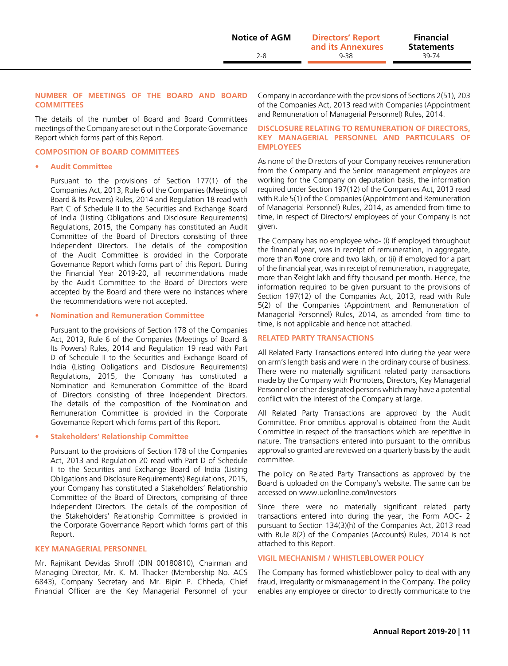#### **NUMBER OF MEETINGS OF THE BOARD AND BOARD COMMITTEES**

The details of the number of Board and Board Committees meetings of the Company are set out in the Corporate Governance Report which forms part of this Report.

#### **COMPOSITION OF BOARD COMMITTEES**

#### **• Audit Committee**

Pursuant to the provisions of Section 177(1) of the Companies Act, 2013, Rule 6 of the Companies (Meetings of Board & Its Powers) Rules, 2014 and Regulation 18 read with Part C of Schedule II to the Securities and Exchange Board of India (Listing Obligations and Disclosure Requirements) Regulations, 2015, the Company has constituted an Audit Committee of the Board of Directors consisting of three Independent Directors. The details of the composition of the Audit Committee is provided in the Corporate Governance Report which forms part of this Report. During the Financial Year 2019-20, all recommendations made by the Audit Committee to the Board of Directors were accepted by the Board and there were no instances where the recommendations were not accepted.

#### **• Nomination and Remuneration Committee**

Pursuant to the provisions of Section 178 of the Companies Act, 2013, Rule 6 of the Companies (Meetings of Board & Its Powers) Rules, 2014 and Regulation 19 read with Part D of Schedule II to the Securities and Exchange Board of India (Listing Obligations and Disclosure Requirements) Regulations, 2015, the Company has constituted a Nomination and Remuneration Committee of the Board of Directors consisting of three Independent Directors. The details of the composition of the Nomination and Remuneration Committee is provided in the Corporate Governance Report which forms part of this Report.

#### **• Stakeholders' Relationship Committee**

Pursuant to the provisions of Section 178 of the Companies Act, 2013 and Regulation 20 read with Part D of Schedule II to the Securities and Exchange Board of India (Listing Obligations and Disclosure Requirements) Regulations, 2015, your Company has constituted a Stakeholders' Relationship Committee of the Board of Directors, comprising of three Independent Directors. The details of the composition of the Stakeholders' Relationship Committee is provided in the Corporate Governance Report which forms part of this Report.

#### **KEY MANAGERIAL PERSONNEL**

Mr. Rajnikant Devidas Shroff (DIN 00180810), Chairman and Managing Director, Mr. K. M. Thacker (Membership No. ACS 6843), Company Secretary and Mr. Bipin P. Chheda, Chief Financial Officer are the Key Managerial Personnel of your Company in accordance with the provisions of Sections 2(51), 203 of the Companies Act, 2013 read with Companies (Appointment and Remuneration of Managerial Personnel) Rules, 2014.

#### **DISCLOSURE RELATING TO REMUNERATION OF DIRECTORS, KEY MANAGERIAL PERSONNEL AND PARTICULARS OF EMPLOYEES**

As none of the Directors of your Company receives remuneration from the Company and the Senior management employees are working for the Company on deputation basis, the information required under Section 197(12) of the Companies Act, 2013 read with Rule 5(1) of the Companies (Appointment and Remuneration of Managerial Personnel) Rules, 2014, as amended from time to time, in respect of Directors/ employees of your Company is not given.

The Company has no employee who- (i) if employed throughout the financial year, was in receipt of remuneration, in aggregate, more than  $\bar{\tau}$ one crore and two lakh, or (ii) if employed for a part of the financial year, was in receipt of remuneration, in aggregate, more than  $\bar{\tau}$ eight lakh and fifty thousand per month. Hence, the information required to be given pursuant to the provisions of Section 197(12) of the Companies Act, 2013, read with Rule 5(2) of the Companies (Appointment and Remuneration of Managerial Personnel) Rules, 2014, as amended from time to time, is not applicable and hence not attached.

#### **RELATED PARTY TRANSACTIONS**

All Related Party Transactions entered into during the year were on arm's length basis and were in the ordinary course of business. There were no materially significant related party transactions made by the Company with Promoters, Directors, Key Managerial Personnel or other designated persons which may have a potential conflict with the interest of the Company at large.

All Related Party Transactions are approved by the Audit Committee. Prior omnibus approval is obtained from the Audit Committee in respect of the transactions which are repetitive in nature. The transactions entered into pursuant to the omnibus approval so granted are reviewed on a quarterly basis by the audit committee.

The policy on Related Party Transactions as approved by the Board is uploaded on the Company's website. The same can be accessed on www.uelonline.com/investors

Since there were no materially significant related party transactions entered into during the year, the Form AOC- 2 pursuant to Section 134(3)(h) of the Companies Act, 2013 read with Rule 8(2) of the Companies (Accounts) Rules, 2014 is not attached to this Report.

#### **VIGIL MECHANISM / WHISTLEBLOWER POLICY**

The Company has formed whistleblower policy to deal with any fraud, irregularity or mismanagement in the Company. The policy enables any employee or director to directly communicate to the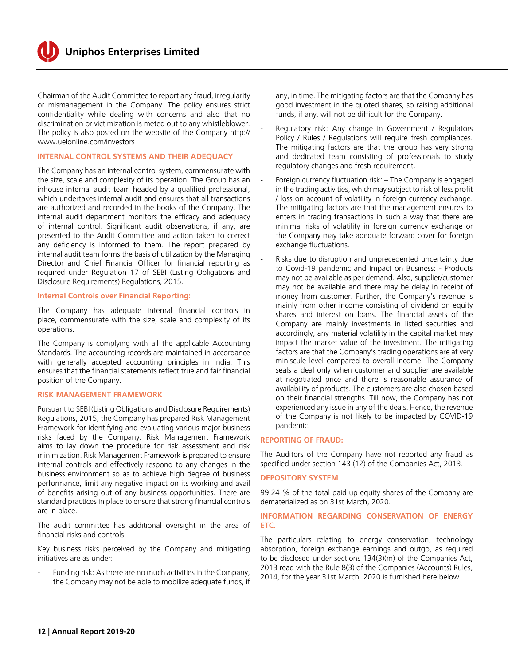Chairman of the Audit Committee to report any fraud, irregularity or mismanagement in the Company. The policy ensures strict confidentiality while dealing with concerns and also that no discrimination or victimization is meted out to any whistleblower. The policy is also posted on the website of the Company http:// www.uelonline.com/investors

#### **INTERNAL CONTROL SYSTEMS AND THEIR ADEQUACY**

The Company has an internal control system, commensurate with the size, scale and complexity of its operation. The Group has an inhouse internal audit team headed by a qualified professional, which undertakes internal audit and ensures that all transactions are authorized and recorded in the books of the Company. The internal audit department monitors the efficacy and adequacy of internal control. Significant audit observations, if any, are presented to the Audit Committee and action taken to correct any deficiency is informed to them. The report prepared by internal audit team forms the basis of utilization by the Managing Director and Chief Financial Officer for financial reporting as required under Regulation 17 of SEBI (Listing Obligations and Disclosure Requirements) Regulations, 2015.

#### **Internal Controls over Financial Reporting:**

The Company has adequate internal financial controls in place, commensurate with the size, scale and complexity of its operations.

The Company is complying with all the applicable Accounting Standards. The accounting records are maintained in accordance with generally accepted accounting principles in India. This ensures that the financial statements reflect true and fair financial position of the Company.

#### **RISK MANAGEMENT FRAMEWORK**

Pursuant to SEBI (Listing Obligations and Disclosure Requirements) Regulations, 2015, the Company has prepared Risk Management Framework for identifying and evaluating various major business risks faced by the Company. Risk Management Framework aims to lay down the procedure for risk assessment and risk minimization. Risk Management Framework is prepared to ensure internal controls and effectively respond to any changes in the business environment so as to achieve high degree of business performance, limit any negative impact on its working and avail of benefits arising out of any business opportunities. There are standard practices in place to ensure that strong financial controls are in place.

The audit committee has additional oversight in the area of financial risks and controls.

Key business risks perceived by the Company and mitigating initiatives are as under:

Funding risk: As there are no much activities in the Company, the Company may not be able to mobilize adequate funds, if any, in time. The mitigating factors are that the Company has good investment in the quoted shares, so raising additional funds, if any, will not be difficult for the Company.

- Regulatory risk: Any change in Government / Regulators Policy / Rules / Regulations will require fresh compliances. The mitigating factors are that the group has very strong and dedicated team consisting of professionals to study regulatory changes and fresh requirement.
- Foreign currency fluctuation risk: The Company is engaged in the trading activities, which may subject to risk of less profit / loss on account of volatility in foreign currency exchange. The mitigating factors are that the management ensures to enters in trading transactions in such a way that there are minimal risks of volatility in foreign currency exchange or the Company may take adequate forward cover for foreign exchange fluctuations.
- Risks due to disruption and unprecedented uncertainty due to Covid-19 pandemic and Impact on Business: - Products may not be available as per demand. Also, supplier/customer may not be available and there may be delay in receipt of money from customer. Further, the Company's revenue is mainly from other income consisting of dividend on equity shares and interest on loans. The financial assets of the Company are mainly investments in listed securities and accordingly, any material volatility in the capital market may impact the market value of the investment. The mitigating factors are that the Company's trading operations are at very miniscule level compared to overall income. The Company seals a deal only when customer and supplier are available at negotiated price and there is reasonable assurance of availability of products. The customers are also chosen based on their financial strengths. Till now, the Company has not experienced any issue in any of the deals. Hence, the revenue of the Company is not likely to be impacted by COVID-19 pandemic.

#### **REPORTING OF FRAUD:**

The Auditors of the Company have not reported any fraud as specified under section 143 (12) of the Companies Act, 2013.

#### **DEPOSITORY SYSTEM**

99.24 % of the total paid up equity shares of the Company are dematerialized as on 31st March, 2020.

#### **INFORMATION REGARDING CONSERVATION OF ENERGY ETC.**

The particulars relating to energy conservation, technology absorption, foreign exchange earnings and outgo, as required to be disclosed under sections 134(3)(m) of the Companies Act, 2013 read with the Rule 8(3) of the Companies (Accounts) Rules, 2014, for the year 31st March, 2020 is furnished here below.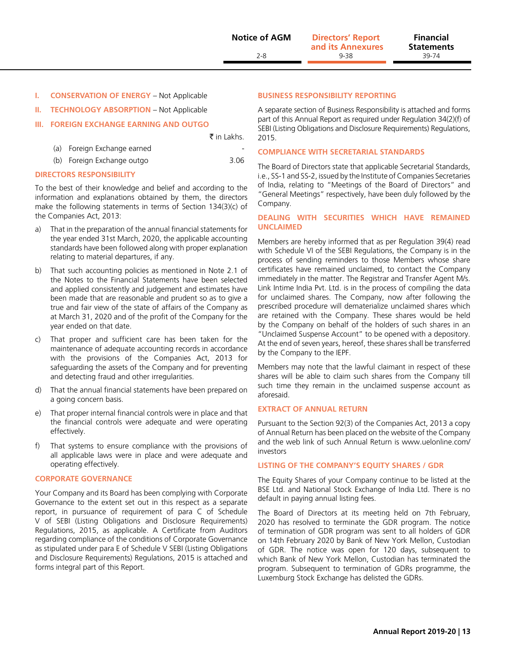**II. TECHNOLOGY ABSORPTION** – Not Applicable

#### **III. FOREIGN EXCHANGE EARNING AND OUTGO**

₹ in Lakhs.

| la Torcign Exchange carried |      |
|-----------------------------|------|
| (b) Foreign Exchange outgo  | 3.06 |

#### **DIRECTORS RESPONSIBILITY**

 $(a)$  Foreign Exchange earned

To the best of their knowledge and belief and according to the information and explanations obtained by them, the directors make the following statements in terms of Section 134(3)(c) of the Companies Act, 2013:

- a) That in the preparation of the annual financial statements for the year ended 31st March, 2020, the applicable accounting standards have been followed along with proper explanation relating to material departures, if any.
- b) That such accounting policies as mentioned in Note 2.1 of the Notes to the Financial Statements have been selected and applied consistently and judgement and estimates have been made that are reasonable and prudent so as to give a true and fair view of the state of affairs of the Company as at March 31, 2020 and of the profit of the Company for the year ended on that date.
- c) That proper and sufficient care has been taken for the maintenance of adequate accounting records in accordance with the provisions of the Companies Act, 2013 for safeguarding the assets of the Company and for preventing and detecting fraud and other irregularities.
- d) That the annual financial statements have been prepared on a going concern basis.
- e) That proper internal financial controls were in place and that the financial controls were adequate and were operating effectively.
- f) That systems to ensure compliance with the provisions of all applicable laws were in place and were adequate and operating effectively.

#### **CORPORATE GOVERNANCE**

Your Company and its Board has been complying with Corporate Governance to the extent set out in this respect as a separate report, in pursuance of requirement of para C of Schedule V of SEBI (Listing Obligations and Disclosure Requirements) Regulations, 2015, as applicable. A Certificate from Auditors regarding compliance of the conditions of Corporate Governance as stipulated under para E of Schedule V SEBI (Listing Obligations and Disclosure Requirements) Regulations, 2015 is attached and forms integral part of this Report.

#### **BUSINESS RESPONSIBILITY REPORTING**

A separate section of Business Responsibility is attached and forms part of this Annual Report as required under Regulation 34(2)(f) of SEBI (Listing Obligations and Disclosure Requirements) Regulations, 2015.

#### **COMPLIANCE WITH SECRETARIAL STANDARDS**

The Board of Directors state that applicable Secretarial Standards, i.e., SS-1 and SS-2, issued by the Institute of Companies Secretaries of India, relating to "Meetings of the Board of Directors" and "General Meetings" respectively, have been duly followed by the Company.

#### **DEALING WITH SECURITIES WHICH HAVE REMAINED UNCLAIMED**

Members are hereby informed that as per Regulation 39(4) read with Schedule VI of the SEBI Regulations, the Company is in the process of sending reminders to those Members whose share certificates have remained unclaimed, to contact the Company immediately in the matter. The Registrar and Transfer Agent M/s. Link Intime India Pvt. Ltd. is in the process of compiling the data for unclaimed shares. The Company, now after following the prescribed procedure will dematerialize unclaimed shares which are retained with the Company. These shares would be held by the Company on behalf of the holders of such shares in an "Unclaimed Suspense Account" to be opened with a depository. At the end of seven years, hereof, these shares shall be transferred by the Company to the IEPF.

Members may note that the lawful claimant in respect of these shares will be able to claim such shares from the Company till such time they remain in the unclaimed suspense account as aforesaid.

#### **EXTRACT OF ANNUAL RETURN**

Pursuant to the Section 92(3) of the Companies Act, 2013 a copy of Annual Return has been placed on the website of the Company and the web link of such Annual Return is www.uelonline.com/ investors

#### **LISTING OF THE COMPANY'S EQUITY SHARES / GDR**

The Equity Shares of your Company continue to be listed at the BSE Ltd. and National Stock Exchange of India Ltd. There is no default in paying annual listing fees.

The Board of Directors at its meeting held on 7th February, 2020 has resolved to terminate the GDR program. The notice of termination of GDR program was sent to all holders of GDR on 14th February 2020 by Bank of New York Mellon, Custodian of GDR. The notice was open for 120 days, subsequent to which Bank of New York Mellon, Custodian has terminated the program. Subsequent to termination of GDRs programme, the Luxemburg Stock Exchange has delisted the GDRs.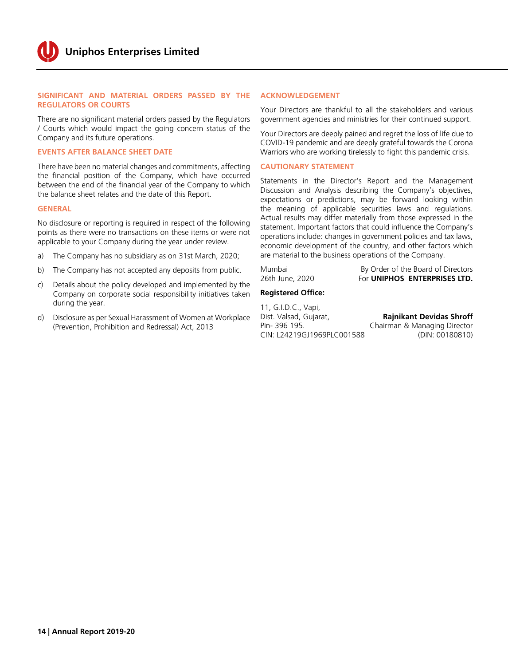#### **SIGNIFICANT AND MATERIAL ORDERS PASSED BY THE REGULATORS OR COURTS**

There are no significant material orders passed by the Regulators / Courts which would impact the going concern status of the Company and its future operations.

#### **EVENTS AFTER BALANCE SHEET DATE**

There have been no material changes and commitments, affecting the financial position of the Company, which have occurred between the end of the financial year of the Company to which the balance sheet relates and the date of this Report.

#### **GENERAL**

No disclosure or reporting is required in respect of the following points as there were no transactions on these items or were not applicable to your Company during the year under review.

- a) The Company has no subsidiary as on 31st March, 2020;
- b) The Company has not accepted any deposits from public.
- c) Details about the policy developed and implemented by the Company on corporate social responsibility initiatives taken during the year.
- d) Disclosure as per Sexual Harassment of Women at Workplace (Prevention, Prohibition and Redressal) Act, 2013

#### **ACKNOWLEDGEMENT**

Your Directors are thankful to all the stakeholders and various government agencies and ministries for their continued support.

Your Directors are deeply pained and regret the loss of life due to COVID-19 pandemic and are deeply grateful towards the Corona Warriors who are working tirelessly to fight this pandemic crisis.

#### **CAUTIONARY STATEMENT**

Statements in the Director's Report and the Management Discussion and Analysis describing the Company's objectives, expectations or predictions, may be forward looking within the meaning of applicable securities laws and regulations. Actual results may differ materially from those expressed in the statement. Important factors that could influence the Company's operations include: changes in government policies and tax laws, economic development of the country, and other factors which are material to the business operations of the Company.

Mumbai By Order of the Board of Directors 26th June, 2020 For **UNIPHOS ENTERPRISES LTD.**

#### **Registered Office:**

11, G.I.D.C., Vapi, Dist. Valsad, Gujarat, **Rajnikant Devidas Shroff** Pin- 396 195. Chairman & Managing Director CIN: L24219GJ1969PLC001588 (DIN: 00180810)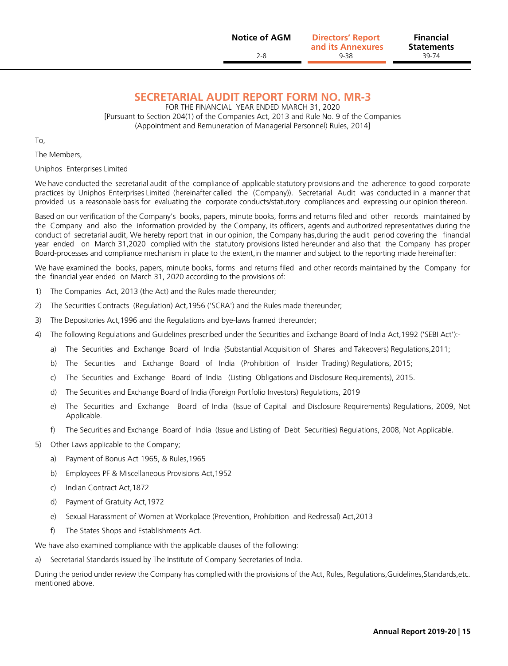**Statements**

### **SECRETARIAL AUDIT REPORT FORM NO. MR-3**

FOR THE FINANCIAL YEAR ENDED MARCH 31, 2020 [Pursuant to Section 204(1) of the Companies Act, 2013 and Rule No. 9 of the Companies (Appointment and Remuneration of Managerial Personnel) Rules, 2014]

To,

The Members,

Uniphos Enterprises Limited

We have conducted the secretarial audit of the compliance of applicable statutory provisions and the adherence to good corporate practices by Uniphos Enterprises Limited (hereinafter called the (Company)). Secretarial Audit was conducted in a manner that provided us a reasonable basis for evaluating the corporate conducts/statutory compliances and expressing our opinion thereon.

Based on our verification of the Company's books, papers, minute books, forms and returns filed and other records maintained by the Company and also the information provided by the Company, its officers, agents and authorized representatives during the conduct of secretarial audit, We hereby report that in our opinion, the Company has,during the audit period covering the financial year ended on March 31,2020 complied with the statutory provisions listed hereunder and also that the Company has proper Board-processes and compliance mechanism in place to the extent,in the manner and subject to the reporting made hereinafter:

We have examined the books, papers, minute books, forms and returns filed and other records maintained by the Company for the financial year ended on March 31, 2020 according to the provisions of:

- 1) The Companies Act, 2013 (the Act) and the Rules made thereunder;
- 2) The Securities Contracts (Regulation) Act,1956 ('SCRA') and the Rules made thereunder;
- 3) The Depositories Act,1996 and the Regulations and bye-laws framed thereunder;
- 4) The following Regulations and Guidelines prescribed under the Securities and Exchange Board of India Act,1992 ('SEBI Act'):
	- a) The Securities and Exchange Board of India {Substantial Acquisition of Shares and Takeovers) Regulations,2011;
	- b) The Securities and Exchange Board of India (Prohibition of Insider Trading) Regulations, 2015;
	- c) The Securities and Exchange Board of India (Listing Obligations and Disclosure Requirements), 2015.
	- d) The Securities and Exchange Board of India (Foreign Portfolio Investors) Regulations, 2019
	- e) The Securities and Exchange Board of India (Issue of Capital and Disclosure Requirements) Regulations, 2009, Not Applicable.
	- f) The Securities and Exchange Board of India (Issue and Listing of Debt Securities) Regulations, 2008, Not Applicable.
- 5) Other Laws applicable to the Company;
	- a) Payment of Bonus Act 1965, & Rules,1965
	- b) Employees PF & Miscellaneous Provisions Act,1952
	- c) Indian Contract Act,1872
	- d) Payment of Gratuity Act,1972
	- e) Sexual Harassment of Women at Workplace (Prevention, Prohibition and Redressal) Act,2013
	- f) The States Shops and Establishments Act.

We have also examined compliance with the applicable clauses of the following:

a) Secretarial Standards issued by The Institute of Company Secretaries of India.

During the period under review the Company has complied with the provisions of the Act, Rules, Regulations,Guidelines,Standards,etc. mentioned above.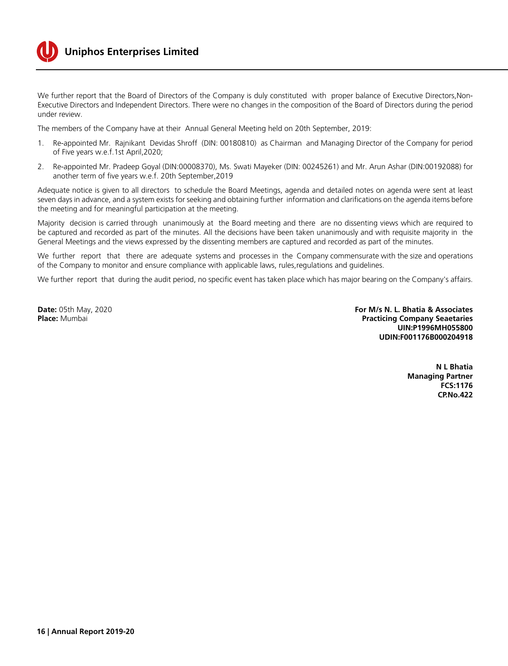

# **Uniphos Enterprises Limited**

We further report that the Board of Directors of the Company is duly constituted with proper balance of Executive Directors,Non-Executive Directors and Independent Directors. There were no changes in the composition of the Board of Directors during the period under review.

The members of the Company have at their Annual General Meeting held on 20th September, 2019:

- 1. Re-appointed Mr. Rajnikant Devidas Shroff (DIN: 00180810) as Chairman and Managing Director of the Company for period of Five years w.e.f.1st April,2020;
- 2. Re-appointed Mr. Pradeep Goyal (DIN:00008370), Ms. Swati Mayeker (DIN: 00245261) and Mr. Arun Ashar (DIN:00192088) for another term of five years w.e.f. 20th September,2019

Adequate notice is given to all directors to schedule the Board Meetings, agenda and detailed notes on agenda were sent at least seven days in advance, and a system exists for seeking and obtaining further information and clarifications on the agenda items before the meeting and for meaningful participation at the meeting.

Majority decision is carried through unanimously at the Board meeting and there are no dissenting views which are required to be captured and recorded as part of the minutes. All the decisions have been taken unanimously and with requisite majority in the General Meetings and the views expressed by the dissenting members are captured and recorded as part of the minutes.

We further report that there are adequate systems and processes in the Company commensurate with the size and operations of the Company to monitor and ensure compliance with applicable laws, rules,regulations and guidelines.

We further report that during the audit period, no specific event has taken place which has major bearing on the Company's affairs.

**Date:** 05th May, 2020 **For M/s N. L. Bhatia & Associates Practicing Company Seaetaries UIN:P1996MH055800 UDIN:F001176B000204918**

> **N L Bhatia Managing Partner FCS:1176 CP.No.422**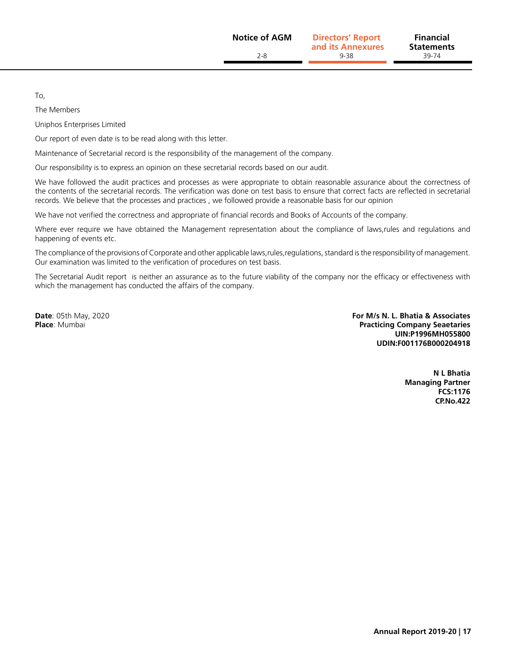To,

The Members

Uniphos Enterprises Limited

Our report of even date is to be read along with this letter.

Maintenance of Secretarial record is the responsibility of the management of the company.

Our responsibility is to express an opinion on these secretarial records based on our audit.

We have followed the audit practices and processes as were appropriate to obtain reasonable assurance about the correctness of the contents of the secretarial records. The verification was done on test basis to ensure that correct facts are reflected in secretarial records. We believe that the processes and practices , we followed provide a reasonable basis for our opinion

We have not verified the correctness and appropriate of financial records and Books of Accounts of the company.

Where ever require we have obtained the Management representation about the compliance of laws,rules and regulations and happening of events etc.

The compliance of the provisions of Corporate and other applicable laws,rules,regulations, standard is the responsibility of management. Our examination was limited to the verification of procedures on test basis.

The Secretarial Audit report is neither an assurance as to the future viability of the company nor the efficacy or effectiveness with which the management has conducted the affairs of the company.

**Date**: 05th May, 2020 **For M/s N. L. Bhatia & Associates Practicing Company Seaetaries UIN:P1996MH055800 UDIN:F001176B000204918**

> **N L Bhatia Managing Partner FCS:1176 CP.No.422**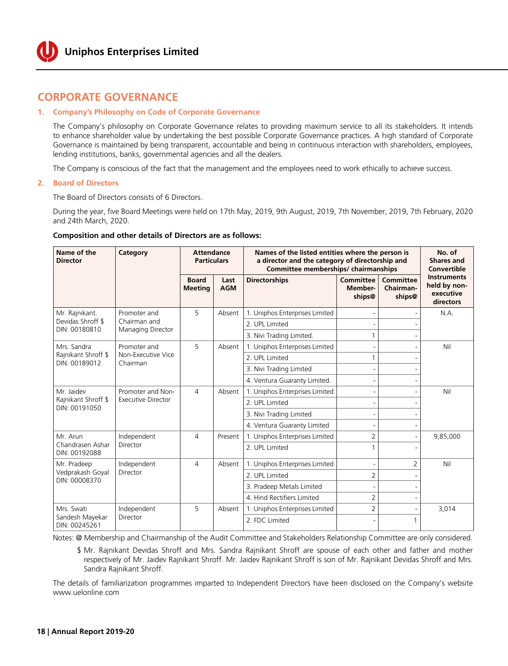

# **CORPORATE GOVERNANCE**

#### **1. Company's Philosophy on Code of Corporate Governance**

The Company's philosophy on Corporate Governance relates to providing maximum service to all its stakeholders. It intends to enhance shareholder value by undertaking the best possible Corporate Governance practices. A high standard of Corporate Governance is maintained by being transparent, accountable and being in continuous interaction with shareholders, employees, lending institutions, banks, governmental agencies and all the dealers.

The Company is conscious of the fact that the management and the employees need to work ethically to achieve success.

#### **2. Board of Directors**

The Board of Directors consists of 6 Directors.

During the year, five Board Meetings were held on 17th May, 2019, 9th August, 2019, 7th November, 2019, 7th February, 2020 and 24th March, 2020.

#### **Composition and other details of Directors are as follows:**

| Name of the<br><b>Director</b>       | Category                          | <b>Attendance</b><br><b>Particulars</b><br><b>Board</b><br>Last<br><b>AGM</b><br><b>Meeting</b> |                         |                                |                                              | Names of the listed entities where the person is<br>a director and the category of directorship and<br>Committee memberships/chairmanships |                                                              |  |  |  | No. of<br><b>Shares and</b><br><b>Convertible</b> |
|--------------------------------------|-----------------------------------|-------------------------------------------------------------------------------------------------|-------------------------|--------------------------------|----------------------------------------------|--------------------------------------------------------------------------------------------------------------------------------------------|--------------------------------------------------------------|--|--|--|---------------------------------------------------|
|                                      |                                   |                                                                                                 |                         | <b>Directorships</b>           | <b>Committee</b><br><b>Member-</b><br>ships@ | Committee<br>Chairman-<br>ships@                                                                                                           | <b>Instruments</b><br>held by non-<br>executive<br>directors |  |  |  |                                                   |
| Mr. Rajnikant.                       | Promoter and                      | 5                                                                                               | Absent                  | 1. Uniphos Enterprises Limited |                                              |                                                                                                                                            | N.A.                                                         |  |  |  |                                                   |
| Devidas Shroff \$<br>DIN: 00180810   | Chairman and<br>Managing Director |                                                                                                 |                         | 2. UPI Timited                 |                                              |                                                                                                                                            |                                                              |  |  |  |                                                   |
|                                      |                                   |                                                                                                 |                         | 3. Nivi Trading Limited.       |                                              |                                                                                                                                            |                                                              |  |  |  |                                                   |
| Mrs. Sandra                          | Promoter and                      | 5                                                                                               | Absent                  | 1. Uniphos Enterprises Limited |                                              |                                                                                                                                            | Nil                                                          |  |  |  |                                                   |
| Rajnikant Shroff \$<br>DIN: 00189012 | Non-Executive Vice<br>Chairman    |                                                                                                 |                         | 2. UPI Timited                 |                                              |                                                                                                                                            |                                                              |  |  |  |                                                   |
|                                      |                                   |                                                                                                 |                         | 3. Nivi Trading Limited        |                                              |                                                                                                                                            |                                                              |  |  |  |                                                   |
|                                      |                                   |                                                                                                 |                         | 4. Ventura Guaranty Limited.   |                                              |                                                                                                                                            |                                                              |  |  |  |                                                   |
| Mr. Jaidev                           | Promoter and Non-                 | $\overline{4}$                                                                                  | Absent                  | 1. Uniphos Enterprises Limited |                                              |                                                                                                                                            | Nil                                                          |  |  |  |                                                   |
| Rajnikant Shroff \$<br>DIN: 00191050 | <b>Executive Director</b>         |                                                                                                 |                         | 2. UPI Timited                 |                                              |                                                                                                                                            |                                                              |  |  |  |                                                   |
|                                      |                                   |                                                                                                 | 3. Nivi Trading Limited |                                |                                              |                                                                                                                                            |                                                              |  |  |  |                                                   |
|                                      |                                   |                                                                                                 |                         | 4. Ventura Guaranty Limited    |                                              |                                                                                                                                            |                                                              |  |  |  |                                                   |
| Mr. Arun                             | Independent                       | $\overline{4}$                                                                                  | Present                 | 1. Uniphos Enterprises Limited | 2                                            | $\overline{a}$                                                                                                                             | 9,85,000                                                     |  |  |  |                                                   |
| Chandrasen Ashar<br>DIN: 00192088    | Director                          |                                                                                                 |                         | 2. UPI Timited                 |                                              |                                                                                                                                            |                                                              |  |  |  |                                                   |
| Mr. Pradeep                          | Independent                       | $\overline{4}$                                                                                  | Absent                  | 1. Uniphos Enterprises Limited |                                              | 2                                                                                                                                          | Nil                                                          |  |  |  |                                                   |
| Vedprakash Goyal<br>DIN: 00008370    | Director                          |                                                                                                 |                         | 2. UPL Limited                 | $\overline{2}$                               |                                                                                                                                            |                                                              |  |  |  |                                                   |
|                                      |                                   |                                                                                                 |                         | 3. Pradeep Metals Limited      |                                              |                                                                                                                                            |                                                              |  |  |  |                                                   |
|                                      |                                   |                                                                                                 |                         | 4. Hind Rectifiers Limited     | $\overline{2}$                               |                                                                                                                                            |                                                              |  |  |  |                                                   |
| Mrs. Swati                           | Independent                       | 5                                                                                               | Absent                  | 1. Uniphos Enterprises Limited | $\overline{2}$                               |                                                                                                                                            | 3,014                                                        |  |  |  |                                                   |
| Sandesh Mayekar<br>DIN: 00245261     | Director                          |                                                                                                 |                         | 2. FDC Limited                 |                                              |                                                                                                                                            |                                                              |  |  |  |                                                   |

Notes: @ Membership and Chairmanship of the Audit Committee and Stakeholders Relationship Committee are only considered.

 \$ Mr. Rajnikant Devidas Shroff and Mrs. Sandra Rajnikant Shroff are spouse of each other and father and mother respectively of Mr. Jaidev Rajnikant Shroff. Mr. Jaidev Rajnikant Shroff is son of Mr. Rajnikant Devidas Shroff and Mrs. Sandra Rajnikant Shroff.

The details of familiarization programmes imparted to Independent Directors have been disclosed on the Company's website <www.uelonline.com>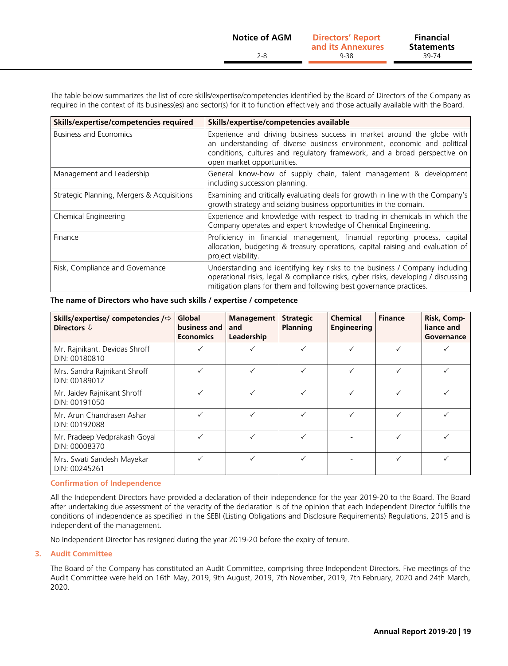The table below summarizes the list of core skills/expertise/competencies identified by the Board of Directors of the Company as required in the context of its business(es) and sector(s) for it to function effectively and those actually available with the Board.

| Skills/expertise/competencies required     | Skills/expertise/competencies available                                                                                                                                                                                                                        |
|--------------------------------------------|----------------------------------------------------------------------------------------------------------------------------------------------------------------------------------------------------------------------------------------------------------------|
| <b>Business and Economics</b>              | Experience and driving business success in market around the globe with<br>an understanding of diverse business environment, economic and political<br>conditions, cultures and regulatory framework, and a broad perspective on<br>open market opportunities. |
| Management and Leadership                  | General know-how of supply chain, talent management & development<br>including succession planning.                                                                                                                                                            |
| Strategic Planning, Mergers & Acquisitions | Examining and critically evaluating deals for growth in line with the Company's<br>growth strategy and seizing business opportunities in the domain.                                                                                                           |
| Chemical Engineering                       | Experience and knowledge with respect to trading in chemicals in which the<br>Company operates and expert knowledge of Chemical Engineering.                                                                                                                   |
| Finance                                    | Proficiency in financial management, financial reporting process, capital<br>allocation, budgeting & treasury operations, capital raising and evaluation of<br>project viability.                                                                              |
| Risk, Compliance and Governance            | Understanding and identifying key risks to the business / Company including<br>operational risks, legal & compliance risks, cyber risks, developing / discussing<br>mitigation plans for them and following best governance practices.                         |

#### **The name of Directors who have such skills / expertise / competence**

| Skills/expertise/ competencies / $\Leftrightarrow$<br>Directors $\mathbb Q$ | Global<br>business and<br><b>Economics</b> | <b>Management</b><br>and<br>Leadership | <b>Strategic</b><br>Planning | <b>Chemical</b><br><b>Engineering</b> | <b>Finance</b> | Risk, Comp-<br>liance and<br>Governance |
|-----------------------------------------------------------------------------|--------------------------------------------|----------------------------------------|------------------------------|---------------------------------------|----------------|-----------------------------------------|
| Mr. Rajnikant. Devidas Shroff<br>DIN: 00180810                              | ✓                                          |                                        |                              |                                       |                |                                         |
| Mrs. Sandra Rajnikant Shroff<br>DIN: 00189012                               |                                            |                                        |                              |                                       |                |                                         |
| Mr. Jaidev Rajnikant Shroff<br>DIN: 00191050                                |                                            |                                        |                              |                                       |                |                                         |
| Mr. Arun Chandrasen Ashar<br>DIN: 00192088                                  |                                            |                                        |                              |                                       |                |                                         |
| Mr. Pradeep Vedprakash Goyal<br>DIN: 00008370                               |                                            |                                        |                              |                                       |                |                                         |
| Mrs. Swati Sandesh Mayekar<br>DIN: 00245261                                 |                                            |                                        |                              |                                       |                |                                         |

#### **Confirmation of Independence**

All the Independent Directors have provided a declaration of their independence for the year 2019-20 to the Board. The Board after undertaking due assessment of the veracity of the declaration is of the opinion that each Independent Director fulfills the conditions of independence as specified in the SEBI (Listing Obligations and Disclosure Requirements) Regulations, 2015 and is independent of the management.

No Independent Director has resigned during the year 2019-20 before the expiry of tenure.

#### **3. Audit Committee**

The Board of the Company has constituted an Audit Committee, comprising three Independent Directors. Five meetings of the Audit Committee were held on 16th May, 2019, 9th August, 2019, 7th November, 2019, 7th February, 2020 and 24th March, 2020.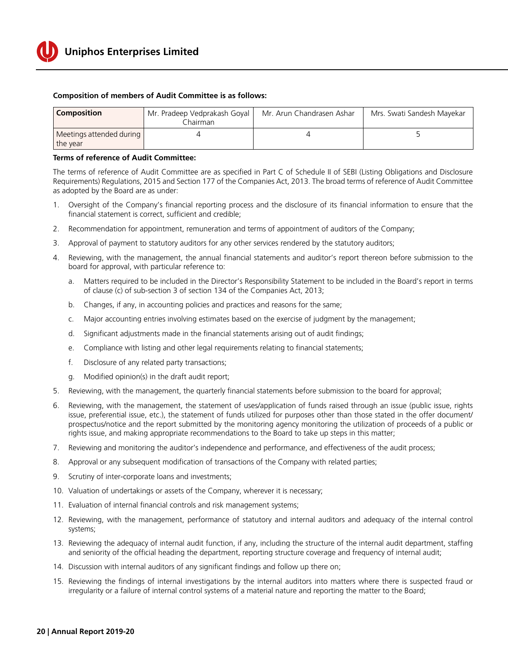

#### **Composition of members of Audit Committee is as follows:**

| <b>Composition</b>                     | Mr. Pradeep Vedprakash Goyal<br>.<br>hairman | Mr. Arun Chandrasen Ashar | Mrs. Swati Sandesh Mayekar |
|----------------------------------------|----------------------------------------------|---------------------------|----------------------------|
| Meetings attended during  <br>the year |                                              |                           |                            |

#### **Terms of reference of Audit Committee:**

The terms of reference of Audit Committee are as specified in Part C of Schedule II of SEBI (Listing Obligations and Disclosure Requirements) Regulations, 2015 and Section 177 of the Companies Act, 2013. The broad terms of reference of Audit Committee as adopted by the Board are as under:

- 1. Oversight of the Company's financial reporting process and the disclosure of its financial information to ensure that the financial statement is correct, sufficient and credible;
- 2. Recommendation for appointment, remuneration and terms of appointment of auditors of the Company;
- 3. Approval of payment to statutory auditors for any other services rendered by the statutory auditors;
- 4. Reviewing, with the management, the annual financial statements and auditor's report thereon before submission to the board for approval, with particular reference to:
	- a. Matters required to be included in the Director's Responsibility Statement to be included in the Board's report in terms of clause (c) of sub-section 3 of section 134 of the Companies Act, 2013;
	- b. Changes, if any, in accounting policies and practices and reasons for the same;
	- c. Major accounting entries involving estimates based on the exercise of judgment by the management;
	- d. Significant adjustments made in the financial statements arising out of audit findings;
	- e. Compliance with listing and other legal requirements relating to financial statements;
	- f. Disclosure of any related party transactions;
	- g. Modified opinion(s) in the draft audit report;
- 5. Reviewing, with the management, the quarterly financial statements before submission to the board for approval;
- 6. Reviewing, with the management, the statement of uses/application of funds raised through an issue (public issue, rights issue, preferential issue, etc.), the statement of funds utilized for purposes other than those stated in the offer document/ prospectus/notice and the report submitted by the monitoring agency monitoring the utilization of proceeds of a public or rights issue, and making appropriate recommendations to the Board to take up steps in this matter;
- 7. Reviewing and monitoring the auditor's independence and performance, and effectiveness of the audit process;
- 8. Approval or any subsequent modification of transactions of the Company with related parties;
- 9. Scrutiny of inter-corporate loans and investments;
- 10. Valuation of undertakings or assets of the Company, wherever it is necessary;
- 11. Evaluation of internal financial controls and risk management systems;
- 12. Reviewing, with the management, performance of statutory and internal auditors and adequacy of the internal control systems;
- 13. Reviewing the adequacy of internal audit function, if any, including the structure of the internal audit department, staffing and seniority of the official heading the department, reporting structure coverage and frequency of internal audit;
- 14. Discussion with internal auditors of any significant findings and follow up there on;
- 15. Reviewing the findings of internal investigations by the internal auditors into matters where there is suspected fraud or irregularity or a failure of internal control systems of a material nature and reporting the matter to the Board;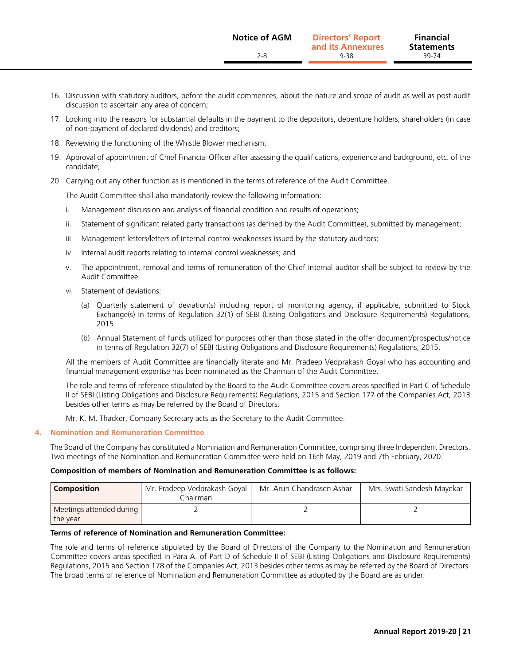- 16. Discussion with statutory auditors, before the audit commences, about the nature and scope of audit as well as post-audit discussion to ascertain any area of concern;
- 17. Looking into the reasons for substantial defaults in the payment to the depositors, debenture holders, shareholders (in case of non-payment of declared dividends) and creditors;
- 18. Reviewing the functioning of the Whistle Blower mechanism;
- 19. Approval of appointment of Chief Financial Officer after assessing the qualifications, experience and background, etc. of the candidate;
- 20. Carrying out any other function as is mentioned in the terms of reference of the Audit Committee.

The Audit Committee shall also mandatorily review the following information:

- i. Management discussion and analysis of financial condition and results of operations;
- ii. Statement of significant related party transactions (as defined by the Audit Committee), submitted by management;
- iii. Management letters/letters of internal control weaknesses issued by the statutory auditors;
- iv. Internal audit reports relating to internal control weaknesses; and
- v. The appointment, removal and terms of remuneration of the Chief internal auditor shall be subject to review by the Audit Committee.
- vi. Statement of deviations:
	- (a) Quarterly statement of deviation(s) including report of monitoring agency, if applicable, submitted to Stock Exchange(s) in terms of Regulation 32(1) of SEBI (Listing Obligations and Disclosure Requirements) Regulations, 2015.
	- (b) Annual Statement of funds utilized for purposes other than those stated in the offer document/prospectus/notice in terms of Regulation 32(7) of SEBI (Listing Obligations and Disclosure Requirements) Regulations, 2015.

 All the members of Audit Committee are financially literate and Mr. Pradeep Vedprakash Goyal who has accounting and financial management expertise has been nominated as the Chairman of the Audit Committee.

 The role and terms of reference stipulated by the Board to the Audit Committee covers areas specified in Part C of Schedule II of SEBI (Listing Obligations and Disclosure Requirements) Regulations, 2015 and Section 177 of the Companies Act, 2013 besides other terms as may be referred by the Board of Directors.

Mr. K. M. Thacker, Company Secretary acts as the Secretary to the Audit Committee.

#### **4. Nomination and Remuneration Committee**

The Board of the Company has constituted a Nomination and Remuneration Committee, comprising three Independent Directors. Two meetings of the Nomination and Remuneration Committee were held on 16th May, 2019 and 7th February, 2020.

#### **Composition of members of Nomination and Remuneration Committee is as follows:**

| <b>Composition</b>                   | Mr. Pradeep Vedprakash Goyal<br>Chairman | Mr. Arun Chandrasen Ashar | Mrs. Swati Sandesh Mayekar |
|--------------------------------------|------------------------------------------|---------------------------|----------------------------|
| Meetings attended during<br>the year |                                          |                           |                            |

#### **Terms of reference of Nomination and Remuneration Committee:**

The role and terms of reference stipulated by the Board of Directors of the Company to the Nomination and Remuneration Committee covers areas specified in Para A. of Part D of Schedule II of SEBI (Listing Obligations and Disclosure Requirements) Regulations, 2015 and Section 178 of the Companies Act, 2013 besides other terms as may be referred by the Board of Directors. The broad terms of reference of Nomination and Remuneration Committee as adopted by the Board are as under: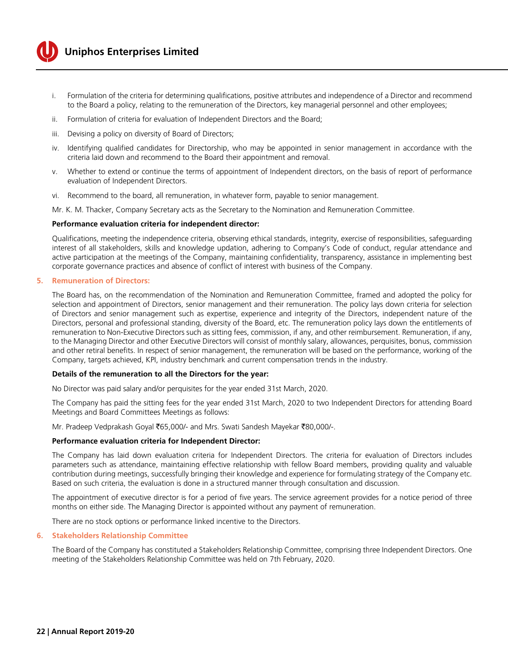

- i. Formulation of the criteria for determining qualifications, positive attributes and independence of a Director and recommend to the Board a policy, relating to the remuneration of the Directors, key managerial personnel and other employees;
- ii. Formulation of criteria for evaluation of Independent Directors and the Board;
- iii. Devising a policy on diversity of Board of Directors;
- iv. Identifying qualified candidates for Directorship, who may be appointed in senior management in accordance with the criteria laid down and recommend to the Board their appointment and removal.
- v. Whether to extend or continue the terms of appointment of Independent directors, on the basis of report of performance evaluation of Independent Directors.
- vi. Recommend to the board, all remuneration, in whatever form, payable to senior management.

Mr. K. M. Thacker, Company Secretary acts as the Secretary to the Nomination and Remuneration Committee.

#### **Performance evaluation criteria for independent director:**

Qualifications, meeting the independence criteria, observing ethical standards, integrity, exercise of responsibilities, safeguarding interest of all stakeholders, skills and knowledge updation, adhering to Company's Code of conduct, regular attendance and active participation at the meetings of the Company, maintaining confidentiality, transparency, assistance in implementing best corporate governance practices and absence of conflict of interest with business of the Company.

#### **5. Remuneration of Directors:**

The Board has, on the recommendation of the Nomination and Remuneration Committee, framed and adopted the policy for selection and appointment of Directors, senior management and their remuneration. The policy lays down criteria for selection of Directors and senior management such as expertise, experience and integrity of the Directors, independent nature of the Directors, personal and professional standing, diversity of the Board, etc. The remuneration policy lays down the entitlements of remuneration to Non-Executive Directors such as sitting fees, commission, if any, and other reimbursement. Remuneration, if any, to the Managing Director and other Executive Directors will consist of monthly salary, allowances, perquisites, bonus, commission and other retiral benefits. In respect of senior management, the remuneration will be based on the performance, working of the Company, targets achieved, KPI, industry benchmark and current compensation trends in the industry.

#### **Details of the remuneration to all the Directors for the year:**

No Director was paid salary and/or perquisites for the year ended 31st March, 2020.

The Company has paid the sitting fees for the year ended 31st March, 2020 to two Independent Directors for attending Board Meetings and Board Committees Meetings as follows:

Mr. Pradeep Vedprakash Goyal ₹65,000/- and Mrs. Swati Sandesh Mayekar ₹80,000/-.

#### **Performance evaluation criteria for Independent Director:**

The Company has laid down evaluation criteria for Independent Directors. The criteria for evaluation of Directors includes parameters such as attendance, maintaining effective relationship with fellow Board members, providing quality and valuable contribution during meetings, successfully bringing their knowledge and experience for formulating strategy of the Company etc. Based on such criteria, the evaluation is done in a structured manner through consultation and discussion.

The appointment of executive director is for a period of five years. The service agreement provides for a notice period of three months on either side. The Managing Director is appointed without any payment of remuneration.

There are no stock options or performance linked incentive to the Directors.

#### **6. Stakeholders Relationship Committee**

The Board of the Company has constituted a Stakeholders Relationship Committee, comprising three Independent Directors. One meeting of the Stakeholders Relationship Committee was held on 7th February, 2020.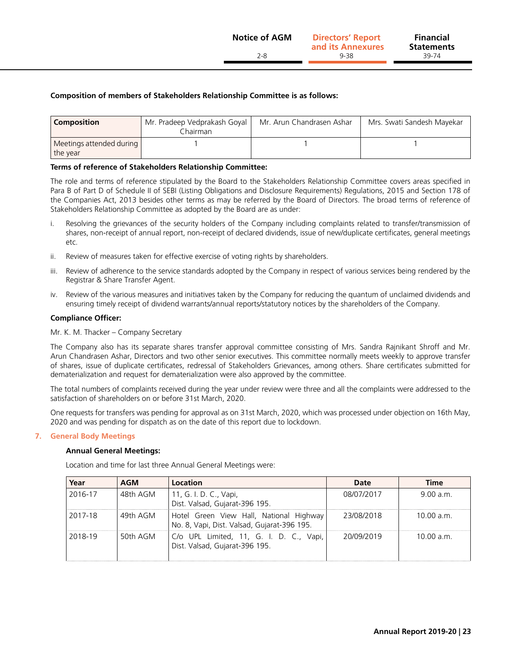#### **Composition of members of Stakeholders Relationship Committee is as follows:**

| <b>Composition</b>                   | Mr. Pradeep Vedprakash Goyal<br>. hairman | Mr. Arun Chandrasen Ashar | Mrs. Swati Sandesh Mayekar |
|--------------------------------------|-------------------------------------------|---------------------------|----------------------------|
| Meetings attended during<br>the year |                                           |                           |                            |

#### **Terms of reference of Stakeholders Relationship Committee:**

The role and terms of reference stipulated by the Board to the Stakeholders Relationship Committee covers areas specified in Para B of Part D of Schedule II of SEBI (Listing Obligations and Disclosure Requirements) Regulations, 2015 and Section 178 of the Companies Act, 2013 besides other terms as may be referred by the Board of Directors. The broad terms of reference of Stakeholders Relationship Committee as adopted by the Board are as under:

- i. Resolving the grievances of the security holders of the Company including complaints related to transfer/transmission of shares, non-receipt of annual report, non-receipt of declared dividends, issue of new/duplicate certificates, general meetings etc.
- ii. Review of measures taken for effective exercise of voting rights by shareholders.
- iii. Review of adherence to the service standards adopted by the Company in respect of various services being rendered by the Registrar & Share Transfer Agent.
- iv. Review of the various measures and initiatives taken by the Company for reducing the quantum of unclaimed dividends and ensuring timely receipt of dividend warrants/annual reports/statutory notices by the shareholders of the Company.

#### **Compliance Officer:**

#### Mr. K. M. Thacker – Company Secretary

The Company also has its separate shares transfer approval committee consisting of Mrs. Sandra Rajnikant Shroff and Mr. Arun Chandrasen Ashar, Directors and two other senior executives. This committee normally meets weekly to approve transfer of shares, issue of duplicate certificates, redressal of Stakeholders Grievances, among others. Share certificates submitted for dematerialization and request for dematerialization were also approved by the committee.

The total numbers of complaints received during the year under review were three and all the complaints were addressed to the satisfaction of shareholders on or before 31st March, 2020.

One requests for transfers was pending for approval as on 31st March, 2020, which was processed under objection on 16th May, 2020 and was pending for dispatch as on the date of this report due to lockdown.

#### **7. General Body Meetings**

#### **Annual General Meetings:**

Location and time for last three Annual General Meetings were:

| Year    | AGM      | Location                                                                               | Date       | Time       |
|---------|----------|----------------------------------------------------------------------------------------|------------|------------|
| 2016-17 | 48th AGM | 11, G. I. D. C., Vapi,<br>Dist. Valsad, Gujarat-396 195.                               | 08/07/2017 | 9.00 a.m.  |
| 2017-18 | 49th AGM | Hotel Green View Hall, National Highway<br>No. 8, Vapi, Dist. Valsad, Gujarat-396 195. | 23/08/2018 | 10.00 a.m. |
| 2018-19 | 50th AGM | C/o UPL Limited, 11, G. I. D. C., Vapi,<br>Dist. Valsad, Gujarat-396 195.              | 20/09/2019 | $1000a$ m  |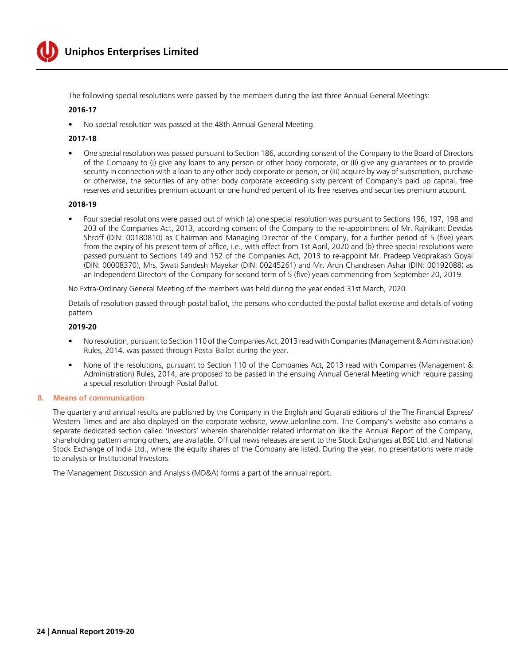

The following special resolutions were passed by the members during the last three Annual General Meetings:

#### **2016-17**

No special resolution was passed at the 48th Annual General Meeting.

#### **2017-18**

One special resolution was passed pursuant to Section 186, according consent of the Company to the Board of Directors of the Company to (i) give any loans to any person or other body corporate, or (ii) give any guarantees or to provide security in connection with a loan to any other body corporate or person, or (iii) acquire by way of subscription, purchase or otherwise, the securities of any other body corporate exceeding sixty percent of Company's paid up capital, free reserves and securities premium account or one hundred percent of its free reserves and securities premium account.

#### **2018-19**

Four special resolutions were passed out of which (a) one special resolution was pursuant to Sections 196, 197, 198 and 203 of the Companies Act, 2013, according consent of the Company to the re-appointment of Mr. Rajnikant Devidas Shroff (DIN: 00180810) as Chairman and Managing Director of the Company, for a further period of 5 (five) years from the expiry of his present term of office, i.e., with effect from 1st April, 2020 and (b) three special resolutions were passed pursuant to Sections 149 and 152 of the Companies Act, 2013 to re-appoint Mr. Pradeep Vedprakash Goyal (DIN: 00008370), Mrs. Swati Sandesh Mayekar (DIN: 00245261) and Mr. Arun Chandrasen Ashar (DIN: 00192088) as an Independent Directors of the Company for second term of 5 (five) years commencing from September 20, 2019.

No Extra-Ordinary General Meeting of the members was held during the year ended 31st March, 2020.

 Details of resolution passed through postal ballot, the persons who conducted the postal ballot exercise and details of voting pattern

#### **2019-20**

- No resolution, pursuant to Section 110 of the Companies Act, 2013 read with Companies (Management & Administration) Rules, 2014, was passed through Postal Ballot during the year.
- None of the resolutions, pursuant to Section 110 of the Companies Act, 2013 read with Companies (Management & Administration) Rules, 2014, are proposed to be passed in the ensuing Annual General Meeting which require passing a special resolution through Postal Ballot.

#### **8. Means of communication**

The quarterly and annual results are published by the Company in the English and Gujarati editions of the The Financial Express/ Western Times and are also displayed on the corporate website, [www.uelonline.com.](www.uelonline.com) The Company's website also contains a separate dedicated section called 'Investors' wherein shareholder related information like the Annual Report of the Company, shareholding pattern among others, are available. Official news releases are sent to the Stock Exchanges at BSE Ltd. and National Stock Exchange of India Ltd., where the equity shares of the Company are listed. During the year, no presentations were made to analysts or Institutional Investors.

The Management Discussion and Analysis (MD&A) forms a part of the annual report.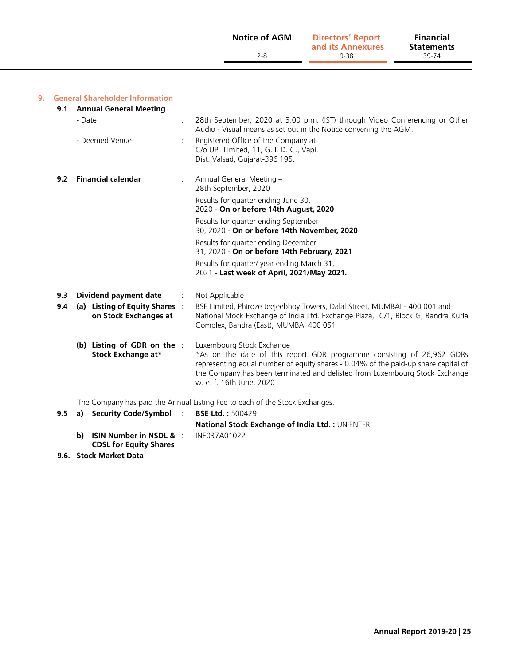| <b>Notice of AGM</b> | <b>Directors' Report</b><br>and its Annexures | <b>Financial</b><br><b>Statements</b> |  |
|----------------------|-----------------------------------------------|---------------------------------------|--|
| 2-8                  | 9-38                                          | 39-74                                 |  |

#### **9. General Shareholder Information**

| 9.1 | <b>Annual General Meeting</b>                          |                                                                                                                                                                                                                                                                                                      |
|-----|--------------------------------------------------------|------------------------------------------------------------------------------------------------------------------------------------------------------------------------------------------------------------------------------------------------------------------------------------------------------|
|     | - Date                                                 | 28th September, 2020 at 3.00 p.m. (IST) through Video Conferencing or Other<br>Audio - Visual means as set out in the Notice convening the AGM.                                                                                                                                                      |
|     | - Deemed Venue                                         | Registered Office of the Company at<br>C/o UPL Limited, 11, G. I. D. C., Vapi,<br>Dist. Valsad, Gujarat-396 195.                                                                                                                                                                                     |
| 9.2 | <b>Financial calendar</b>                              | Annual General Meeting -<br>28th September, 2020                                                                                                                                                                                                                                                     |
|     |                                                        | Results for quarter ending June 30,<br>2020 - On or before 14th August, 2020                                                                                                                                                                                                                         |
|     |                                                        | Results for quarter ending September<br>30, 2020 - On or before 14th November, 2020                                                                                                                                                                                                                  |
|     |                                                        | Results for quarter ending December<br>31, 2020 - On or before 14th February, 2021                                                                                                                                                                                                                   |
|     |                                                        | Results for quarter/ year ending March 31,<br>2021 - Last week of April, 2021/May 2021.                                                                                                                                                                                                              |
| 9.3 | Dividend payment date                                  | Not Applicable                                                                                                                                                                                                                                                                                       |
| 9.4 | (a) Listing of Equity Shares:<br>on Stock Exchanges at | BSE Limited, Phiroze Jeejeebhoy Towers, Dalal Street, MUMBAI - 400 001 and<br>National Stock Exchange of India Ltd. Exchange Plaza, C/1, Block G, Bandra Kurla<br>Complex, Bandra (East), MUMBAI 400 051                                                                                             |
|     | (b) Listing of GDR on the :<br>Stock Exchange at*      | Luxembourg Stock Exchange<br>*As on the date of this report GDR programme consisting of 26,962 GDRs<br>representing equal number of equity shares - 0.04% of the paid-up share capital of<br>the Company has been terminated and delisted from Luxembourg Stock Exchange<br>w. e. f. 16th June, 2020 |
|     |                                                        | The Company has paid the Annual Listing Fee to each of the Stock Exchanges.                                                                                                                                                                                                                          |
| 9.5 | <b>Security Code/Symbol</b><br>a)                      | <b>BSE Ltd.: 500429</b>                                                                                                                                                                                                                                                                              |
|     |                                                        | National Stock Exchange of India Ltd.: UNIENTER                                                                                                                                                                                                                                                      |

- **National Stock Exchange of India Ltd. :** UNIENTER **b) ISIN Number in NSDL &**  : INE037A01022 **CDSL for Equity Shares**
- **9.6. Stock Market Data**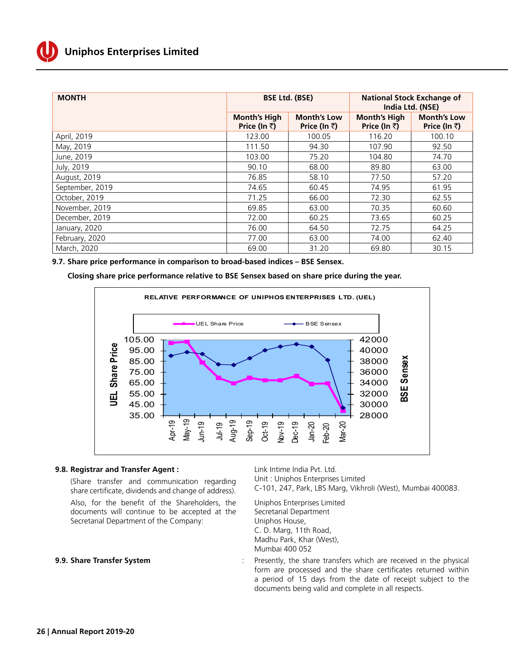

| <b>MONTH</b>    | <b>BSE Ltd. (BSE)</b>               |                                    | <b>National Stock Exchange of</b><br>India Ltd. (NSE) |                                    |  |
|-----------------|-------------------------------------|------------------------------------|-------------------------------------------------------|------------------------------------|--|
|                 | <b>Month's High</b><br>Price (In ₹) | <b>Month's Low</b><br>Price (In ₹) | <b>Month's High</b><br>Price (In ₹)                   | <b>Month's Low</b><br>Price (In ₹) |  |
| April, 2019     | 123.00                              | 100.05                             | 116.20                                                | 100.10                             |  |
| May, 2019       | 111.50                              | 94.30                              | 107.90                                                | 92.50                              |  |
| June, 2019      | 103.00                              | 75.20                              | 104.80                                                | 74.70                              |  |
| July, 2019      | 90.10                               | 68.00                              | 89.80                                                 | 63.00                              |  |
| August, 2019    | 76.85                               | 58.10                              | 77.50                                                 | 57.20                              |  |
| September, 2019 | 74.65                               | 60.45                              | 74.95                                                 | 61.95                              |  |
| October, 2019   | 71.25                               | 66.00                              | 72.30                                                 | 62.55                              |  |
| November, 2019  | 69.85                               | 63.00                              | 70.35                                                 | 60.60                              |  |
| December, 2019  | 72.00                               | 60.25                              | 73.65                                                 | 60.25                              |  |
| January, 2020   | 76.00                               | 64.50                              | 72.75                                                 | 64.25                              |  |
| February, 2020  | 77.00                               | 63.00                              | 74.00                                                 | 62.40                              |  |
| March, 2020     | 69.00                               | 31.20                              | 69.80                                                 | 30.15                              |  |

**9.7. Share price performance in comparison to broad-based indices – BSE Sensex.**

 **Closing share price performance relative to BSE Sensex based on share price during the year.**



#### **9.8. Registrar and Transfer Agent :** Link Intime India Pvt. Ltd.

share certificate, dividends and change of address).

Also, for the benefit of the Shareholders, the documents will continue to be accepted at the Secretarial Department of the Company:

Unit : Uniphos Enterprises Limited (Share transfer and communication regarding Unit: Uniphos-Enterprises-Limited<br>Share cortificate dividends and change of address) C-101, 247, Park, LBS Marg, Vikhroli (West), Mumbai 400083.

> Uniphos Enterprises Limited Secretarial Department Uniphos House, C. D. Marg, 11th Road, Madhu Park, Khar (West), Mumbai 400 052

**9.9. Share Transfer System Share Transfer System :** Presently, the share transfers which are received in the physical form are processed and the share certificates returned within a period of 15 days from the date of receipt subject to the documents being valid and complete in all respects.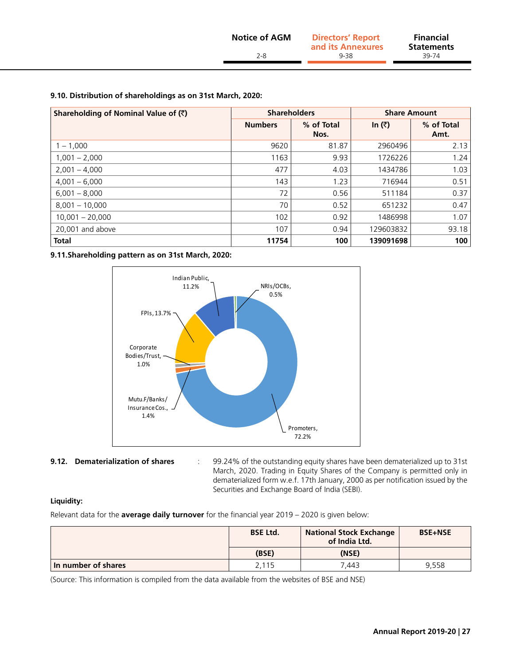#### **9.10. Distribution of shareholdings as on 31st March, 2020:**

| Shareholding of Nominal Value of (₹) |                | <b>Shareholders</b> |           | <b>Share Amount</b> |  |  |
|--------------------------------------|----------------|---------------------|-----------|---------------------|--|--|
|                                      | <b>Numbers</b> | % of Total<br>Nos.  | In $(3)$  | % of Total<br>Amt.  |  |  |
| $1 - 1,000$                          | 9620           | 81.87               | 2960496   | 2.13                |  |  |
| $1,001 - 2,000$                      | 1163           | 9.93                | 1726226   | 1.24                |  |  |
| $2,001 - 4,000$                      | 477            | 4.03                | 1434786   | 1.03                |  |  |
| $4,001 - 6,000$                      | 143            | 1.23                | 716944    | 0.51                |  |  |
| $6,001 - 8,000$                      | 72             | 0.56                | 511184    | 0.37                |  |  |
| $8.001 - 10.000$                     | 70             | 0.52                | 651232    | 0.47                |  |  |
| $10,001 - 20,000$                    | 102            | 0.92                | 1486998   | 1.07                |  |  |
| 20,001 and above                     | 107            | 0.94                | 129603832 | 93.18               |  |  |
| <b>Total</b>                         | 11754          | 100                 | 139091698 | 100                 |  |  |

**9.11.Shareholding pattern as on 31st March, 2020:**



**9.12. Dematerialization of shares** : 99.24% of the outstanding equity shares have been dematerialized up to 31st

March, 2020. Trading in Equity Shares of the Company is permitted only in dematerialized form w.e.f. 17th January, 2000 as per notification issued by the Securities and Exchange Board of India (SEBI).

#### **Liquidity:**

Relevant data for the **average daily turnover** for the financial year 2019 – 2020 is given below:

|                     | <b>BSE Ltd.</b> | <b>National Stock Exchange</b><br>of India Ltd. | <b>BSE+NSE</b> |
|---------------------|-----------------|-------------------------------------------------|----------------|
|                     | (BSE)           | (NSE)                                           |                |
| In number of shares | 2,115           | 7.443                                           | 9.558          |

(Source: This information is compiled from the data available from the websites of BSE and NSE)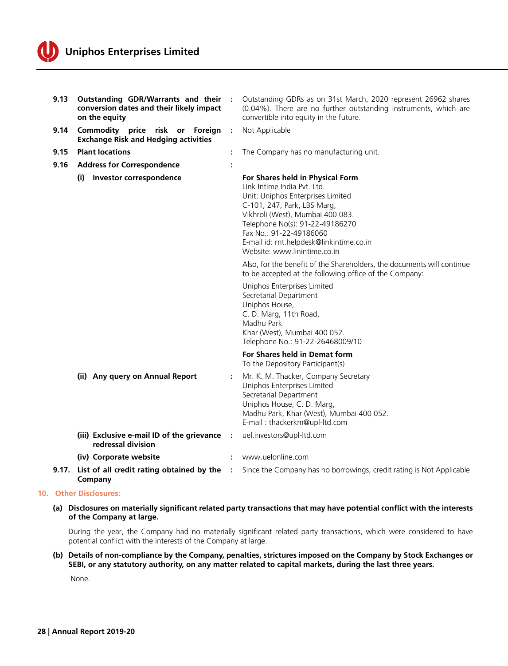

| 9.13  | Outstanding GDR/Warrants and their<br>conversion dates and their likely impact<br>on the equity |   | Outstanding GDRs as on 31st March, 2020 represent 26962 shares<br>(0.04%). There are no further outstanding instruments, which are<br>convertible into equity in the future.                                                                                                                                                                                                                                                                                                                                                                                                                                                                 |
|-------|-------------------------------------------------------------------------------------------------|---|----------------------------------------------------------------------------------------------------------------------------------------------------------------------------------------------------------------------------------------------------------------------------------------------------------------------------------------------------------------------------------------------------------------------------------------------------------------------------------------------------------------------------------------------------------------------------------------------------------------------------------------------|
| 9.14  | Commodity price risk or<br>Foreign<br><b>Exchange Risk and Hedging activities</b>               | ÷ | Not Applicable                                                                                                                                                                                                                                                                                                                                                                                                                                                                                                                                                                                                                               |
| 9.15  | <b>Plant locations</b>                                                                          | ÷ | The Company has no manufacturing unit.                                                                                                                                                                                                                                                                                                                                                                                                                                                                                                                                                                                                       |
| 9.16  | <b>Address for Correspondence</b>                                                               |   |                                                                                                                                                                                                                                                                                                                                                                                                                                                                                                                                                                                                                                              |
|       | (i) Investor correspondence                                                                     |   | For Shares held in Physical Form<br>Link Intime India Pvt. Ltd.<br>Unit: Uniphos Enterprises Limited<br>C-101, 247, Park, LBS Marg,<br>Vikhroli (West), Mumbai 400 083.<br>Telephone No(s): 91-22-49186270<br>Fax No.: 91-22-49186060<br>E-mail id: rnt.helpdesk@linkintime.co.in<br>Website: www.linintime.co.in<br>Also, for the benefit of the Shareholders, the documents will continue<br>to be accepted at the following office of the Company:<br>Uniphos Enterprises Limited<br>Secretarial Department<br>Uniphos House,<br>C. D. Marg, 11th Road,<br>Madhu Park<br>Khar (West), Mumbai 400 052.<br>Telephone No.: 91-22-26468009/10 |
|       |                                                                                                 |   | For Shares held in Demat form<br>To the Depository Participant(s)                                                                                                                                                                                                                                                                                                                                                                                                                                                                                                                                                                            |
|       | (ii) Any query on Annual Report                                                                 |   | Mr. K. M. Thacker, Company Secretary<br>Uniphos Enterprises Limited<br>Secretarial Department<br>Uniphos House, C. D. Marg,<br>Madhu Park, Khar (West), Mumbai 400 052.<br>E-mail: thackerkm@upl-ltd.com                                                                                                                                                                                                                                                                                                                                                                                                                                     |
|       | (iii) Exclusive e-mail ID of the grievance<br>redressal division                                |   | uel.investors@upl-ltd.com                                                                                                                                                                                                                                                                                                                                                                                                                                                                                                                                                                                                                    |
|       | (iv) Corporate website                                                                          | ÷ | www.uelonline.com                                                                                                                                                                                                                                                                                                                                                                                                                                                                                                                                                                                                                            |
| 9.17. | List of all credit rating obtained by the<br>Company                                            |   | Since the Company has no borrowings, credit rating is Not Applicable                                                                                                                                                                                                                                                                                                                                                                                                                                                                                                                                                                         |

#### **10. Other Disclosures:**

**(a) Disclosures on materially significant related party transactions that may have potential conflict with the interests of the Company at large.**

 During the year, the Company had no materially significant related party transactions, which were considered to have potential conflict with the interests of the Company at large.

#### **(b) Details of non-compliance by the Company, penalties, strictures imposed on the Company by Stock Exchanges or SEBI, or any statutory authority, on any matter related to capital markets, during the last three years.**

None.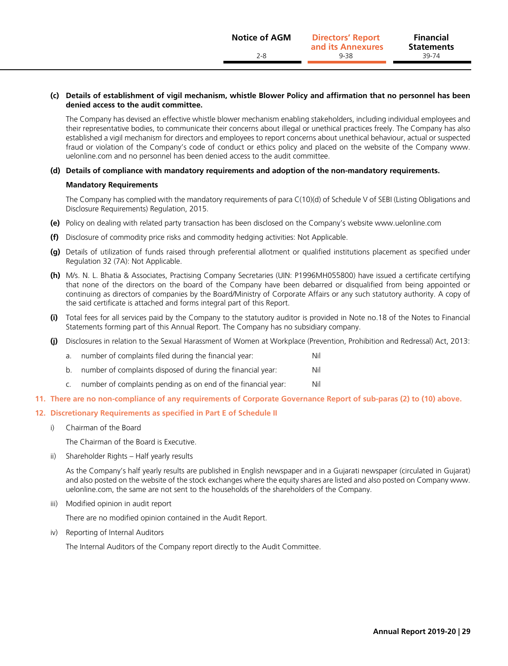#### **(c) Details of establishment of vigil mechanism, whistle Blower Policy and affirmation that no personnel has been denied access to the audit committee.**

 The Company has devised an effective whistle blower mechanism enabling stakeholders, including individual employees and their representative bodies, to communicate their concerns about illegal or unethical practices freely. The Company has also established a vigil mechanism for directors and employees to report concerns about unethical behaviour, actual or suspected fraud or violation of the Company's code of conduct or ethics policy and placed on the website of the Company [www.](www.uelonline.com) [uelonline.com](www.uelonline.com) and no personnel has been denied access to the audit committee.

#### **(d) Details of compliance with mandatory requirements and adoption of the non-mandatory requirements.**

#### **Mandatory Requirements**

 The Company has complied with the mandatory requirements of para C(10)(d) of Schedule V of SEBI (Listing Obligations and Disclosure Requirements) Regulation, 2015.

- **(e)** Policy on dealing with related party transaction has been disclosed on the Company's website <www.uelonline.com>
- **(f)** Disclosure of commodity price risks and commodity hedging activities: Not Applicable.
- **(g)** Details of utilization of funds raised through preferential allotment or qualified institutions placement as specified under Regulation 32 (7A): Not Applicable.
- **(h)** M/s. N. L. Bhatia & Associates, Practising Company Secretaries (UIN: P1996MH055800) have issued a certificate certifying that none of the directors on the board of the Company have been debarred or disqualified from being appointed or continuing as directors of companies by the Board/Ministry of Corporate Affairs or any such statutory authority. A copy of the said certificate is attached and forms integral part of this Report.
- **(i)** Total fees for all services paid by the Company to the statutory auditor is provided in Note no.18 of the Notes to Financial Statements forming part of this Annual Report. The Company has no subsidiary company.
- **(j)** Disclosures in relation to the Sexual Harassment of Women at Workplace (Prevention, Prohibition and Redressal) Act, 2013:
	- a. number of complaints filed during the financial year: Nil
	- b. number of complaints disposed of during the financial year: Nil
	- c. number of complaints pending as on end of the financial year: Nil

#### **11. There are no non-compliance of any requirements of Corporate Governance Report of sub-paras (2) to (10) above.**

#### **12. Discretionary Requirements as specified in Part E of Schedule II**

i) Chairman of the Board

The Chairman of the Board is Executive.

ii) Shareholder Rights – Half yearly results

 As the Company's half yearly results are published in English newspaper and in a Gujarati newspaper (circulated in Gujarat) and also posted on the website of the stock exchanges where the equity shares are listed and also posted on Company [www.](www.uelonline.com) [uelonline.com](www.uelonline.com), the same are not sent to the households of the shareholders of the Company.

iii) Modified opinion in audit report

There are no modified opinion contained in the Audit Report.

iv) Reporting of Internal Auditors

The Internal Auditors of the Company report directly to the Audit Committee.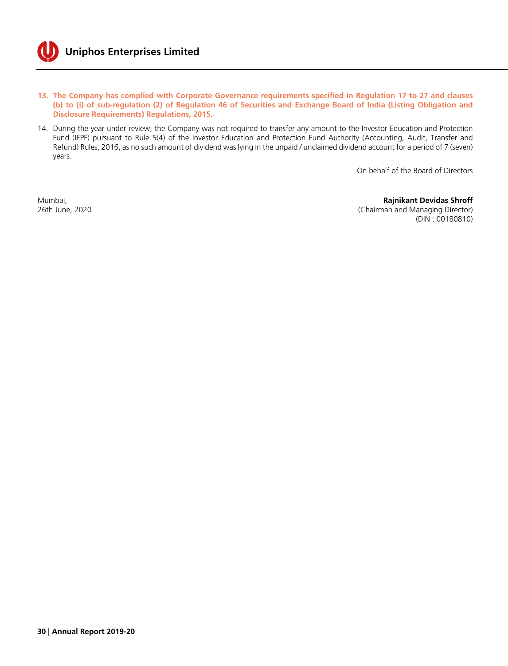

- **13. The Company has complied with Corporate Governance requirements specified in Regulation 17 to 27 and clauses (b) to (i) of sub-regulation (2) of Regulation 46 of Securities and Exchange Board of India (Listing Obligation and Disclosure Requirements) Regulations, 2015.**
- 14. During the year under review, the Company was not required to transfer any amount to the Investor Education and Protection Fund (IEPF) pursuant to Rule 5(4) of the Investor Education and Protection Fund Authority (Accounting, Audit, Transfer and Refund) Rules, 2016, as no such amount of dividend was lying in the unpaid / unclaimed dividend account for a period of 7 (seven) years.

On behalf of the Board of Directors

Mumbai, **Rajnikant Devidas Shroff**<br>
26th June, 2020<br>
26th June, 2020 (Chairman and Managing Director) (DIN : 00180810)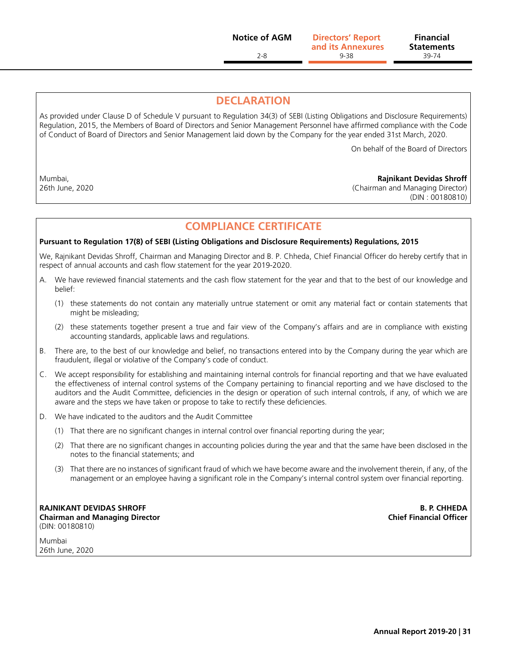2-8 9-38 39-74 **Directors' Report Notice of AGM Financial and its Annexures**

**Statements**

# **DECLARATION**

As provided under Clause D of Schedule V pursuant to Regulation 34(3) of SEBI (Listing Obligations and Disclosure Requirements) Regulation, 2015, the Members of Board of Directors and Senior Management Personnel have affirmed compliance with the Code of Conduct of Board of Directors and Senior Management laid down by the Company for the year ended 31st March, 2020.

On behalf of the Board of Directors

Mumbai, **Rajnikant Devidas Shroff**

26th June, 2020 (Chairman and Managing Director) (DIN : 00180810)

# **COMPLIANCE CERTIFICATE**

#### **Pursuant to Regulation 17(8) of SEBI (Listing Obligations and Disclosure Requirements) Regulations, 2015**

We, Rajnikant Devidas Shroff, Chairman and Managing Director and B. P. Chheda, Chief Financial Officer do hereby certify that in respect of annual accounts and cash flow statement for the year 2019-2020.

- A. We have reviewed financial statements and the cash flow statement for the year and that to the best of our knowledge and belief:
	- (1) these statements do not contain any materially untrue statement or omit any material fact or contain statements that might be misleading;
	- (2) these statements together present a true and fair view of the Company's affairs and are in compliance with existing accounting standards, applicable laws and regulations.
- B. There are, to the best of our knowledge and belief, no transactions entered into by the Company during the year which are fraudulent, illegal or violative of the Company's code of conduct.
- C. We accept responsibility for establishing and maintaining internal controls for financial reporting and that we have evaluated the effectiveness of internal control systems of the Company pertaining to financial reporting and we have disclosed to the auditors and the Audit Committee, deficiencies in the design or operation of such internal controls, if any, of which we are aware and the steps we have taken or propose to take to rectify these deficiencies.
- D. We have indicated to the auditors and the Audit Committee
	- (1) That there are no significant changes in internal control over financial reporting during the year;
	- (2) That there are no significant changes in accounting policies during the year and that the same have been disclosed in the notes to the financial statements; and
	- (3) That there are no instances of significant fraud of which we have become aware and the involvement therein, if any, of the management or an employee having a significant role in the Company's internal control system over financial reporting.

**RAJNIKANT DEVIDAS SHROFF B. P. CHHEDA Chairman and Managing Director Chief Financial Officer** (DIN: 00180810)

Mumbai 26th June, 2020

**Annual Report 2019-20 | 31**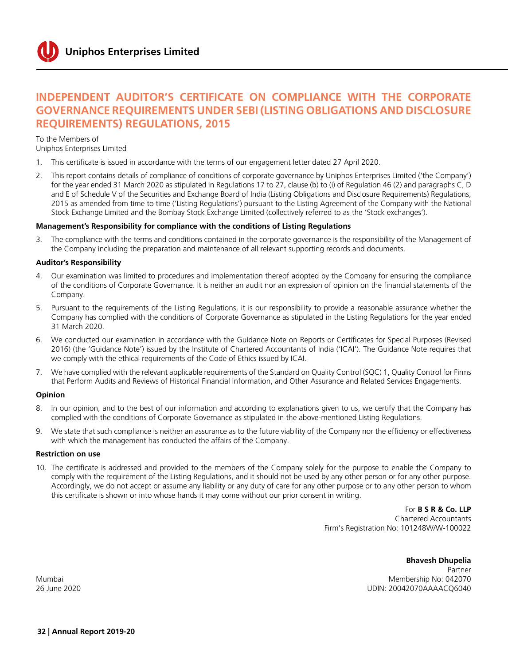# **Independent Auditor's Certificate on Compliance with the Corporate Governance requirements under SEBI (Listing Obligations and Disclosure Requirements) Regulations, 2015**

To the Members of

Uniphos Enterprises Limited

- 1. This certificate is issued in accordance with the terms of our engagement letter dated 27 April 2020.
- 2. This report contains details of compliance of conditions of corporate governance by Uniphos Enterprises Limited ('the Company') for the year ended 31 March 2020 as stipulated in Regulations 17 to 27, clause (b) to (i) of Regulation 46 (2) and paragraphs C, D and E of Schedule V of the Securities and Exchange Board of India (Listing Obligations and Disclosure Requirements) Regulations, 2015 as amended from time to time ('Listing Regulations') pursuant to the Listing Agreement of the Company with the National Stock Exchange Limited and the Bombay Stock Exchange Limited (collectively referred to as the 'Stock exchanges').

#### **Management's Responsibility for compliance with the conditions of Listing Regulations**

The compliance with the terms and conditions contained in the corporate governance is the responsibility of the Management of the Company including the preparation and maintenance of all relevant supporting records and documents.

#### **Auditor's Responsibility**

- 4. Our examination was limited to procedures and implementation thereof adopted by the Company for ensuring the compliance of the conditions of Corporate Governance. It is neither an audit nor an expression of opinion on the financial statements of the Company.
- 5. Pursuant to the requirements of the Listing Regulations, it is our responsibility to provide a reasonable assurance whether the Company has complied with the conditions of Corporate Governance as stipulated in the Listing Regulations for the year ended 31 March 2020.
- 6. We conducted our examination in accordance with the Guidance Note on Reports or Certificates for Special Purposes (Revised 2016) (the 'Guidance Note') issued by the Institute of Chartered Accountants of India ('ICAI'). The Guidance Note requires that we comply with the ethical requirements of the Code of Ethics issued by ICAI.
- 7. We have complied with the relevant applicable requirements of the Standard on Quality Control (SQC) 1, Quality Control for Firms that Perform Audits and Reviews of Historical Financial Information, and Other Assurance and Related Services Engagements.

#### **Opinion**

- 8. In our opinion, and to the best of our information and according to explanations given to us, we certify that the Company has complied with the conditions of Corporate Governance as stipulated in the above-mentioned Listing Regulations.
- 9. We state that such compliance is neither an assurance as to the future viability of the Company nor the efficiency or effectiveness with which the management has conducted the affairs of the Company.

#### **Restriction on use**

10. The certificate is addressed and provided to the members of the Company solely for the purpose to enable the Company to comply with the requirement of the Listing Regulations, and it should not be used by any other person or for any other purpose. Accordingly, we do not accept or assume any liability or any duty of care for any other purpose or to any other person to whom this certificate is shown or into whose hands it may come without our prior consent in writing.

> For **B S R & Co. LLP** Chartered Accountants Firm's Registration No: 101248W/W-100022

## **Bhavesh Dhupelia**

Partner Mumbai Membership No: 042070 26 June 2020 UDIN: 20042070AAAACQ6040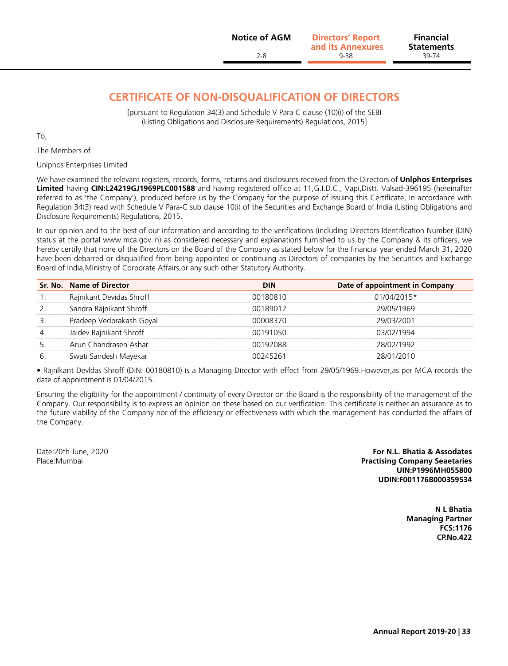# **CERTIFICATE OF NON-DISQUALIFICATION OF DIRECTORS**

[pursuant to Regulation 34(3) and Schedule V Para C clause (10)(i) of the SEBI (Listing Obligations and Disclosure Requirements) Regulations, 2015]

To,

The Members of

Uniphos Enterprises Limited

We have examined the relevant registers, records, forms, returns and disclosures received from the Directors of **Unlphos Enterprises Limited** having **CIN:L24219GJ1969PLC001588** and having registered office at 11,G.I.D.C., Vapi,Distt. Valsad-396195 (hereinafter referred to as 'the Company'), produced before us by the Company for the purpose of issuing this Certificate, in accordance with Regulation 34(3) read with Schedule V Para-C sub clause 10(i) of the Securities and Exchange Board of India (Listing Obligations and Disclosure Requirements) Regulations, 2015.

In our opinion and to the best of our information and according to the verifications (including Directors Identification Number (DIN) status at the portal <www.mca.gov.in>) as considered necessary and explanations furnished to us by the Company & its officers, we hereby certify that none of the Directors on the Board of the Company as stated below for the financial year ended March 31, 2020 have been debarred or disqualified from being appointed or continuing as Directors of companies by the Securities and Exchange Board of India,Ministry of Corporate Affairs,or any such other Statutory Authority.

|    | Sr. No. Name of Director | <b>DIN</b> | Date of appointment in Company |
|----|--------------------------|------------|--------------------------------|
| .  | Rajnikant Devidas Shroff | 00180810   | 01/04/2015*                    |
|    | Sandra Rajnikant Shroff  | 00189012   | 29/05/1969                     |
|    | Pradeep Vedprakash Goyal | 00008370   | 29/03/2001                     |
| 4. | Jaidev Rajnikant Shroff  | 00191050   | 03/02/1994                     |
|    | Arun Chandrasen Ashar    | 00192088   | 28/02/1992                     |
| 6. | Swati Sandesh Mayekar    | 00245261   | 28/01/2010                     |

• Rajnlkant Devldas Shroff (DIN: 00180810) is a Managing Director with effect from 29/05/1969.However,as per MCA records the date of appointment is 01/04/2015.

Ensuring the eligibility for the appointment / continuity of every Director on the Board is the responsibility of the management of the Company. Our responsibility is to express an opinion on these based on our verification. This certificate is neither an assurance as to the future viability of the Company nor of the efficiency or effectiveness with which the management has conducted the affairs of the Company.

Date:20th June, 2020 **For N.L. Bhatia & Assodates** Place:Mumbai **Practising Company Seaetaries UIN:P1996MH055800 UDIN:F001176B000359534**

> **N L Bhatia Managing Partner FCS:1176 CP.No.422**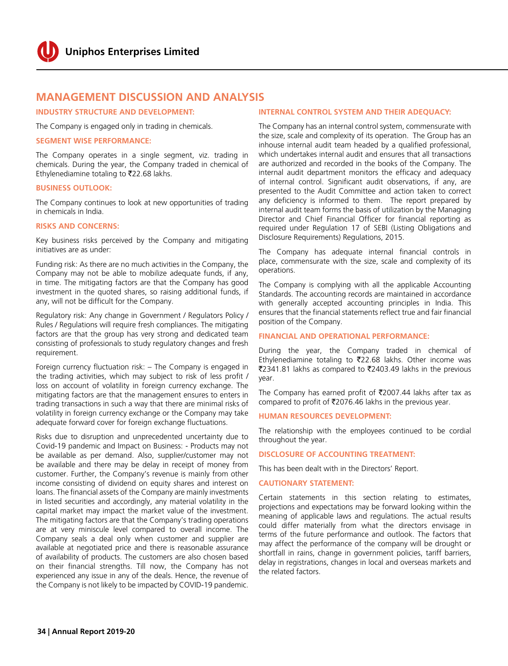### **MANAGEMENT DISCUSSION AND ANALYSIS**

#### **INDUSTRY STRUCTURE AND DEVELOPMENT:**

The Company is engaged only in trading in chemicals.

#### **SEGMENT WISE PERFORMANCE:**

The Company operates in a single segment, viz. trading in chemicals. During the year, the Company traded in chemical of Ethylenediamine totaling to  $\overline{2}22.68$  lakhs.

#### **BUSINESS OUTLOOK:**

The Company continues to look at new opportunities of trading in chemicals in India.

#### **RISKS AND CONCERNS:**

Key business risks perceived by the Company and mitigating initiatives are as under:

Funding risk: As there are no much activities in the Company, the Company may not be able to mobilize adequate funds, if any, in time. The mitigating factors are that the Company has good investment in the quoted shares, so raising additional funds, if any, will not be difficult for the Company.

Regulatory risk: Any change in Government / Regulators Policy / Rules / Regulations will require fresh compliances. The mitigating factors are that the group has very strong and dedicated team consisting of professionals to study regulatory changes and fresh requirement.

Foreign currency fluctuation risk: – The Company is engaged in the trading activities, which may subject to risk of less profit / loss on account of volatility in foreign currency exchange. The mitigating factors are that the management ensures to enters in trading transactions in such a way that there are minimal risks of volatility in foreign currency exchange or the Company may take adequate forward cover for foreign exchange fluctuations.

Risks due to disruption and unprecedented uncertainty due to Covid-19 pandemic and Impact on Business: - Products may not be available as per demand. Also, supplier/customer may not be available and there may be delay in receipt of money from customer. Further, the Company's revenue is mainly from other income consisting of dividend on equity shares and interest on loans. The financial assets of the Company are mainly investments in listed securities and accordingly, any material volatility in the capital market may impact the market value of the investment. The mitigating factors are that the Company's trading operations are at very miniscule level compared to overall income. The Company seals a deal only when customer and supplier are available at negotiated price and there is reasonable assurance of availability of products. The customers are also chosen based on their financial strengths. Till now, the Company has not experienced any issue in any of the deals. Hence, the revenue of the Company is not likely to be impacted by COVID-19 pandemic.

#### **INTERNAL CONTROL SYSTEM AND THEIR ADEQUACY:**

The Company has an internal control system, commensurate with the size, scale and complexity of its operation. The Group has an inhouse internal audit team headed by a qualified professional, which undertakes internal audit and ensures that all transactions are authorized and recorded in the books of the Company. The internal audit department monitors the efficacy and adequacy of internal control. Significant audit observations, if any, are presented to the Audit Committee and action taken to correct any deficiency is informed to them. The report prepared by internal audit team forms the basis of utilization by the Managing Director and Chief Financial Officer for financial reporting as required under Regulation 17 of SEBI (Listing Obligations and Disclosure Requirements) Regulations, 2015.

The Company has adequate internal financial controls in place, commensurate with the size, scale and complexity of its operations.

The Company is complying with all the applicable Accounting Standards. The accounting records are maintained in accordance with generally accepted accounting principles in India. This ensures that the financial statements reflect true and fair financial position of the Company.

#### **FINANCIAL AND OPERATIONAL PERFORMANCE:**

During the year, the Company traded in chemical of Ethylenediamine totaling to  $\overline{2}22.68$  lakhs. Other income was ₹2341.81 lakhs as compared to ₹2403.49 lakhs in the previous year.

The Company has earned profit of  $\overline{\text{2007.44}}$  lakhs after tax as compared to profit of  $\overline{5}2076.46$  lakhs in the previous year.

#### **HUMAN RESOURCES DEVELOPMENT:**

The relationship with the employees continued to be cordial throughout the year.

#### **DISCLOSURE OF ACCOUNTING TREATMENT:**

This has been dealt with in the Directors' Report.

#### **CAUTIONARY STATEMENT:**

Certain statements in this section relating to estimates, projections and expectations may be forward looking within the meaning of applicable laws and regulations. The actual results could differ materially from what the directors envisage in terms of the future performance and outlook. The factors that may affect the performance of the company will be drought or shortfall in rains, change in government policies, tariff barriers, delay in registrations, changes in local and overseas markets and the related factors.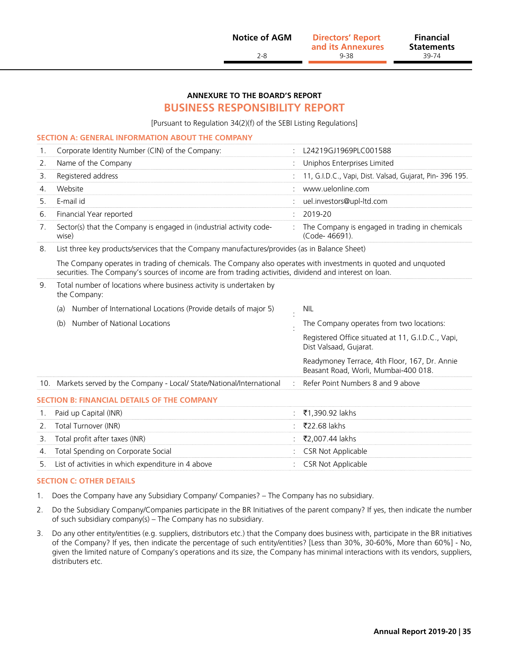2-8 9-38 39-74 **Directors' Report Notice of AGM Financial and its Annexures**

**Statements**<br>39-74

#### **ANNEXURE TO THE BOARD'S REPORT**

#### **BUSINESS RESPONSIBILITY REPORT**

[Pursuant to Regulation 34(2)(f) of the SEBI Listing Regulations]

#### **SECTION A: GENERAL INFORMATION ABOUT THE COMPANY**

|    | Corporate Identity Number (CIN) of the Company:                              | L24219GJ1969PLC001588                                             |
|----|------------------------------------------------------------------------------|-------------------------------------------------------------------|
|    | Name of the Company                                                          | : Uniphos Enterprises Limited                                     |
|    | Registered address                                                           | : 11, G.I.D.C., Vapi, Dist. Valsad, Gujarat, Pin-396 195.         |
|    | Website                                                                      | www.uelonline.com                                                 |
|    | E-mail id                                                                    | uel.investors@upl-ltd.com                                         |
| 6. | Financial Year reported                                                      | 2019-20                                                           |
|    | Sector(s) that the Company is engaged in (industrial activity code-<br>wise) | : The Company is engaged in trading in chemicals<br>(Code-46691). |

8. List three key products/services that the Company manufactures/provides (as in Balance Sheet)

The Company operates in trading of chemicals. The Company also operates with investments in quoted and unquoted securities. The Company's sources of income are from trading activities, dividend and interest on loan.

| Total number of locations where business activity is undertaken by<br>9.<br>the Company: |                                                                         |  |                                                                                       |  |  |  |  |
|------------------------------------------------------------------------------------------|-------------------------------------------------------------------------|--|---------------------------------------------------------------------------------------|--|--|--|--|
|                                                                                          | Number of International Locations (Provide details of major 5)<br>(a)   |  | NIL                                                                                   |  |  |  |  |
|                                                                                          | Number of National Locations<br>(b)                                     |  | The Company operates from two locations:                                              |  |  |  |  |
|                                                                                          |                                                                         |  | Registered Office situated at 11, G.I.D.C., Vapi,<br>Dist Valsaad, Gujarat.           |  |  |  |  |
|                                                                                          |                                                                         |  | Readymoney Terrace, 4th Floor, 167, Dr. Annie<br>Beasant Road, Worli, Mumbai-400 018. |  |  |  |  |
|                                                                                          | 10. Markets served by the Company - Local/ State/National/International |  | Refer Point Numbers 8 and 9 above                                                     |  |  |  |  |
|                                                                                          | <b>SECTION B: FINANCIAL DETAILS OF THE COMPANY</b>                      |  |                                                                                       |  |  |  |  |
|                                                                                          | Paid up Capital (INR)                                                   |  | ₹1,390.92 lakhs                                                                       |  |  |  |  |
| 2.                                                                                       | Total Turnover (INR)                                                    |  | ₹22.68 lakhs                                                                          |  |  |  |  |
| 3.                                                                                       | Total profit after taxes (INR)                                          |  | ₹2,007.44 lakhs                                                                       |  |  |  |  |
| 4.                                                                                       | Total Spending on Corporate Social                                      |  | <b>CSR Not Applicable</b>                                                             |  |  |  |  |
| 5.                                                                                       | List of activities in which expenditure in 4 above                      |  | <b>CSR Not Applicable</b>                                                             |  |  |  |  |

#### **SECTION C: OTHER DETAILS**

- 1. Does the Company have any Subsidiary Company/ Companies? The Company has no subsidiary.
- 2. Do the Subsidiary Company/Companies participate in the BR Initiatives of the parent company? If yes, then indicate the number of such subsidiary company(s) – The Company has no subsidiary.
- 3. Do any other entity/entities (e.g. suppliers, distributors etc.) that the Company does business with, participate in the BR initiatives of the Company? If yes, then indicate the percentage of such entity/entities? [Less than 30%, 30-60%, More than 60%] - No, given the limited nature of Company's operations and its size, the Company has minimal interactions with its vendors, suppliers, distributers etc.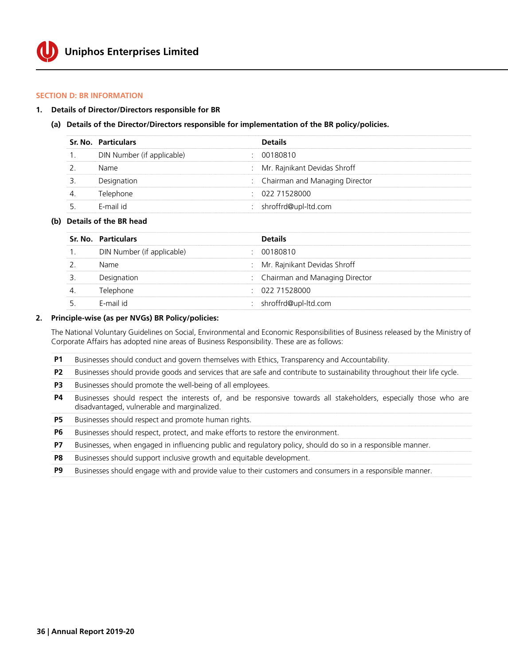#### **SECTION D: BR INFORMATION**

#### **1. Details of Director/Directors responsible for BR**

#### **(a) Details of the Director/Directors responsible for implementation of the BR policy/policies.**

|    | Sr. No. Particulars        | <b>Details</b>                   |
|----|----------------------------|----------------------------------|
|    | DIN Number (if applicable) | 00180810                         |
|    | Name                       | : Mr. Rajnikant Devidas Shroff   |
|    | Designation                | : Chairman and Managing Director |
| 4. | Telephone                  | : 02271528000                    |
|    | F-mail id                  | : shroffrd@upl-ltd.com           |

#### **(b) Details of the BR head**

| Sr. No. Particulars        | <b>Details</b>                   |
|----------------------------|----------------------------------|
| DIN Number (if applicable) | : 00180810                       |
| Name                       | : Mr. Rajnikant Devidas Shroff   |
| Designation                | : Chairman and Managing Director |
| Telephone                  | $\div$ 022 71528000              |
| F-mail id                  | : shroffrd@upl-ltd.com           |

#### **2. Principle-wise (as per NVGs) BR Policy/policies:**

The National Voluntary Guidelines on Social, Environmental and Economic Responsibilities of Business released by the Ministry of Corporate Affairs has adopted nine areas of Business Responsibility. These are as follows:

| <b>P1</b> Businesses should conduct and govern themselves with Ethics. Transparency and Accountability. |  |
|---------------------------------------------------------------------------------------------------------|--|
|---------------------------------------------------------------------------------------------------------|--|

- **P2** Businesses should provide goods and services that are safe and contribute to sustainability throughout their life cycle.
- **P3** Businesses should promote the well-being of all employees.
- **P4** Businesses should respect the interests of, and be responsive towards all stakeholders, especially those who are disadvantaged, vulnerable and marginalized.

**P5** Businesses should respect and promote human rights.

**P6** Businesses should respect, protect, and make efforts to restore the environment.

- **P7** Businesses, when engaged in influencing public and regulatory policy, should do so in a responsible manner.
- **P8** Businesses should support inclusive growth and equitable development.
- **P9** Businesses should engage with and provide value to their customers and consumers in a responsible manner.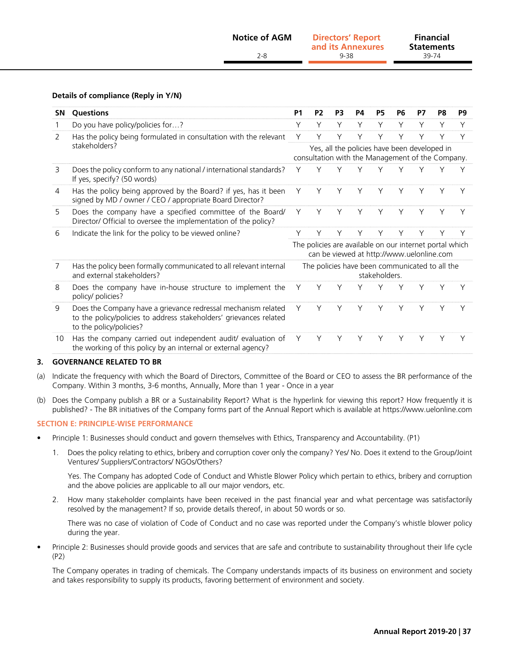|           | <b>Notice of AGM</b><br>$2 - 8$                                   | <b>Directors' Report</b><br>and its Annexures<br>9-38 |                |           |           |           | <b>Financial</b><br><b>Statements</b><br>39-74 |    |    |    |
|-----------|-------------------------------------------------------------------|-------------------------------------------------------|----------------|-----------|-----------|-----------|------------------------------------------------|----|----|----|
| <b>SN</b> | Details of compliance (Reply in Y/N)<br><b>Questions</b>          | <b>P1</b>                                             | P <sub>2</sub> | <b>P3</b> | <b>P4</b> | <b>P5</b> | <b>P6</b>                                      | P7 | P8 | P9 |
|           | Do you have policy/policies for?                                  |                                                       |                |           |           |           |                                                |    |    |    |
| 2         | Has the policy being formulated in consultation with the relevant |                                                       |                |           | Y         |           |                                                |    |    |    |

|    |                                                                                                                                                                |   |                                                                 |  | consultation with the Management of the Company.                                                     |   |   |   |  |   |
|----|----------------------------------------------------------------------------------------------------------------------------------------------------------------|---|-----------------------------------------------------------------|--|------------------------------------------------------------------------------------------------------|---|---|---|--|---|
| 3  | Does the policy conform to any national / international standards?<br>If yes, specify? (50 words)                                                              |   |                                                                 |  |                                                                                                      |   |   |   |  |   |
| 4  | Has the policy being approved by the Board? if yes, has it been<br>signed by MD / owner / CEO / appropriate Board Director?                                    | Υ |                                                                 |  |                                                                                                      | Υ | Υ | Υ |  | Υ |
| 5  | Does the company have a specified committee of the Board/<br>Director/ Official to oversee the implementation of the policy?                                   | Υ |                                                                 |  |                                                                                                      | Υ | Υ | Υ |  |   |
| 6  | Indicate the link for the policy to be viewed online?                                                                                                          |   |                                                                 |  |                                                                                                      |   |   |   |  |   |
|    |                                                                                                                                                                |   |                                                                 |  | The policies are available on our internet portal which<br>can be viewed at http://www.uelonline.com |   |   |   |  |   |
| 7  | Has the policy been formally communicated to all relevant internal<br>and external stakeholders?                                                               |   | The policies have been communicated to all the<br>stakeholders. |  |                                                                                                      |   |   |   |  |   |
| 8  | Does the company have in-house structure to implement the<br>policy/ policies?                                                                                 | Υ |                                                                 |  |                                                                                                      |   |   |   |  |   |
| 9  | Does the Company have a grievance redressal mechanism related<br>to the policy/policies to address stakeholders' grievances related<br>to the policy/policies? |   |                                                                 |  |                                                                                                      |   |   |   |  |   |
| 10 | Has the company carried out independent audit/ evaluation of<br>the working of this policy by an internal or external agency?                                  | Y |                                                                 |  | Υ                                                                                                    | Υ | Υ | Υ |  |   |

#### **3. GOVERNANCE RELATED TO BR**

- (a) Indicate the frequency with which the Board of Directors, Committee of the Board or CEO to assess the BR performance of the Company. Within 3 months, 3-6 months, Annually, More than 1 year - Once in a year
- (b) Does the Company publish a BR or a Sustainability Report? What is the hyperlink for viewing this report? How frequently it is published? - The BR initiatives of the Company forms part of the Annual Report which is available at [https://w](http://www.tatainvestment.com/annual_report.asp)ww.uelonline.com

#### **SECTION E: PRINCIPLE-WISE PERFORMANCE**

- Principle 1: Businesses should conduct and govern themselves with Ethics, Transparency and Accountability. (P1)
	- 1. Does the policy relating to ethics, bribery and corruption cover only the company? Yes/ No. Does it extend to the Group/Joint Ventures/ Suppliers/Contractors/ NGOs/Others?

 Yes. The Company has adopted Code of Conduct and Whistle Blower Policy which pertain to ethics, bribery and corruption and the above policies are applicable to all our major vendors, etc.

2. How many stakeholder complaints have been received in the past financial year and what percentage was satisfactorily resolved by the management? If so, provide details thereof, in about 50 words or so.

 There was no case of violation of Code of Conduct and no case was reported under the Company's whistle blower policy during the year.

• Principle 2: Businesses should provide goods and services that are safe and contribute to sustainability throughout their life cycle (P2)

The Company operates in trading of chemicals. The Company understands impacts of its business on environment and society and takes responsibility to supply its products, favoring betterment of environment and society.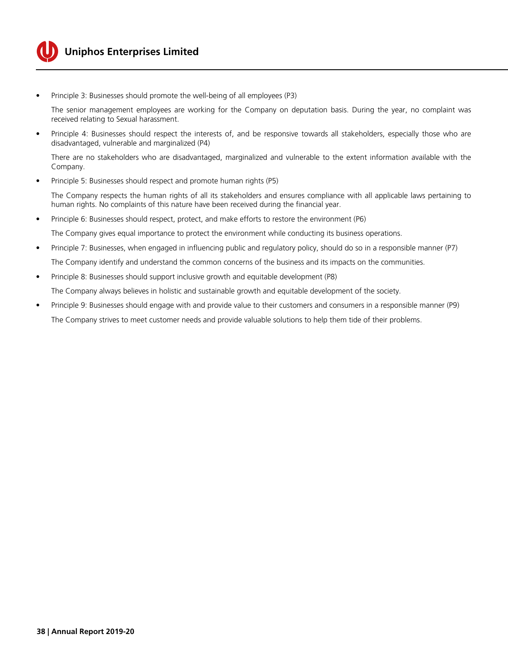

## **Uniphos Enterprises Limited**

Principle 3: Businesses should promote the well-being of all employees (P3)

The senior management employees are working for the Company on deputation basis. During the year, no complaint was received relating to Sexual harassment.

Principle 4: Businesses should respect the interests of, and be responsive towards all stakeholders, especially those who are disadvantaged, vulnerable and marginalized (P4)

There are no stakeholders who are disadvantaged, marginalized and vulnerable to the extent information available with the Company.

Principle 5: Businesses should respect and promote human rights (P5)

The Company respects the human rights of all its stakeholders and ensures compliance with all applicable laws pertaining to human rights. No complaints of this nature have been received during the financial year.

• Principle 6: Businesses should respect, protect, and make efforts to restore the environment (P6)

The Company gives equal importance to protect the environment while conducting its business operations.

- • Principle 7: Businesses, when engaged in influencing public and regulatory policy, should do so in a responsible manner (P7) The Company identify and understand the common concerns of the business and its impacts on the communities.
- • Principle 8: Businesses should support inclusive growth and equitable development (P8) The Company always believes in holistic and sustainable growth and equitable development of the society.
- Principle 9: Businesses should engage with and provide value to their customers and consumers in a responsible manner (P9) The Company strives to meet customer needs and provide valuable solutions to help them tide of their problems.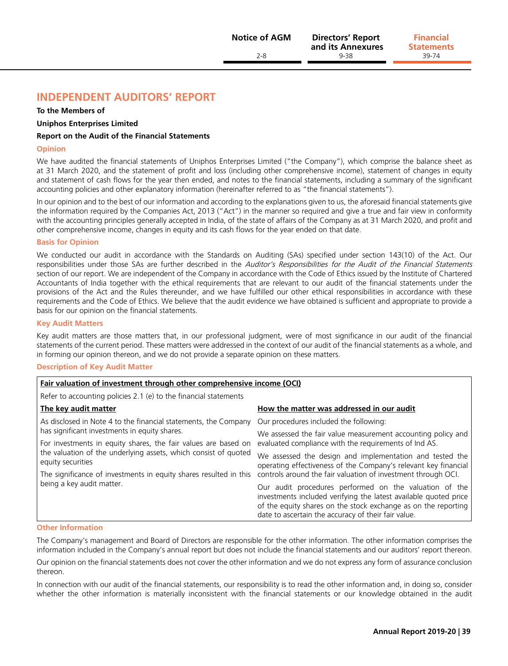## **Independent Auditors' Report**

#### **To the Members of**

#### **Uniphos Enterprises Limited**

#### **Report on the Audit of the Financial Statements**

#### **Opinion**

We have audited the financial statements of Uniphos Enterprises Limited ("the Company"), which comprise the balance sheet as at 31 March 2020, and the statement of profit and loss (including other comprehensive income), statement of changes in equity and statement of cash flows for the year then ended, and notes to the financial statements, including a summary of the significant accounting policies and other explanatory information (hereinafter referred to as "the financial statements").

In our opinion and to the best of our information and according to the explanations given to us, the aforesaid financial statements give the information required by the Companies Act, 2013 ("Act") in the manner so required and give a true and fair view in conformity with the accounting principles generally accepted in India, of the state of affairs of the Company as at 31 March 2020, and profit and other comprehensive income, changes in equity and its cash flows for the year ended on that date.

#### **Basis for Opinion**

We conducted our audit in accordance with the Standards on Auditing (SAs) specified under section 143(10) of the Act. Our responsibilities under those SAs are further described in the Auditor's Responsibilities for the Audit of the Financial Statements section of our report. We are independent of the Company in accordance with the Code of Ethics issued by the Institute of Chartered Accountants of India together with the ethical requirements that are relevant to our audit of the financial statements under the provisions of the Act and the Rules thereunder, and we have fulfilled our other ethical responsibilities in accordance with these requirements and the Code of Ethics. We believe that the audit evidence we have obtained is sufficient and appropriate to provide a basis for our opinion on the financial statements.

#### **Key Audit Matters**

Key audit matters are those matters that, in our professional judgment, were of most significance in our audit of the financial statements of the current period. These matters were addressed in the context of our audit of the financial statements as a whole, and in forming our opinion thereon, and we do not provide a separate opinion on these matters.

#### **Description of Key Audit Matter**

| Fair valuation of investment through other comprehensive income (OCI)                |                                                                                                                                                                                                                                                     |  |  |  |  |  |  |
|--------------------------------------------------------------------------------------|-----------------------------------------------------------------------------------------------------------------------------------------------------------------------------------------------------------------------------------------------------|--|--|--|--|--|--|
| Refer to accounting policies 2.1 (e) to the financial statements                     |                                                                                                                                                                                                                                                     |  |  |  |  |  |  |
| The key audit matter                                                                 | How the matter was addressed in our audit                                                                                                                                                                                                           |  |  |  |  |  |  |
| As disclosed in Note 4 to the financial statements, the Company                      | Our procedures included the following:                                                                                                                                                                                                              |  |  |  |  |  |  |
| has significant investments in equity shares.                                        | We assessed the fair value measurement accounting policy and                                                                                                                                                                                        |  |  |  |  |  |  |
| For investments in equity shares, the fair values are based on                       | evaluated compliance with the requirements of Ind AS.                                                                                                                                                                                               |  |  |  |  |  |  |
| the valuation of the underlying assets, which consist of quoted<br>equity securities | We assessed the design and implementation and tested the<br>operating effectiveness of the Company's relevant key financial                                                                                                                         |  |  |  |  |  |  |
| The significance of investments in equity shares resulted in this                    | controls around the fair valuation of investment through OCI.                                                                                                                                                                                       |  |  |  |  |  |  |
| being a key audit matter.                                                            | Our audit procedures performed on the valuation of the<br>investments included verifying the latest available quoted price<br>of the equity shares on the stock exchange as on the reporting<br>date to ascertain the accuracy of their fair value. |  |  |  |  |  |  |

#### **Other Information**

The Company's management and Board of Directors are responsible for the other information. The other information comprises the information included in the Company's annual report but does not include the financial statements and our auditors' report thereon.

Our opinion on the financial statements does not cover the other information and we do not express any form of assurance conclusion thereon.

In connection with our audit of the financial statements, our responsibility is to read the other information and, in doing so, consider whether the other information is materially inconsistent with the financial statements or our knowledge obtained in the audit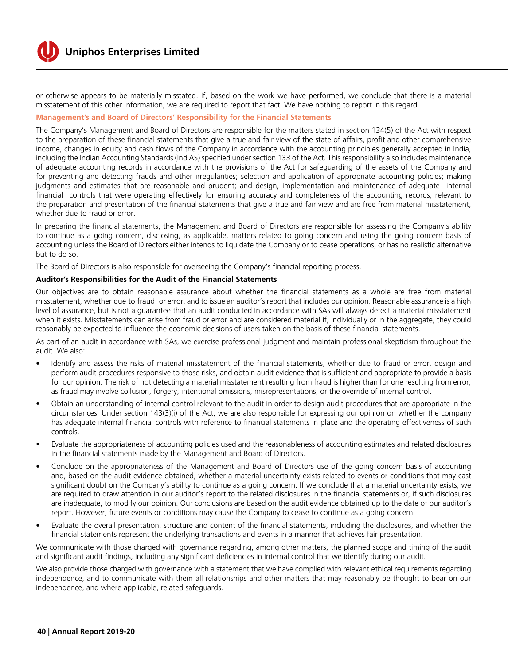

or otherwise appears to be materially misstated. If, based on the work we have performed, we conclude that there is a material misstatement of this other information, we are required to report that fact. We have nothing to report in this regard.

#### **Management's and Board of Directors' Responsibility for the Financial Statements**

The Company's Management and Board of Directors are responsible for the matters stated in section 134(5) of the Act with respect to the preparation of these financial statements that give a true and fair view of the state of affairs, profit and other comprehensive income, changes in equity and cash flows of the Company in accordance with the accounting principles generally accepted in India, including the Indian Accounting Standards (Ind AS) specified under section 133 of the Act. This responsibility also includes maintenance of adequate accounting records in accordance with the provisions of the Act for safeguarding of the assets of the Company and for preventing and detecting frauds and other irregularities; selection and application of appropriate accounting policies; making judgments and estimates that are reasonable and prudent; and design, implementation and maintenance of adequate internal financial controls that were operating effectively for ensuring accuracy and completeness of the accounting records, relevant to the preparation and presentation of the financial statements that give a true and fair view and are free from material misstatement, whether due to fraud or error.

In preparing the financial statements, the Management and Board of Directors are responsible for assessing the Company's ability to continue as a going concern, disclosing, as applicable, matters related to going concern and using the going concern basis of accounting unless the Board of Directors either intends to liquidate the Company or to cease operations, or has no realistic alternative but to do so.

The Board of Directors is also responsible for overseeing the Company's financial reporting process.

#### **Auditor's Responsibilities for the Audit of the Financial Statements**

Our objectives are to obtain reasonable assurance about whether the financial statements as a whole are free from material misstatement, whether due to fraud or error, and to issue an auditor's report that includes our opinion. Reasonable assurance is a high level of assurance, but is not a guarantee that an audit conducted in accordance with SAs will always detect a material misstatement when it exists. Misstatements can arise from fraud or error and are considered material if, individually or in the aggregate, they could reasonably be expected to influence the economic decisions of users taken on the basis of these financial statements.

As part of an audit in accordance with SAs, we exercise professional judgment and maintain professional skepticism throughout the audit. We also:

- Identify and assess the risks of material misstatement of the financial statements, whether due to fraud or error, design and perform audit procedures responsive to those risks, and obtain audit evidence that is sufficient and appropriate to provide a basis for our opinion. The risk of not detecting a material misstatement resulting from fraud is higher than for one resulting from error, as fraud may involve collusion, forgery, intentional omissions, misrepresentations, or the override of internal control.
- Obtain an understanding of internal control relevant to the audit in order to design audit procedures that are appropriate in the circumstances. Under section 143(3)(i) of the Act, we are also responsible for expressing our opinion on whether the company has adequate internal financial controls with reference to financial statements in place and the operating effectiveness of such controls.
- Evaluate the appropriateness of accounting policies used and the reasonableness of accounting estimates and related disclosures in the financial statements made by the Management and Board of Directors.
- Conclude on the appropriateness of the Management and Board of Directors use of the going concern basis of accounting and, based on the audit evidence obtained, whether a material uncertainty exists related to events or conditions that may cast significant doubt on the Company's ability to continue as a going concern. If we conclude that a material uncertainty exists, we are required to draw attention in our auditor's report to the related disclosures in the financial statements or, if such disclosures are inadequate, to modify our opinion. Our conclusions are based on the audit evidence obtained up to the date of our auditor's report. However, future events or conditions may cause the Company to cease to continue as a going concern.
- Evaluate the overall presentation, structure and content of the financial statements, including the disclosures, and whether the financial statements represent the underlying transactions and events in a manner that achieves fair presentation.

We communicate with those charged with governance regarding, among other matters, the planned scope and timing of the audit and significant audit findings, including any significant deficiencies in internal control that we identify during our audit.

We also provide those charged with governance with a statement that we have complied with relevant ethical requirements regarding independence, and to communicate with them all relationships and other matters that may reasonably be thought to bear on our independence, and where applicable, related safeguards.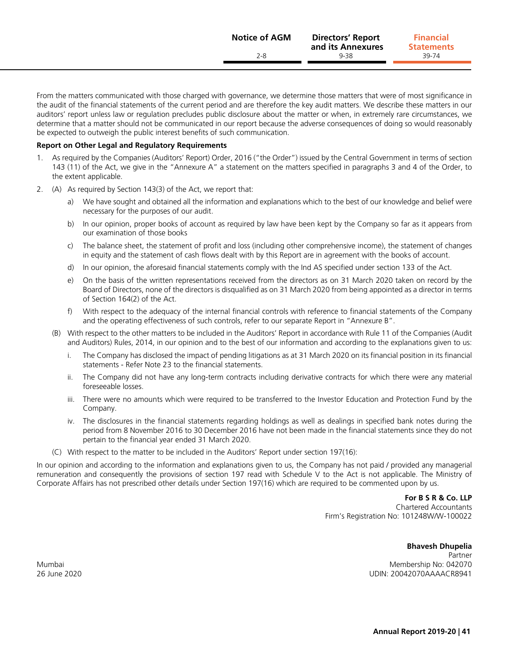From the matters communicated with those charged with governance, we determine those matters that were of most significance in the audit of the financial statements of the current period and are therefore the key audit matters. We describe these matters in our auditors' report unless law or regulation precludes public disclosure about the matter or when, in extremely rare circumstances, we determine that a matter should not be communicated in our report because the adverse consequences of doing so would reasonably be expected to outweigh the public interest benefits of such communication.

#### **Report on Other Legal and Regulatory Requirements**

- 1. As required by the Companies (Auditors' Report) Order, 2016 ("the Order") issued by the Central Government in terms of section 143 (11) of the Act, we give in the "Annexure A" a statement on the matters specified in paragraphs 3 and 4 of the Order, to the extent applicable.
- 2. (A) As required by Section 143(3) of the Act, we report that:
	- We have sought and obtained all the information and explanations which to the best of our knowledge and belief were necessary for the purposes of our audit.
	- b) In our opinion, proper books of account as required by law have been kept by the Company so far as it appears from our examination of those books
	- c) The balance sheet, the statement of profit and loss (including other comprehensive income), the statement of changes in equity and the statement of cash flows dealt with by this Report are in agreement with the books of account.
	- d) In our opinion, the aforesaid financial statements comply with the Ind AS specified under section 133 of the Act.
	- e) On the basis of the written representations received from the directors as on 31 March 2020 taken on record by the Board of Directors, none of the directors is disqualified as on 31 March 2020 from being appointed as a director in terms of Section 164(2) of the Act.
	- f) With respect to the adequacy of the internal financial controls with reference to financial statements of the Company and the operating effectiveness of such controls, refer to our separate Report in "Annexure B".
	- (B) With respect to the other matters to be included in the Auditors' Report in accordance with Rule 11 of the Companies (Audit and Auditors) Rules, 2014, in our opinion and to the best of our information and according to the explanations given to us:
		- i. The Company has disclosed the impact of pending litigations as at 31 March 2020 on its financial position in its financial statements - Refer Note 23 to the financial statements.
		- ii. The Company did not have any long-term contracts including derivative contracts for which there were any material foreseeable losses.
		- iii. There were no amounts which were required to be transferred to the Investor Education and Protection Fund by the Company.
		- iv. The disclosures in the financial statements regarding holdings as well as dealings in specified bank notes during the period from 8 November 2016 to 30 December 2016 have not been made in the financial statements since they do not pertain to the financial year ended 31 March 2020.
	- (C) With respect to the matter to be included in the Auditors' Report under section 197(16):

In our opinion and according to the information and explanations given to us, the Company has not paid / provided any managerial remuneration and consequently the provisions of section 197 read with Schedule V to the Act is not applicable. The Ministry of Corporate Affairs has not prescribed other details under Section 197(16) which are required to be commented upon by us.

**For B S R & Co. LLP**

Chartered Accountants Firm's Registration No: 101248W/W-100022

**Bhavesh Dhupelia** Partner Mumbai Membership No: 042070 26 June 2020 UDIN: 20042070AAAACR8941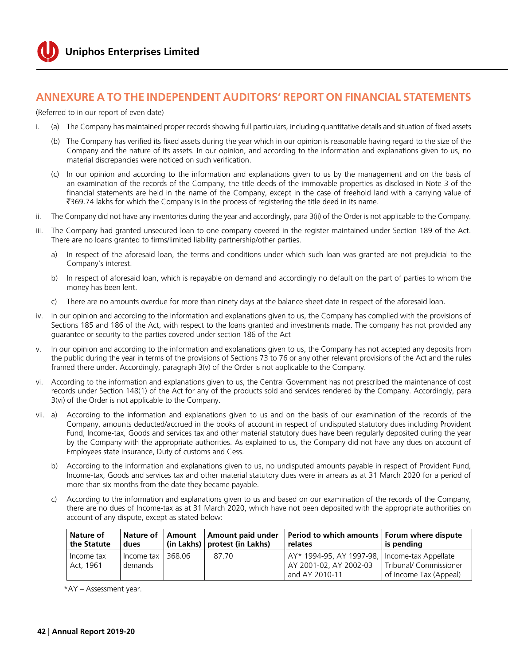

## **Annexure A to the Independent Auditors' Report on financial statements**

(Referred to in our report of even date)

- i. (a) The Company has maintained proper records showing full particulars, including quantitative details and situation of fixed assets
	- (b) The Company has verified its fixed assets during the year which in our opinion is reasonable having regard to the size of the Company and the nature of its assets. In our opinion, and according to the information and explanations given to us, no material discrepancies were noticed on such verification.
	- (c) In our opinion and according to the information and explanations given to us by the management and on the basis of an examination of the records of the Company, the title deeds of the immovable properties as disclosed in Note 3 of the financial statements are held in the name of the Company, except in the case of freehold land with a carrying value of `369.74 lakhs for which the Company is in the process of registering the title deed in its name.
- ii. The Company did not have any inventories during the year and accordingly, para 3(ii) of the Order is not applicable to the Company.
- iii. The Company had granted unsecured loan to one company covered in the register maintained under Section 189 of the Act. There are no loans granted to firms/limited liability partnership/other parties.
	- a) In respect of the aforesaid loan, the terms and conditions under which such loan was granted are not prejudicial to the Company's interest.
	- b) In respect of aforesaid loan, which is repayable on demand and accordingly no default on the part of parties to whom the money has been lent.
	- c) There are no amounts overdue for more than ninety days at the balance sheet date in respect of the aforesaid loan.
- iv. In our opinion and according to the information and explanations given to us, the Company has complied with the provisions of Sections 185 and 186 of the Act, with respect to the loans granted and investments made. The company has not provided any guarantee or security to the parties covered under section 186 of the Act
- v. In our opinion and according to the information and explanations given to us, the Company has not accepted any deposits from the public during the year in terms of the provisions of Sections 73 to 76 or any other relevant provisions of the Act and the rules framed there under. Accordingly, paragraph 3(v) of the Order is not applicable to the Company.
- vi. According to the information and explanations given to us, the Central Government has not prescribed the maintenance of cost records under Section 148(1) of the Act for any of the products sold and services rendered by the Company. Accordingly, para 3(vi) of the Order is not applicable to the Company.
- vii. a) According to the information and explanations given to us and on the basis of our examination of the records of the Company, amounts deducted/accrued in the books of account in respect of undisputed statutory dues including Provident Fund, Income-tax, Goods and services tax and other material statutory dues have been regularly deposited during the year by the Company with the appropriate authorities. As explained to us, the Company did not have any dues on account of Employees state insurance, Duty of customs and Cess.
	- b) According to the information and explanations given to us, no undisputed amounts payable in respect of Provident Fund, Income-tax, Goods and services tax and other material statutory dues were in arrears as at 31 March 2020 for a period of more than six months from the date they became payable.
	- c) According to the information and explanations given to us and based on our examination of the records of the Company, there are no dues of Income-tax as at 31 March 2020, which have not been deposited with the appropriate authorities on account of any dispute, except as stated below:

| <b>Nature of</b><br>the Statute | Nature of I<br>dues   |        | Amount   Amount paid under<br>  (in Lakhs)   protest (in Lakhs) | Period to which amounts   Forum where dispute<br>relates                                    | is pending                                       |
|---------------------------------|-----------------------|--------|-----------------------------------------------------------------|---------------------------------------------------------------------------------------------|--------------------------------------------------|
| Income tax<br>Act. 1961         | Income tax<br>demands | 368.06 | 87.70                                                           | AY* 1994-95, AY 1997-98,   Income-tax Appellate<br>AY 2001-02, AY 2002-03<br>and AY 2010-11 | Tribunal/ Commissioner<br>of Income Tax (Appeal) |

\*AY – Assessment year.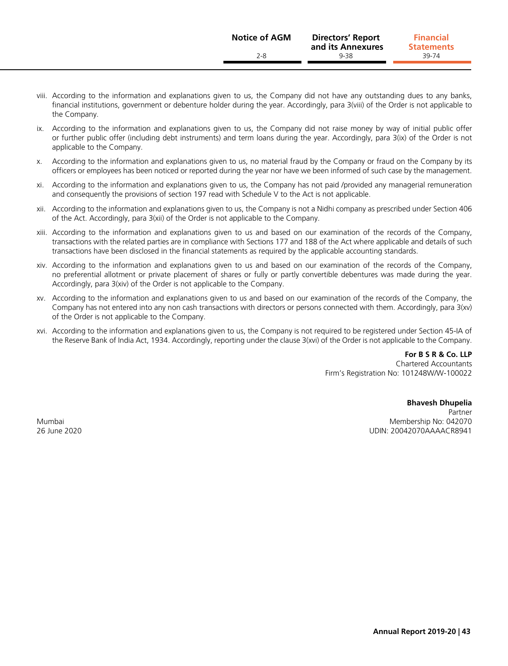- viii. According to the information and explanations given to us, the Company did not have any outstanding dues to any banks, financial institutions, government or debenture holder during the year. Accordingly, para 3(viii) of the Order is not applicable to the Company.
- ix. According to the information and explanations given to us, the Company did not raise money by way of initial public offer or further public offer (including debt instruments) and term loans during the year. Accordingly, para 3(ix) of the Order is not applicable to the Company.
- x. According to the information and explanations given to us, no material fraud by the Company or fraud on the Company by its officers or employees has been noticed or reported during the year nor have we been informed of such case by the management.
- xi. According to the information and explanations given to us, the Company has not paid /provided any managerial remuneration and consequently the provisions of section 197 read with Schedule V to the Act is not applicable.
- xii. According to the information and explanations given to us, the Company is not a Nidhi company as prescribed under Section 406 of the Act. Accordingly, para 3(xii) of the Order is not applicable to the Company.
- xiii. According to the information and explanations given to us and based on our examination of the records of the Company, transactions with the related parties are in compliance with Sections 177 and 188 of the Act where applicable and details of such transactions have been disclosed in the financial statements as required by the applicable accounting standards.
- xiv. According to the information and explanations given to us and based on our examination of the records of the Company, no preferential allotment or private placement of shares or fully or partly convertible debentures was made during the year. Accordingly, para 3(xiv) of the Order is not applicable to the Company.
- xv. According to the information and explanations given to us and based on our examination of the records of the Company, the Company has not entered into any non cash transactions with directors or persons connected with them. Accordingly, para 3(xv) of the Order is not applicable to the Company.
- xvi. According to the information and explanations given to us, the Company is not required to be registered under Section 45-IA of the Reserve Bank of India Act, 1934. Accordingly, reporting under the clause 3(xvi) of the Order is not applicable to the Company.

**For B S R & Co. LLP** Chartered Accountants Firm's Registration No: 101248W/W-100022

**Bhavesh Dhupelia** Partner Mumbai Membership No: 042070 26 June 2020 UDIN: 20042070AAAACR8941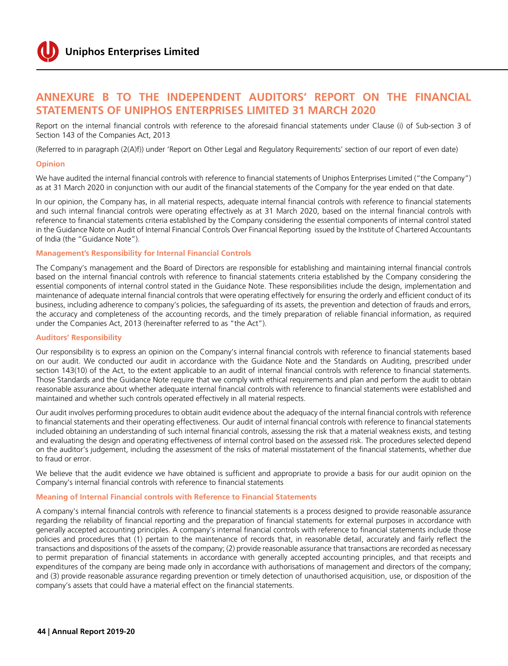

## **Annexure B to the Independent Auditors' Report on the financial statements of Uniphos Enterprises Limited 31 March 2020**

Report on the internal financial controls with reference to the aforesaid financial statements under Clause (i) of Sub-section 3 of Section 143 of the Companies Act, 2013

(Referred to in paragraph (2(A)f)) under 'Report on Other Legal and Regulatory Requirements' section of our report of even date)

#### **Opinion**

We have audited the internal financial controls with reference to financial statements of Uniphos Enterprises Limited ("the Company") as at 31 March 2020 in conjunction with our audit of the financial statements of the Company for the year ended on that date.

In our opinion, the Company has, in all material respects, adequate internal financial controls with reference to financial statements and such internal financial controls were operating effectively as at 31 March 2020, based on the internal financial controls with reference to financial statements criteria established by the Company considering the essential components of internal control stated in the Guidance Note on Audit of Internal Financial Controls Over Financial Reporting issued by the Institute of Chartered Accountants of India (the "Guidance Note").

#### **Management's Responsibility for Internal Financial Controls**

The Company's management and the Board of Directors are responsible for establishing and maintaining internal financial controls based on the internal financial controls with reference to financial statements criteria established by the Company considering the essential components of internal control stated in the Guidance Note. These responsibilities include the design, implementation and maintenance of adequate internal financial controls that were operating effectively for ensuring the orderly and efficient conduct of its business, including adherence to company's policies, the safeguarding of its assets, the prevention and detection of frauds and errors, the accuracy and completeness of the accounting records, and the timely preparation of reliable financial information, as required under the Companies Act, 2013 (hereinafter referred to as "the Act").

#### **Auditors' Responsibility**

Our responsibility is to express an opinion on the Company's internal financial controls with reference to financial statements based on our audit. We conducted our audit in accordance with the Guidance Note and the Standards on Auditing, prescribed under section 143(10) of the Act, to the extent applicable to an audit of internal financial controls with reference to financial statements. Those Standards and the Guidance Note require that we comply with ethical requirements and plan and perform the audit to obtain reasonable assurance about whether adequate internal financial controls with reference to financial statements were established and maintained and whether such controls operated effectively in all material respects.

Our audit involves performing procedures to obtain audit evidence about the adequacy of the internal financial controls with reference to financial statements and their operating effectiveness. Our audit of internal financial controls with reference to financial statements included obtaining an understanding of such internal financial controls, assessing the risk that a material weakness exists, and testing and evaluating the design and operating effectiveness of internal control based on the assessed risk. The procedures selected depend on the auditor's judgement, including the assessment of the risks of material misstatement of the financial statements, whether due to fraud or error.

We believe that the audit evidence we have obtained is sufficient and appropriate to provide a basis for our audit opinion on the Company's internal financial controls with reference to financial statements

#### **Meaning of Internal Financial controls with Reference to Financial Statements**

A company's internal financial controls with reference to financial statements is a process designed to provide reasonable assurance regarding the reliability of financial reporting and the preparation of financial statements for external purposes in accordance with generally accepted accounting principles. A company's internal financial controls with reference to financial statements include those policies and procedures that (1) pertain to the maintenance of records that, in reasonable detail, accurately and fairly reflect the transactions and dispositions of the assets of the company; (2) provide reasonable assurance that transactions are recorded as necessary to permit preparation of financial statements in accordance with generally accepted accounting principles, and that receipts and expenditures of the company are being made only in accordance with authorisations of management and directors of the company; and (3) provide reasonable assurance regarding prevention or timely detection of unauthorised acquisition, use, or disposition of the company's assets that could have a material effect on the financial statements.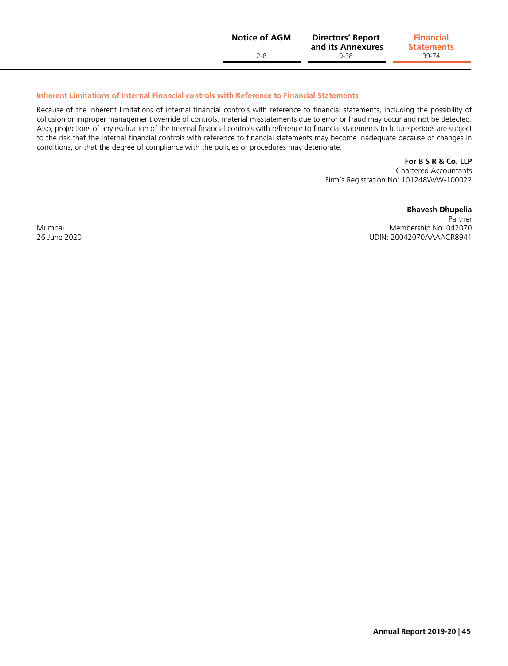| <b>Notice of AGM</b> | <b>Directors' Report</b><br>and its Annexures | <b>Financial</b><br><b>Statements</b> |
|----------------------|-----------------------------------------------|---------------------------------------|
| 2-8                  | $9 - 38$                                      | 39-74                                 |
|                      |                                               |                                       |

#### **Inherent Limitations of Internal Financial controls with Reference to Financial Statements**

Because of the inherent limitations of internal financial controls with reference to financial statements, including the possibility of collusion or improper management override of controls, material misstatements due to error or fraud may occur and not be detected. Also, projections of any evaluation of the internal financial controls with reference to financial statements to future periods are subject to the risk that the internal financial controls with reference to financial statements may become inadequate because of changes in conditions, or that the degree of compliance with the policies or procedures may deteriorate.

**For B S R & Co. LLP**

Chartered Accountants Firm's Registration No: 101248W/W-100022

**Bhavesh Dhupelia**

Partner Mumbai Mumbai No: 042070<br>
Membership No: 042070<br>
Membership No: 0420704<br>
UDIN: 20042070AAAACR8941 UDIN: 20042070AAAACR8941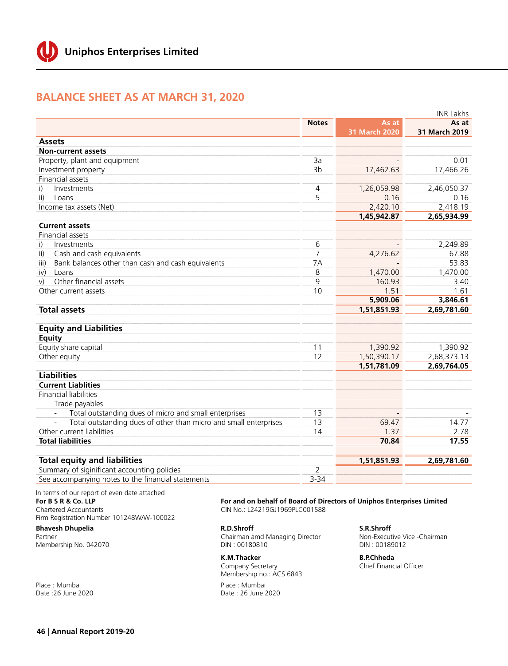## **Balance Sheet as at March 31, 2020**

|                                                                                  |                | <b>INR Lakhs</b>     |               |
|----------------------------------------------------------------------------------|----------------|----------------------|---------------|
|                                                                                  | <b>Notes</b>   | As at                | As at         |
|                                                                                  |                | <b>31 March 2020</b> | 31 March 2019 |
| <b>Assets</b>                                                                    |                |                      |               |
| <b>Non-current assets</b>                                                        |                |                      |               |
| Property, plant and equipment                                                    | 3a             |                      | 0.01          |
| Investment property                                                              | 3 <sub>b</sub> | 17,462.63            | 17,466.26     |
| Financial assets                                                                 |                |                      |               |
| Investments<br>i)                                                                | 4              | 1,26,059.98          | 2,46,050.37   |
| $\mathsf{ii}$<br>Loans                                                           | 5              | 0.16                 | 0.16          |
| Income tax assets (Net)                                                          |                | 2,420.10             | 2,418.19      |
|                                                                                  |                | 1,45,942.87          | 2,65,934.99   |
| <b>Current assets</b>                                                            |                |                      |               |
| Financial assets                                                                 |                |                      |               |
| Investments<br>i)                                                                | 6              |                      | 2,249.89      |
| Cash and cash equivalents<br>$\mathsf{ii}$                                       | $\overline{7}$ | 4,276.62             | 67.88         |
| Bank balances other than cash and cash equivalents<br>iii)                       | 7A             |                      | 53.83         |
| Loans<br>iv)                                                                     | 8              | 1,470.00             | 1,470.00      |
| Other financial assets<br>V)                                                     | 9              | 160.93               | 3.40          |
| Other current assets                                                             | 10             | 1.51                 | 1.61          |
|                                                                                  |                | 5,909.06             | 3,846.61      |
| <b>Total assets</b>                                                              |                | 1,51,851.93          | 2,69,781.60   |
|                                                                                  |                |                      |               |
| <b>Equity and Liabilities</b>                                                    |                |                      |               |
| <b>Equity</b>                                                                    |                |                      |               |
| Equity share capital                                                             | 11             | 1,390.92             | 1,390.92      |
| Other equity                                                                     | 12             | 1,50,390.17          | 2,68,373.13   |
|                                                                                  |                | 1,51,781.09          | 2,69,764.05   |
| <b>Liabilities</b>                                                               |                |                      |               |
| <b>Current Liablities</b>                                                        |                |                      |               |
| <b>Financial liabilities</b>                                                     |                |                      |               |
| Trade payables                                                                   |                |                      |               |
| Total outstanding dues of micro and small enterprises                            | 13             |                      |               |
| Total outstanding dues of other than micro and small enterprises<br>$\mathbb{L}$ | 13             | 69.47                | 14.77         |
| Other current liabilities                                                        | 14             | 1.37                 | 2.78          |
| <b>Total liabilities</b>                                                         |                | 70.84                | 17.55         |
| <b>Total equity and liabilities</b>                                              |                | 1,51,851.93          | 2,69,781.60   |
| Summary of siginificant accounting policies                                      | 2              |                      |               |
| See accompanying notes to the financial statements                               | $3 - 34$       |                      |               |

In terms of our report of even date attached **For B S R & Co. LLP**  Chartered Accountants Firm Registration Number 101248W/W-100022

**Bhavesh Dhupelia**  Partner Membership No. 042070

Place : Mumbai Date :26 June 2020 **For and on behalf of Board of Directors of Uniphos Enterprises Limited** CIN No.: L24219GJ1969PLC001588

**R.D.Shroff** Chairman amd Managing Director DIN : 00180810

**K.M.Thacker** Company Secretary Membership no.: ACS 6843

Place : Mumbai Date : 26 June 2020

**S.R.Shroff**  Non-Executive Vice -Chairman DIN : 00189012

**B.P.Chheda**  Chief Financial Officer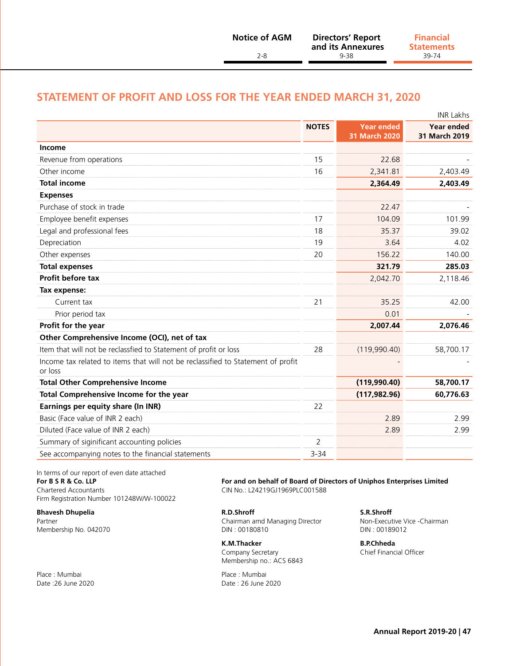## **Statement of Profit and Loss for the year ended March 31, 2020**

|                                                                                             | <b>INR Lakhs</b> |                                    |                                    |  |  |
|---------------------------------------------------------------------------------------------|------------------|------------------------------------|------------------------------------|--|--|
|                                                                                             | <b>NOTES</b>     | <b>Year ended</b><br>31 March 2020 | <b>Year ended</b><br>31 March 2019 |  |  |
| Income                                                                                      |                  |                                    |                                    |  |  |
| Revenue from operations                                                                     | 15               | 22.68                              |                                    |  |  |
| Other income                                                                                | 16               | 2,341.81                           | 2,403.49                           |  |  |
| <b>Total income</b>                                                                         |                  | 2,364.49                           | 2,403.49                           |  |  |
| <b>Expenses</b>                                                                             |                  |                                    |                                    |  |  |
| Purchase of stock in trade                                                                  |                  | 22.47                              |                                    |  |  |
| Employee benefit expenses                                                                   | 17               | 104.09                             | 101.99                             |  |  |
| Legal and professional fees                                                                 | 18               | 35.37                              | 39.02                              |  |  |
| Depreciation                                                                                | 19               | 3.64                               | 4.02                               |  |  |
| Other expenses                                                                              | 20               | 156.22                             | 140.00                             |  |  |
| <b>Total expenses</b>                                                                       |                  | 321.79                             | 285.03                             |  |  |
| Profit before tax                                                                           |                  | 2,042.70                           | 2,118.46                           |  |  |
| Tax expense:                                                                                |                  |                                    |                                    |  |  |
| Current tax                                                                                 | 21               | 35.25                              | 42.00                              |  |  |
| Prior period tax                                                                            |                  | 0.01                               |                                    |  |  |
| Profit for the year                                                                         |                  | 2,007.44                           | 2,076.46                           |  |  |
| Other Comprehensive Income (OCI), net of tax                                                |                  |                                    |                                    |  |  |
| Item that will not be reclassfied to Statement of profit or loss                            | 28               | (119,990.40)                       | 58,700.17                          |  |  |
| Income tax related to items that will not be reclassified to Statement of profit<br>or loss |                  |                                    |                                    |  |  |
| <b>Total Other Comprehensive Income</b>                                                     |                  | (119,990.40)                       | 58,700.17                          |  |  |
| Total Comprehensive Income for the year                                                     |                  | (117, 982.96)                      | 60,776.63                          |  |  |
| Earnings per equity share (In INR)                                                          | 22               |                                    |                                    |  |  |
| Basic (Face value of INR 2 each)                                                            |                  | 2.89                               | 2.99                               |  |  |
| Diluted (Face value of INR 2 each)                                                          |                  | 2.89                               | 2.99                               |  |  |
| Summary of siginificant accounting policies                                                 | 2                |                                    |                                    |  |  |
| See accompanying notes to the financial statements                                          | $3 - 34$         |                                    |                                    |  |  |

In terms of our report of even date attached

Firm Registration Number 101248W/W-100022

Membership No. 042070

Place : Mumbai Date : 26 June 2020<br>
Date : 26 June 2020

**For B S R & Co. LLP For and on behalf of Board of Directors of Uniphos Enterprises Limited** Chartered Accountants CIN No.: L24219GJ1969PLC001588

**Bhavesh Dhupelia R.D.Shroff S.R.Shroff**  Partner Chairman amd Managing Director Non-Executive V<br>19912 – Chairman amd Managing Director -Chairman amd Managing Director -Chairman amd Managing Director -Chai

> **K.M.Thacker B.P.Chheda**  Company Secretary **Chief Financial Officer** Membership no.: ACS 6843

Date : 26 June 2020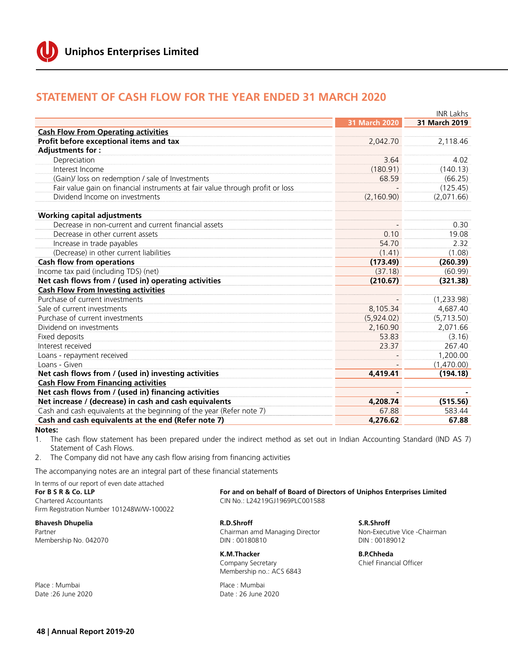

## **statement of cash flow for the year ended 31 March 2020**

|                                                                               |               | <b>INR Lakhs</b> |
|-------------------------------------------------------------------------------|---------------|------------------|
|                                                                               | 31 March 2020 | 31 March 2019    |
| <b>Cash Flow From Operating activities</b>                                    |               |                  |
| Profit before exceptional items and tax                                       | 2,042.70      | 2,118.46         |
| Adjustments for:                                                              |               |                  |
| Depreciation                                                                  | 3.64          | 4.02             |
| Interest Income                                                               | (180.91)      | (140.13)         |
| (Gain)/ loss on redemption / sale of Investments                              | 68.59         | (66.25)          |
| Fair value gain on financial instruments at fair value through profit or loss |               | (125.45)         |
| Dividend Income on investments                                                | (2, 160.90)   | (2,071.66)       |
| <b>Working capital adjustments</b>                                            |               |                  |
| Decrease in non-current and current financial assets                          |               | 0.30             |
| Decrease in other current assets                                              | 0.10          | 19.08            |
| Increase in trade payables                                                    | 54.70         | 2.32             |
| (Decrease) in other current liabilities                                       | (1.41)        | (1.08)           |
| <b>Cash flow from operations</b>                                              | (173.49)      | (260.39)         |
| Income tax paid (including TDS) (net)                                         | (37.18)       | (60.99)          |
| Net cash flows from / (used in) operating activities                          | (210.67)      | (321.38)         |
| <b>Cash Flow From Investing activities</b>                                    |               |                  |
| Purchase of current investments                                               |               | (1,233.98)       |
| Sale of current investments                                                   | 8,105.34      | 4,687.40         |
| Purchase of current investments                                               | (5,924.02)    | (5,713.50)       |
| Dividend on investments                                                       | 2.160.90      | 2,071.66         |
| Fixed deposits                                                                | 53.83         | (3.16)           |
| Interest received                                                             | 23.37         | 267.40           |
| Loans - repayment received                                                    |               | 1,200.00         |
| Loans - Given                                                                 |               | (1,470.00)       |
| Net cash flows from / (used in) investing activities                          | 4,419.41      | (194.18)         |
| <b>Cash Flow From Financing activities</b>                                    |               |                  |
| Net cash flows from / (used in) financing activities                          |               |                  |
| Net increase / (decrease) in cash and cash equivalents                        | 4,208.74      | (515.56)         |
| Cash and cash equivalents at the beginning of the year (Refer note 7)         | 67.88         | 583.44           |
| Cash and cash equivalents at the end (Refer note 7)                           | 4,276.62      | 67.88            |

#### **Notes:**

1. The cash flow statement has been prepared under the indirect method as set out in Indian Accounting Standard (IND AS 7) Statement of Cash Flows.

2. The Company did not have any cash flow arising from financing activities

The accompanying notes are an integral part of these financial statements

| In terms of our report of even date attached<br>For B S R & Co. LLP<br>Chartered Accountants<br>Firm Registration Number 101248W/W-100022 | For and on behalf of Board of Directors of Uniphos Enterprises Limited<br>CIN No.: L24219GJ1969PLC001588 |                              |
|-------------------------------------------------------------------------------------------------------------------------------------------|----------------------------------------------------------------------------------------------------------|------------------------------|
| <b>Bhavesh Dhupelia</b>                                                                                                                   | R.D.Shroff                                                                                               | S.R.Shroff                   |
| Partner                                                                                                                                   | Chairman amd Managing Director                                                                           | Non-Executive Vice -Chairman |
| Membership No. 042070                                                                                                                     | DIN: 00180810                                                                                            | DIN: 00189012                |

Company Secretary **Chief Financial Officer** Membership no.: ACS 6843

Date : 26 June 2020

**K.M.Thacker B.P.Chheda** 

Place : Mumbai Place : Mumbai Place : Mumbai Place : Mumbai Place : Mumbai Place : Mumbai Place : Mumbai Place : Mumbai Place : Mumbai Place : Mumbai Place : Mumbai Place : Mumbai Place : Mumbai Place : Mumbai Place : Mumb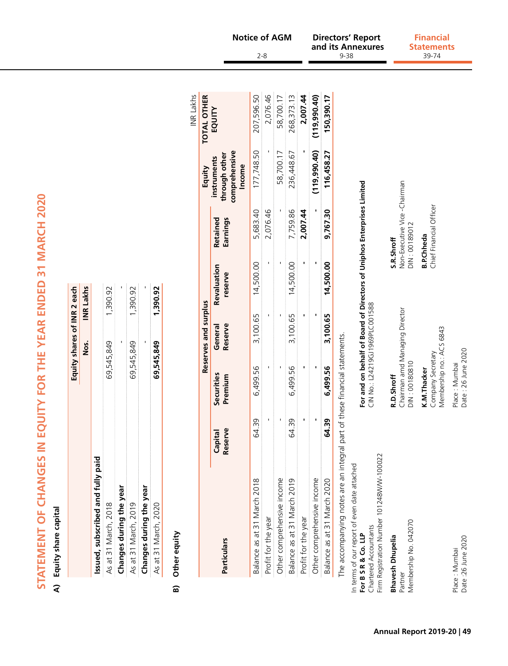|                                                                                                                            | í              |
|----------------------------------------------------------------------------------------------------------------------------|----------------|
|                                                                                                                            | ı              |
|                                                                                                                            |                |
|                                                                                                                            |                |
|                                                                                                                            |                |
|                                                                                                                            |                |
|                                                                                                                            |                |
| j                                                                                                                          | ۱              |
|                                                                                                                            | I              |
|                                                                                                                            |                |
| $\frac{1}{1}$                                                                                                              | ļ              |
|                                                                                                                            |                |
| I                                                                                                                          | I              |
|                                                                                                                            |                |
|                                                                                                                            |                |
|                                                                                                                            |                |
| ֧֖֖֖֧֢ׅ֧ׅ֧֧֧֧֧֧ׅ֧֧֧֧֧֧֧֧֧֧֧֧֧֧֧֧֧֧֧֧֧֧֧֚֚֚֚֚֚֚֚֚֚֚֚֚֚֚֚֝֝֓֓֡֝֬֝֬֓֝֬֝֬֝֬֝֬֝֬֩֝֬֝֬<br>֧֧֪֪֧֪֧֧֧֧֧֧֧֧֧֖֧֧֧֧֧֜֝֩֩֩֩֩֩֩<br>֧֪֧֩ |                |
|                                                                                                                            |                |
|                                                                                                                            | I              |
|                                                                                                                            |                |
| ֚֚֚֚֚֚֚֚֚֚֚֚֚֚֚֚֚֡׀<br>֧֡֜                                                                                                 | i              |
|                                                                                                                            |                |
|                                                                                                                            | ı              |
| ĺ<br>j                                                                                                                     | ١              |
|                                                                                                                            |                |
|                                                                                                                            |                |
|                                                                                                                            |                |
|                                                                                                                            |                |
|                                                                                                                            |                |
|                                                                                                                            |                |
|                                                                                                                            |                |
|                                                                                                                            |                |
| l                                                                                                                          |                |
|                                                                                                                            |                |
|                                                                                                                            |                |
| l                                                                                                                          |                |
|                                                                                                                            |                |
|                                                                                                                            |                |
| I<br>$\overline{a}$                                                                                                        |                |
|                                                                                                                            |                |
|                                                                                                                            |                |
|                                                                                                                            |                |
|                                                                                                                            | $\overline{a}$ |
| $\overline{a}$                                                                                                             |                |
| l                                                                                                                          |                |
|                                                                                                                            | I              |
|                                                                                                                            |                |
|                                                                                                                            |                |
|                                                                                                                            | j              |
|                                                                                                                            |                |
|                                                                                                                            |                |
|                                                                                                                            |                |
| I                                                                                                                          |                |
|                                                                                                                            |                |
| i                                                                                                                          |                |
|                                                                                                                            |                |

# A) Equity share capital **A) Equity share capital**

|                                   | Equity shares of INR 2 each |                  |
|-----------------------------------|-----------------------------|------------------|
|                                   | ss.<br>Mos                  | <b>INR Lakhs</b> |
| Issued, subscribed and fully paid |                             |                  |
| As at 31 March, 2018              | 69,545,849                  | 1,390.92         |
| Changes during the year           |                             |                  |
| As at 31 March, 2019              | 69,545,849                  | 1,390.92         |
| Changes during the year           |                             |                  |
| As at 31 March, 2020              | 69,545,849                  | 1,390.92         |

## **B)** Other equity **B) Other equity**

|                                                                                                                                           |                    |                       |                                                                                                          |                        |                                               |                                                         | <b>INR</b> Lakhs   |
|-------------------------------------------------------------------------------------------------------------------------------------------|--------------------|-----------------------|----------------------------------------------------------------------------------------------------------|------------------------|-----------------------------------------------|---------------------------------------------------------|--------------------|
|                                                                                                                                           |                    |                       | Reserves and surplus                                                                                     |                        |                                               | Equity                                                  | <b>TOTAL OTHER</b> |
| Particulars                                                                                                                               | Reserve<br>Capital | Securities<br>Premium | General<br>Reserve                                                                                       | Revaluation<br>reserve | Retained<br>Earnings                          | comprehensive<br>through other<br>instruments<br>Income | EQUITY             |
| Balance as at 31 March 2018                                                                                                               | 64.39              | 6,499.56              | 3,100.65                                                                                                 | 14,500.00              | 5,683.40                                      | 177,748.50                                              | 207,596.50         |
| Profit for the year                                                                                                                       |                    |                       |                                                                                                          |                        | 2,076.46                                      |                                                         | 2,076.46           |
| Other comprehensive income                                                                                                                | ı                  |                       | ı                                                                                                        |                        |                                               | 58,700.17                                               | 58,700.17          |
| Balance as at 31 March 2019                                                                                                               | 64.39              | 6,499.56              | 3,100.65                                                                                                 | 14,500.00              | 7,759.86                                      | 236,448.67                                              | 268,373.13         |
| Profit for the year                                                                                                                       |                    |                       |                                                                                                          |                        | 2,007.44                                      |                                                         | 2,007.44           |
| Other comprehensive income                                                                                                                |                    |                       |                                                                                                          |                        | ı                                             | (119,990.40)                                            | (119, 990.40)      |
| Balance as at 31 March 2020                                                                                                               | 64.39              | 6,499.56              | 3,100.65                                                                                                 | 14,500.00              | 9,767.30                                      | 116,458.27                                              | 150,390.17         |
| The accompanying notes are an integral part of these financial statements.                                                                |                    |                       |                                                                                                          |                        |                                               |                                                         |                    |
| Firm Registration Number 101248W/W-100022<br>In terms of our report of even date attached<br>Chartered Accountants<br>For B S R & Co. LLP |                    |                       | For and on behalf of Board of Directors of Uniphos Enterprises Limited<br>CIN No.: L24219GJ1969PLC001588 |                        |                                               |                                                         |                    |
| <b>Bhavesh Dhupelia</b>                                                                                                                   |                    | R.D.Shroff            |                                                                                                          |                        | S.R.Shroff                                    |                                                         |                    |
| Membership No. 042070<br>Partner                                                                                                          |                    | DIN: 00180810         | Chairman amd Managing Director                                                                           |                        | Non-Executive Vice -Chairman<br>DIN: 00189012 |                                                         |                    |
|                                                                                                                                           |                    |                       |                                                                                                          |                        |                                               |                                                         |                    |

Firm Registration Number 101248W/W-100022 In ter<br>**Eor E** Char<br>**Bhat**<br>Partr

Date :26 June 2020 Date : 26 June 2020Place : Mumbai<br>Date :26 June 2020

**K.M.Thacker**<br>Company Secretary<br>Membership no.: ACS 6843 Place : Mumbai<br>Date : 26 June 2020 Place : Mumbai Place : Mumbai

Membership no.: ACS 6843

**B.P.Chheda**<br>Chief Financial Officer Company Secretary Chief Financial Officer **K.M.Thacker B.P.Chheda** 

#### **Directors' Report and its Annexures Notice of AGM Directors' Report Financial** 2-8 9-38

39-74 **Statements**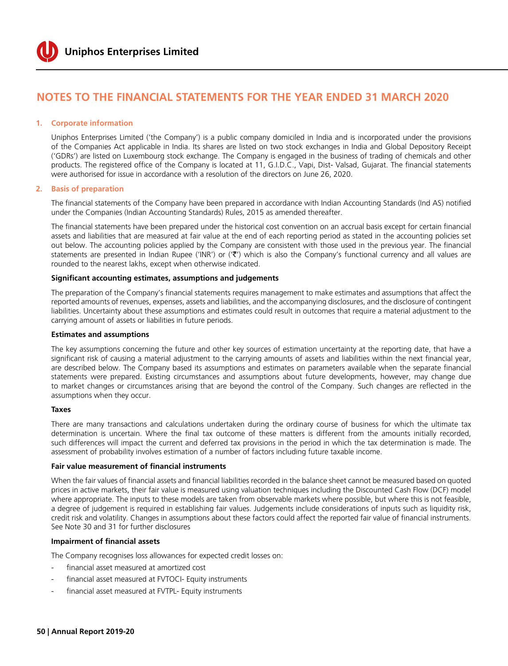

#### **1. Corporate information**

Uniphos Enterprises Limited ('the Company') is a public company domiciled in India and is incorporated under the provisions of the Companies Act applicable in India. Its shares are listed on two stock exchanges in India and Global Depository Receipt ('GDRs') are listed on Luxembourg stock exchange. The Company is engaged in the business of trading of chemicals and other products. The registered office of the Company is located at 11, G.I.D.C., Vapi, Dist- Valsad, Gujarat. The financial statements were authorised for issue in accordance with a resolution of the directors on June 26, 2020.

#### **2. Basis of preparation**

The financial statements of the Company have been prepared in accordance with Indian Accounting Standards (Ind AS) notified under the Companies (Indian Accounting Standards) Rules, 2015 as amended thereafter.

The financial statements have been prepared under the historical cost convention on an accrual basis except for certain financial assets and liabilities that are measured at fair value at the end of each reporting period as stated in the accounting policies set out below. The accounting policies applied by the Company are consistent with those used in the previous year. The financial statements are presented in Indian Rupee ('INR') or  $(\mathcal{F}')$  which is also the Company's functional currency and all values are rounded to the nearest lakhs, except when otherwise indicated.

#### **Significant accounting estimates, assumptions and judgements**

The preparation of the Company's financial statements requires management to make estimates and assumptions that affect the reported amounts of revenues, expenses, assets and liabilities, and the accompanying disclosures, and the disclosure of contingent liabilities. Uncertainty about these assumptions and estimates could result in outcomes that require a material adjustment to the carrying amount of assets or liabilities in future periods.

#### **Estimates and assumptions**

The key assumptions concerning the future and other key sources of estimation uncertainty at the reporting date, that have a significant risk of causing a material adjustment to the carrying amounts of assets and liabilities within the next financial year, are described below. The Company based its assumptions and estimates on parameters available when the separate financial statements were prepared. Existing circumstances and assumptions about future developments, however, may change due to market changes or circumstances arising that are beyond the control of the Company. Such changes are reflected in the assumptions when they occur.

#### **Taxes**

There are many transactions and calculations undertaken during the ordinary course of business for which the ultimate tax determination is uncertain. Where the final tax outcome of these matters is different from the amounts initially recorded, such differences will impact the current and deferred tax provisions in the period in which the tax determination is made. The assessment of probability involves estimation of a number of factors including future taxable income.

#### **Fair value measurement of financial instruments**

When the fair values of financial assets and financial liabilities recorded in the balance sheet cannot be measured based on quoted prices in active markets, their fair value is measured using valuation techniques including the Discounted Cash Flow (DCF) model where appropriate. The inputs to these models are taken from observable markets where possible, but where this is not feasible, a degree of judgement is required in establishing fair values. Judgements include considerations of inputs such as liquidity risk, credit risk and volatility. Changes in assumptions about these factors could affect the reported fair value of financial instruments. See Note 30 and 31 for further disclosures

#### **Impairment of financial assets**

The Company recognises loss allowances for expected credit losses on:

- financial asset measured at amortized cost
- financial asset measured at FVTOCI- Equity instruments
- financial asset measured at FVTPL- Equity instruments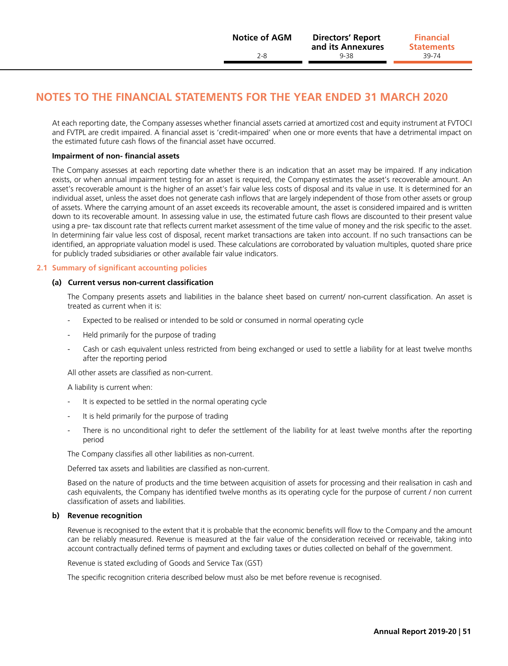**Statements**

## **Notes to the financial statements for the year ended 31 March 2020**

At each reporting date, the Company assesses whether financial assets carried at amortized cost and equity instrument at FVTOCI and FVTPL are credit impaired. A financial asset is 'credit-impaired' when one or more events that have a detrimental impact on the estimated future cash flows of the financial asset have occurred.

#### **Impairment of non- financial assets**

The Company assesses at each reporting date whether there is an indication that an asset may be impaired. If any indication exists, or when annual impairment testing for an asset is required, the Company estimates the asset's recoverable amount. An asset's recoverable amount is the higher of an asset's fair value less costs of disposal and its value in use. It is determined for an individual asset, unless the asset does not generate cash inflows that are largely independent of those from other assets or group of assets. Where the carrying amount of an asset exceeds its recoverable amount, the asset is considered impaired and is written down to its recoverable amount. In assessing value in use, the estimated future cash flows are discounted to their present value using a pre- tax discount rate that reflects current market assessment of the time value of money and the risk specific to the asset. In determining fair value less cost of disposal, recent market transactions are taken into account. If no such transactions can be identified, an appropriate valuation model is used. These calculations are corroborated by valuation multiples, quoted share price for publicly traded subsidiaries or other available fair value indicators.

#### **2.1 Summary of significant accounting policies**

#### **(a) Current versus non-current classification**

The Company presents assets and liabilities in the balance sheet based on current/ non-current classification. An asset is treated as current when it is:

- Expected to be realised or intended to be sold or consumed in normal operating cycle
- Held primarily for the purpose of trading
- Cash or cash equivalent unless restricted from being exchanged or used to settle a liability for at least twelve months after the reporting period

All other assets are classified as non-current.

A liability is current when:

- It is expected to be settled in the normal operating cycle
- It is held primarily for the purpose of trading
- There is no unconditional right to defer the settlement of the liability for at least twelve months after the reporting period

The Company classifies all other liabilities as non-current.

Deferred tax assets and liabilities are classified as non-current.

 Based on the nature of products and the time between acquisition of assets for processing and their realisation in cash and cash equivalents, the Company has identified twelve months as its operating cycle for the purpose of current / non current classification of assets and liabilities.

#### **b) Revenue recognition**

 Revenue is recognised to the extent that it is probable that the economic benefits will flow to the Company and the amount can be reliably measured. Revenue is measured at the fair value of the consideration received or receivable, taking into account contractually defined terms of payment and excluding taxes or duties collected on behalf of the government.

Revenue is stated excluding of Goods and Service Tax (GST)

The specific recognition criteria described below must also be met before revenue is recognised.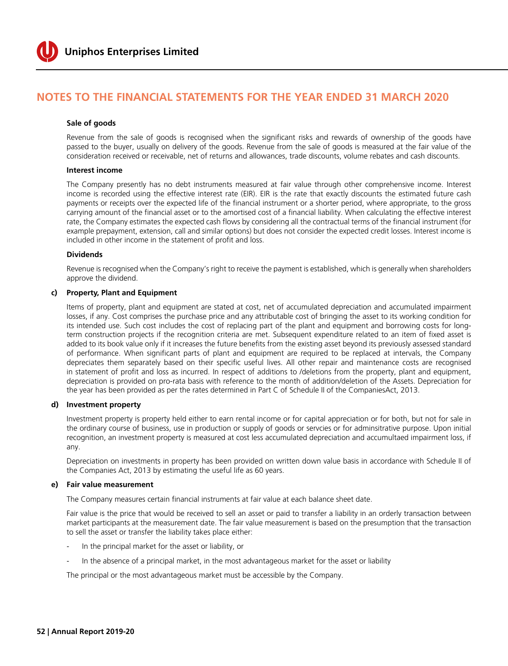

#### **Sale of goods**

 Revenue from the sale of goods is recognised when the significant risks and rewards of ownership of the goods have passed to the buyer, usually on delivery of the goods. Revenue from the sale of goods is measured at the fair value of the consideration received or receivable, net of returns and allowances, trade discounts, volume rebates and cash discounts.

#### **Interest income**

 The Company presently has no debt instruments measured at fair value through other comprehensive income. Interest income is recorded using the effective interest rate (EIR). EIR is the rate that exactly discounts the estimated future cash payments or receipts over the expected life of the financial instrument or a shorter period, where appropriate, to the gross carrying amount of the financial asset or to the amortised cost of a financial liability. When calculating the effective interest rate, the Company estimates the expected cash flows by considering all the contractual terms of the financial instrument (for example prepayment, extension, call and similar options) but does not consider the expected credit losses. Interest income is included in other income in the statement of profit and loss.

#### **Dividends**

 Revenue is recognised when the Company's right to receive the payment is established, which is generally when shareholders approve the dividend.

#### **c) Property, Plant and Equipment**

 Items of property, plant and equipment are stated at cost, net of accumulated depreciation and accumulated impairment losses, if any. Cost comprises the purchase price and any attributable cost of bringing the asset to its working condition for its intended use. Such cost includes the cost of replacing part of the plant and equipment and borrowing costs for longterm construction projects if the recognition criteria are met. Subsequent expenditure related to an item of fixed asset is added to its book value only if it increases the future benefits from the existing asset beyond its previously assessed standard of performance. When significant parts of plant and equipment are required to be replaced at intervals, the Company depreciates them separately based on their specific useful lives. All other repair and maintenance costs are recognised in statement of profit and loss as incurred. In respect of additions to /deletions from the property, plant and equipment, depreciation is provided on pro-rata basis with reference to the month of addition/deletion of the Assets. Depreciation for the year has been provided as per the rates determined in Part C of Schedule II of the CompaniesAct, 2013.

#### **d) Investment property**

 Investment property is property held either to earn rental income or for capital appreciation or for both, but not for sale in the ordinary course of business, use in production or supply of goods or servcies or for adminsitrative purpose. Upon initial recognition, an investment property is measured at cost less accumulated depreciation and accumultaed impairment loss, if any.

 Depreciation on investments in property has been provided on written down value basis in accordance with Schedule II of the Companies Act, 2013 by estimating the useful life as 60 years.

#### **e) Fair value measurement**

The Company measures certain financial instruments at fair value at each balance sheet date.

 Fair value is the price that would be received to sell an asset or paid to transfer a liability in an orderly transaction between market participants at the measurement date. The fair value measurement is based on the presumption that the transaction to sell the asset or transfer the liability takes place either:

- In the principal market for the asset or liability, or
- In the absence of a principal market, in the most advantageous market for the asset or liability

The principal or the most advantageous market must be accessible by the Company.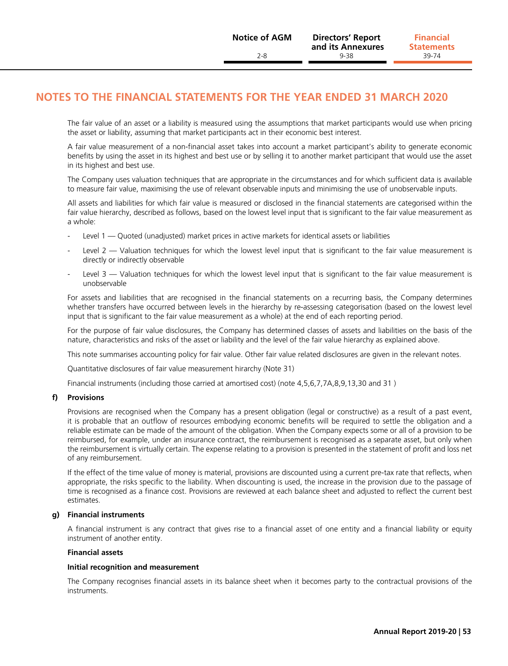The fair value of an asset or a liability is measured using the assumptions that market participants would use when pricing the asset or liability, assuming that market participants act in their economic best interest.

 A fair value measurement of a non-financial asset takes into account a market participant's ability to generate economic benefits by using the asset in its highest and best use or by selling it to another market participant that would use the asset in its highest and best use.

 The Company uses valuation techniques that are appropriate in the circumstances and for which sufficient data is available to measure fair value, maximising the use of relevant observable inputs and minimising the use of unobservable inputs.

 All assets and liabilities for which fair value is measured or disclosed in the financial statements are categorised within the fair value hierarchy, described as follows, based on the lowest level input that is significant to the fair value measurement as a whole:

- Level 1 Quoted (unadjusted) market prices in active markets for identical assets or liabilities
- Level  $2$  Valuation techniques for which the lowest level input that is significant to the fair value measurement is directly or indirectly observable
- Level  $3$  Valuation techniques for which the lowest level input that is significant to the fair value measurement is unobservable

 For assets and liabilities that are recognised in the financial statements on a recurring basis, the Company determines whether transfers have occurred between levels in the hierarchy by re-assessing categorisation (based on the lowest level input that is significant to the fair value measurement as a whole) at the end of each reporting period.

 For the purpose of fair value disclosures, the Company has determined classes of assets and liabilities on the basis of the nature, characteristics and risks of the asset or liability and the level of the fair value hierarchy as explained above.

This note summarises accounting policy for fair value. Other fair value related disclosures are given in the relevant notes.

Quantitative disclosures of fair value measurement hirarchy (Note 31)

Financial instruments (including those carried at amortised cost) (note 4,5,6,7,7A,8,9,13,30 and 31 )

#### **f) Provisions**

 Provisions are recognised when the Company has a present obligation (legal or constructive) as a result of a past event, it is probable that an outflow of resources embodying economic benefits will be required to settle the obligation and a reliable estimate can be made of the amount of the obligation. When the Company expects some or all of a provision to be reimbursed, for example, under an insurance contract, the reimbursement is recognised as a separate asset, but only when the reimbursement is virtually certain. The expense relating to a provision is presented in the statement of profit and loss net of any reimbursement.

 If the effect of the time value of money is material, provisions are discounted using a current pre-tax rate that reflects, when appropriate, the risks specific to the liability. When discounting is used, the increase in the provision due to the passage of time is recognised as a finance cost. Provisions are reviewed at each balance sheet and adjusted to reflect the current best estimates.

#### **g) Financial instruments**

 A financial instrument is any contract that gives rise to a financial asset of one entity and a financial liability or equity instrument of another entity.

#### **Financial assets**

#### **Initial recognition and measurement**

 The Company recognises financial assets in its balance sheet when it becomes party to the contractual provisions of the instruments.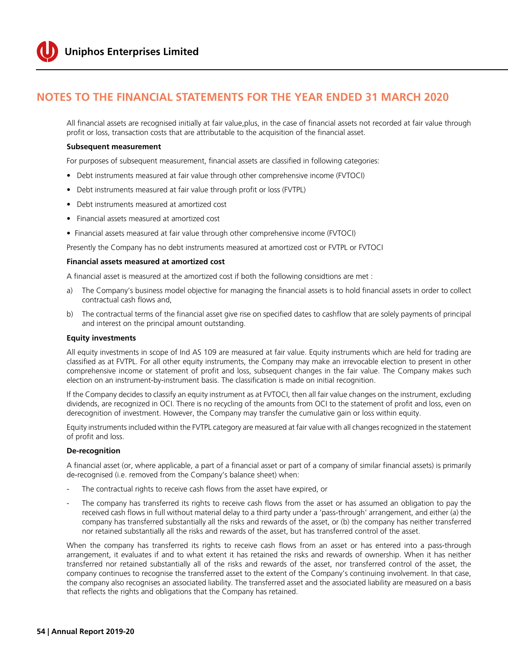

 All financial assets are recognised initially at fair value,plus, in the case of financial assets not recorded at fair value through profit or loss, transaction costs that are attributable to the acquisition of the financial asset.

#### **Subsequent measurement**

For purposes of subsequent measurement, financial assets are classified in following categories:

- Debt instruments measured at fair value through other comprehensive income (FVTOCI)
- Debt instruments measured at fair value through profit or loss (FVTPL)
- Debt instruments measured at amortized cost
- Financial assets measured at amortized cost
- Financial assets measured at fair value through other comprehensive income (FVTOCI)

Presently the Company has no debt instruments measured at amortized cost or FVTPL or FVTOCI

#### **Financial assets measured at amortized cost**

A financial asset is measured at the amortized cost if both the following considtions are met :

- a) The Company's business model objective for managing the financial assets is to hold financial assets in order to collect contractual cash flows and,
- b) The contractual terms of the financial asset give rise on specified dates to cashflow that are solely payments of principal and interest on the principal amount outstanding.

#### **Equity investments**

 All equity investments in scope of Ind AS 109 are measured at fair value. Equity instruments which are held for trading are classified as at FVTPL. For all other equity instruments, the Company may make an irrevocable election to present in other comprehensive income or statement of profit and loss, subsequent changes in the fair value. The Company makes such election on an instrument-by-instrument basis. The classification is made on initial recognition.

 If the Company decides to classify an equity instrument as at FVTOCI, then all fair value changes on the instrument, excluding dividends, are recognized in OCI. There is no recycling of the amounts from OCI to the statement of profit and loss, even on derecognition of investment. However, the Company may transfer the cumulative gain or loss within equity.

 Equity instruments included within the FVTPL category are measured at fair value with all changes recognized in the statement of profit and loss.

#### **De-recognition**

 A financial asset (or, where applicable, a part of a financial asset or part of a company of similar financial assets) is primarily de-recognised (i.e. removed from the Company's balance sheet) when:

- The contractual rights to receive cash flows from the asset have expired, or
- The company has transferred its rights to receive cash flows from the asset or has assumed an obligation to pay the received cash flows in full without material delay to a third party under a 'pass-through' arrangement, and either (a) the company has transferred substantially all the risks and rewards of the asset, or (b) the company has neither transferred nor retained substantially all the risks and rewards of the asset, but has transferred control of the asset.

 When the company has transferred its rights to receive cash flows from an asset or has entered into a pass-through arrangement, it evaluates if and to what extent it has retained the risks and rewards of ownership. When it has neither transferred nor retained substantially all of the risks and rewards of the asset, nor transferred control of the asset, the company continues to recognise the transferred asset to the extent of the Company's continuing involvement. In that case, the company also recognises an associated liability. The transferred asset and the associated liability are measured on a basis that reflects the rights and obligations that the Company has retained.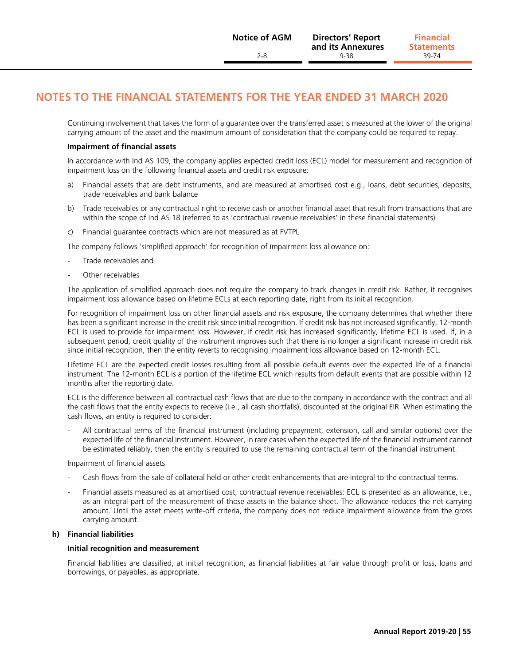Continuing involvement that takes the form of a guarantee over the transferred asset is measured at the lower of the original carrying amount of the asset and the maximum amount of consideration that the company could be required to repay.

#### **Impairment of financial assets**

 In accordance with Ind AS 109, the company applies expected credit loss (ECL) model for measurement and recognition of impairment loss on the following financial assets and credit risk exposure:

- a) Financial assets that are debt instruments, and are measured at amortised cost e.g., loans, debt securities, deposits, trade receivables and bank balance
- b) Trade receivables or any contractual right to receive cash or another financial asset that result from transactions that are within the scope of Ind AS 18 (referred to as 'contractual revenue receivables' in these financial statements)
- c) Financial guarantee contracts which are not measured as at FVTPL

The company follows 'simplified approach' for recognition of impairment loss allowance on:

- Trade receivables and
- Other receivables

 The application of simplified approach does not require the company to track changes in credit risk. Rather, it recognises impairment loss allowance based on lifetime ECLs at each reporting date, right from its initial recognition.

 For recognition of impairment loss on other financial assets and risk exposure, the company determines that whether there has been a significant increase in the credit risk since initial recognition. If credit risk has not increased significantly, 12-month ECL is used to provide for impairment loss. However, if credit risk has increased significantly, lifetime ECL is used. If, in a subsequent period, credit quality of the instrument improves such that there is no longer a significant increase in credit risk since initial recognition, then the entity reverts to recognising impairment loss allowance based on 12-month ECL.

 Lifetime ECL are the expected credit losses resulting from all possible default events over the expected life of a financial instrument. The 12-month ECL is a portion of the lifetime ECL which results from default events that are possible within 12 months after the reporting date.

 ECL is the difference between all contractual cash flows that are due to the company in accordance with the contract and all the cash flows that the entity expects to receive (i.e., all cash shortfalls), discounted at the original EIR. When estimating the cash flows, an entity is required to consider:

All contractual terms of the financial instrument (including prepayment, extension, call and similar options) over the expected life of the financial instrument. However, in rare cases when the expected life of the financial instrument cannot be estimated reliably, then the entity is required to use the remaining contractual term of the financial instrument.

Impairment of financial assets

- Cash flows from the sale of collateral held or other credit enhancements that are integral to the contractual terms.
- Financial assets measured as at amortised cost, contractual revenue receivables: ECL is presented as an allowance, i.e., as an integral part of the measurement of those assets in the balance sheet. The allowance reduces the net carrying amount. Until the asset meets write-off criteria, the company does not reduce impairment allowance from the gross carrying amount.

#### **h) Financial liabilities**

#### **Initial recognition and measurement**

 Financial liabilities are classified, at initial recognition, as financial liabilities at fair value through profit or loss, loans and borrowings, or payables, as appropriate.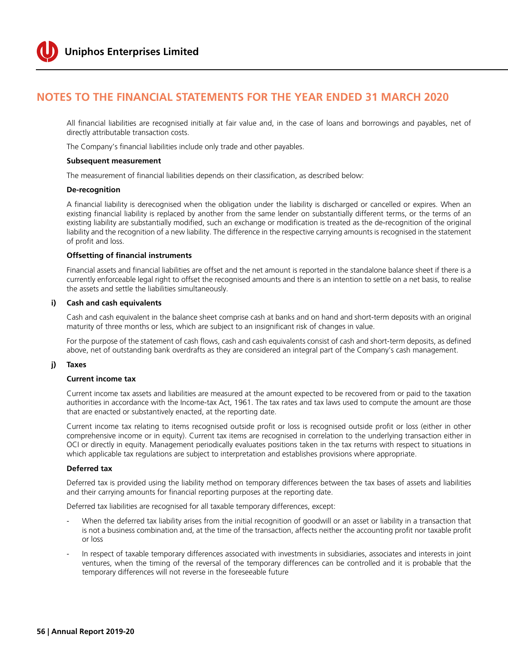

 All financial liabilities are recognised initially at fair value and, in the case of loans and borrowings and payables, net of directly attributable transaction costs.

The Company's financial liabilities include only trade and other payables.

#### **Subsequent measurement**

The measurement of financial liabilities depends on their classification, as described below:

#### **De-recognition**

 A financial liability is derecognised when the obligation under the liability is discharged or cancelled or expires. When an existing financial liability is replaced by another from the same lender on substantially different terms, or the terms of an existing liability are substantially modified, such an exchange or modification is treated as the de-recognition of the original liability and the recognition of a new liability. The difference in the respective carrying amounts is recognised in the statement of profit and loss.

#### **Offsetting of financial instruments**

 Financial assets and financial liabilities are offset and the net amount is reported in the standalone balance sheet if there is a currently enforceable legal right to offset the recognised amounts and there is an intention to settle on a net basis, to realise the assets and settle the liabilities simultaneously.

#### **i) Cash and cash equivalents**

 Cash and cash equivalent in the balance sheet comprise cash at banks and on hand and short-term deposits with an original maturity of three months or less, which are subject to an insignificant risk of changes in value.

 For the purpose of the statement of cash flows, cash and cash equivalents consist of cash and short-term deposits, as defined above, net of outstanding bank overdrafts as they are considered an integral part of the Company's cash management.

#### **j) Taxes**

#### **Current income tax**

 Current income tax assets and liabilities are measured at the amount expected to be recovered from or paid to the taxation authorities in accordance with the Income-tax Act, 1961. The tax rates and tax laws used to compute the amount are those that are enacted or substantively enacted, at the reporting date.

 Current income tax relating to items recognised outside profit or loss is recognised outside profit or loss (either in other comprehensive income or in equity). Current tax items are recognised in correlation to the underlying transaction either in OCI or directly in equity. Management periodically evaluates positions taken in the tax returns with respect to situations in which applicable tax regulations are subject to interpretation and establishes provisions where appropriate.

#### **Deferred tax**

 Deferred tax is provided using the liability method on temporary differences between the tax bases of assets and liabilities and their carrying amounts for financial reporting purposes at the reporting date.

Deferred tax liabilities are recognised for all taxable temporary differences, except:

- When the deferred tax liability arises from the initial recognition of goodwill or an asset or liability in a transaction that is not a business combination and, at the time of the transaction, affects neither the accounting profit nor taxable profit or loss
- In respect of taxable temporary differences associated with investments in subsidiaries, associates and interests in joint ventures, when the timing of the reversal of the temporary differences can be controlled and it is probable that the temporary differences will not reverse in the foreseeable future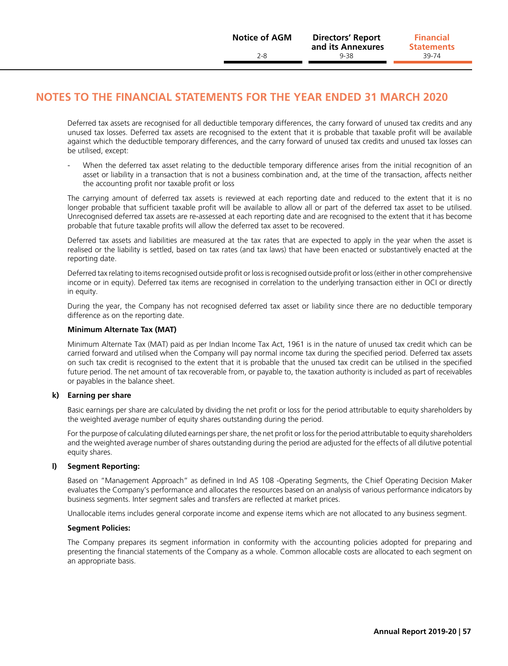Deferred tax assets are recognised for all deductible temporary differences, the carry forward of unused tax credits and any unused tax losses. Deferred tax assets are recognised to the extent that it is probable that taxable profit will be available against which the deductible temporary differences, and the carry forward of unused tax credits and unused tax losses can be utilised, except:

When the deferred tax asset relating to the deductible temporary difference arises from the initial recognition of an asset or liability in a transaction that is not a business combination and, at the time of the transaction, affects neither the accounting profit nor taxable profit or loss

 The carrying amount of deferred tax assets is reviewed at each reporting date and reduced to the extent that it is no longer probable that sufficient taxable profit will be available to allow all or part of the deferred tax asset to be utilised. Unrecognised deferred tax assets are re-assessed at each reporting date and are recognised to the extent that it has become probable that future taxable profits will allow the deferred tax asset to be recovered.

 Deferred tax assets and liabilities are measured at the tax rates that are expected to apply in the year when the asset is realised or the liability is settled, based on tax rates (and tax laws) that have been enacted or substantively enacted at the reporting date.

 Deferred tax relating to items recognised outside profit or loss is recognised outside profit or loss (either in other comprehensive income or in equity). Deferred tax items are recognised in correlation to the underlying transaction either in OCI or directly in equity.

 During the year, the Company has not recognised deferred tax asset or liability since there are no deductible temporary difference as on the reporting date.

#### **Minimum Alternate Tax (MAT)**

 Minimum Alternate Tax (MAT) paid as per Indian Income Tax Act, 1961 is in the nature of unused tax credit which can be carried forward and utilised when the Company will pay normal income tax during the specified period. Deferred tax assets on such tax credit is recognised to the extent that it is probable that the unused tax credit can be utilised in the specified future period. The net amount of tax recoverable from, or payable to, the taxation authority is included as part of receivables or payables in the balance sheet.

#### **k) Earning per share**

 Basic earnings per share are calculated by dividing the net profit or loss for the period attributable to equity shareholders by the weighted average number of equity shares outstanding during the period.

 For the purpose of calculating diluted earnings per share, the net profit or loss for the period attributable to equity shareholders and the weighted average number of shares outstanding during the period are adjusted for the effects of all dilutive potential equity shares.

#### **l) Segment Reporting:**

 Based on "Management Approach" as defined in Ind AS 108 -Operating Segments, the Chief Operating Decision Maker evaluates the Company's performance and allocates the resources based on an analysis of various performance indicators by business segments. Inter segment sales and transfers are reflected at market prices.

Unallocable items includes general corporate income and expense items which are not allocated to any business segment.

#### **Segment Policies:**

 The Company prepares its segment information in conformity with the accounting policies adopted for preparing and presenting the financial statements of the Company as a whole. Common allocable costs are allocated to each segment on an appropriate basis.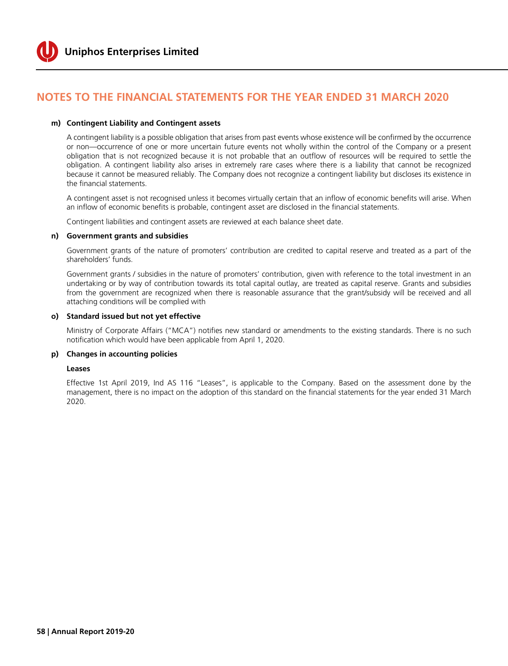

#### **m) Contingent Liability and Contingent assets**

 A contingent liability is a possible obligation that arises from past events whose existence will be confirmed by the occurrence or non—occurrence of one or more uncertain future events not wholly within the control of the Company or a present obligation that is not recognized because it is not probable that an outflow of resources will be required to settle the obligation. A contingent liability also arises in extremely rare cases where there is a liability that cannot be recognized because it cannot be measured reliably. The Company does not recognize a contingent liability but discloses its existence in the financial statements.

 A contingent asset is not recognised unless it becomes virtually certain that an inflow of economic benefits will arise. When an inflow of economic benefits is probable, contingent asset are disclosed in the financial statements.

Contingent liabilities and contingent assets are reviewed at each balance sheet date.

#### **n) Government grants and subsidies**

 Government grants of the nature of promoters' contribution are credited to capital reserve and treated as a part of the shareholders' funds.

 Government grants / subsidies in the nature of promoters' contribution, given with reference to the total investment in an undertaking or by way of contribution towards its total capital outlay, are treated as capital reserve. Grants and subsidies from the government are recognized when there is reasonable assurance that the grant/subsidy will be received and all attaching conditions will be complied with

#### **o) Standard issued but not yet effective**

 Ministry of Corporate Affairs ("MCA") notifies new standard or amendments to the existing standards. There is no such notification which would have been applicable from April 1, 2020.

#### **p) Changes in accounting policies**

#### **Leases**

 Effective 1st April 2019, Ind AS 116 "Leases", is applicable to the Company. Based on the assessment done by the management, there is no impact on the adoption of this standard on the financial statements for the year ended 31 March 2020.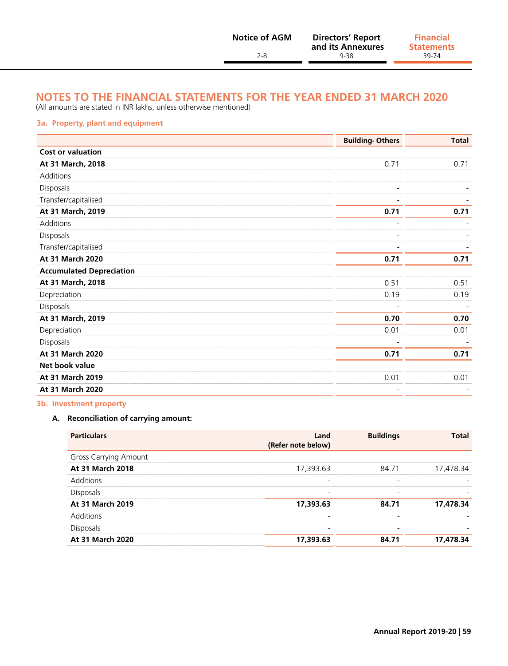| <b>Notice of AGM</b> | <b>Directors' Report</b><br>and its Annexures | <b>Financial</b><br><b>Statements</b> |
|----------------------|-----------------------------------------------|---------------------------------------|
| $2 - 8$              | 9-38                                          | 39-74                                 |

(All amounts are stated in INR lakhs, unless otherwise mentioned)

#### **3a. Property, plant and equipment**

|                                 | <b>Building-Others</b> | <b>Total</b> |
|---------------------------------|------------------------|--------------|
| <b>Cost or valuation</b>        |                        |              |
| At 31 March, 2018               | 0.71                   | 0.71         |
| Additions                       |                        |              |
| Disposals                       |                        |              |
| Transfer/capitalised            |                        |              |
| At 31 March, 2019               | 0.71                   | 0.71         |
| Additions                       |                        |              |
| Disposals                       |                        |              |
| Transfer/capitalised            |                        |              |
| At 31 March 2020                | 0.71                   | 0.71         |
| <b>Accumulated Depreciation</b> |                        |              |
| At 31 March, 2018               | 0.51                   | 0.51         |
| Depreciation                    | 0.19                   | 0.19         |
| Disposals                       |                        |              |
| At 31 March, 2019               | 0.70                   | 0.70         |
| Depreciation                    | 0.01                   | 0.01         |
| Disposals                       |                        |              |
| At 31 March 2020                | 0.71                   | 0.71         |
| Net book value                  |                        |              |
| At 31 March 2019                | 0.01                   | 0.01         |
| At 31 March 2020                |                        |              |

#### **3b. Investment property**

#### **A. Reconciliation of carrying amount:**

| <b>Particulars</b>           | Land<br>(Refer note below) | <b>Buildings</b>         | <b>Total</b> |
|------------------------------|----------------------------|--------------------------|--------------|
| <b>Gross Carrying Amount</b> |                            |                          |              |
| At 31 March 2018             | 17,393.63                  | 84.71                    | 17,478.34    |
| Additions                    | $\overline{\phantom{a}}$   |                          |              |
| <b>Disposals</b>             | $\overline{\phantom{a}}$   |                          |              |
| At 31 March 2019             | 17,393.63                  | 84.71                    | 17,478.34    |
| <b>Additions</b>             | $\overline{\phantom{0}}$   | $\overline{\phantom{0}}$ |              |
| <b>Disposals</b>             | $\overline{\phantom{a}}$   | $\overline{\phantom{0}}$ |              |
| At 31 March 2020             | 17,393.63                  | 84.71                    | 17,478.34    |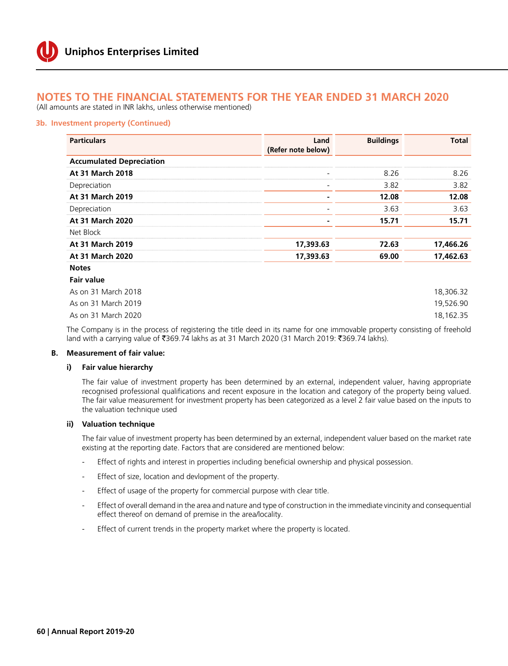(All amounts are stated in INR lakhs, unless otherwise mentioned)

#### **3b. Investment property (Continued)**

| <b>Particulars</b>              | Land<br>(Refer note below) | <b>Buildings</b> | <b>Total</b> |
|---------------------------------|----------------------------|------------------|--------------|
| <b>Accumulated Depreciation</b> |                            |                  |              |
| At 31 March 2018                |                            | 8.26             | 8.26         |
| Depreciation                    | $\overline{\phantom{0}}$   | 3.82             | 3.82         |
| <b>At 31 March 2019</b>         |                            | 12.08            | 12.08        |
| Depreciation                    |                            | 3.63             | 3.63         |
| At 31 March 2020                |                            | 15.71            | 15.71        |
| Net Block                       |                            |                  |              |
| At 31 March 2019                | 17,393.63                  | 72.63            | 17,466.26    |
| At 31 March 2020                | 17,393.63                  | 69.00            | 17,462.63    |
| <b>Notes</b>                    |                            |                  |              |
| <b>Fair value</b>               |                            |                  |              |

| As on 31 March 2018 | 18,306.32 |
|---------------------|-----------|
| As on 31 March 2019 | 19.526.90 |
| As on 31 March 2020 | 18.162.35 |

 The Company is in the process of registering the title deed in its name for one immovable property consisting of freehold land with a carrying value of ₹369.74 lakhs as at 31 March 2020 (31 March 2019: ₹369.74 lakhs).

#### **B. Measurement of fair value:**

#### **i) Fair value hierarchy**

 The fair value of investment property has been determined by an external, independent valuer, having appropriate recognised professional qualifications and recent exposure in the location and category of the property being valued. The fair value measurement for investment property has been categorized as a level 2 fair value based on the inputs to the valuation technique used

#### **ii) Valuation technique**

 The fair value of investment property has been determined by an external, independent valuer based on the market rate existing at the reporting date. Factors that are considered are mentioned below:

- Effect of rights and interest in properties including beneficial ownership and physical possession.
- Effect of size, location and devlopment of the property.
- Effect of usage of the property for commercial purpose with clear title.
- Effect of overall demand in the area and nature and type of construction in the immediate vincinity and consequential effect thereof on demand of premise in the area/locality.
- Effect of current trends in the property market where the property is located.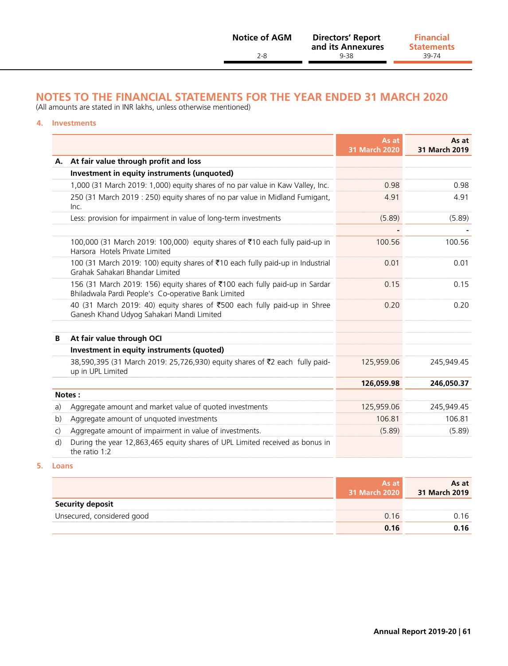(All amounts are stated in INR lakhs, unless otherwise mentioned)

#### **4. Investments**

|              |                                                                                                                                    | As at<br>31 March 2020 | As at<br>31 March 2019 |
|--------------|------------------------------------------------------------------------------------------------------------------------------------|------------------------|------------------------|
| А.           | At fair value through profit and loss                                                                                              |                        |                        |
|              | Investment in equity instruments (unquoted)                                                                                        |                        |                        |
|              | 1,000 (31 March 2019: 1,000) equity shares of no par value in Kaw Valley, Inc.                                                     | 0.98                   | 0.98                   |
|              | 250 (31 March 2019 : 250) equity shares of no par value in Midland Fumigant,<br>Inc.                                               | 4.91                   | 4.91                   |
|              | Less: provision for impairment in value of long-term investments                                                                   | (5.89)                 | (5.89)                 |
|              |                                                                                                                                    |                        |                        |
|              | 100,000 (31 March 2019: 100,000) equity shares of ₹10 each fully paid-up in<br>Harsora Hotels Private Limited                      | 100.56                 | 100.56                 |
|              | 100 (31 March 2019: 100) equity shares of ₹10 each fully paid-up in Industrial<br>Grahak Sahakari Bhandar Limited                  | 0.01                   | 0.01                   |
|              | 156 (31 March 2019: 156) equity shares of ₹100 each fully paid-up in Sardar<br>Bhiladwala Pardi People's Co-operative Bank Limited | 0.15                   | 0.15                   |
|              | 40 (31 March 2019: 40) equity shares of ₹500 each fully paid-up in Shree<br>Ganesh Khand Udyog Sahakari Mandi Limited              | 0.20                   | 0.20                   |
|              |                                                                                                                                    |                        |                        |
| B            | At fair value through OCI                                                                                                          |                        |                        |
|              | Investment in equity instruments (quoted)                                                                                          |                        |                        |
|              | 38,590,395 (31 March 2019: 25,726,930) equity shares of ₹2 each fully paid-<br>up in UPL Limited                                   | 125,959.06             | 245,949.45             |
|              |                                                                                                                                    | 126,059.98             | 246,050.37             |
|              | Notes:                                                                                                                             |                        |                        |
| a)           | Aggregate amount and market value of quoted investments                                                                            | 125,959.06             | 245,949.45             |
| b)           | Aggregate amount of unquoted investments                                                                                           | 106.81                 | 106.81                 |
| $\mathsf{C}$ | Aggregate amount of impairment in value of investments.                                                                            | (5.89)                 | (5.89)                 |
| $\mathsf{d}$ | During the year 12,863,465 equity shares of UPL Limited received as bonus in<br>the ratio $1:2$                                    |                        |                        |

#### **5. Loans**

|                            | As at<br>31 March 2020 | As at<br>31 March 2019 |
|----------------------------|------------------------|------------------------|
| <b>Security deposit</b>    |                        |                        |
| Unsecured, considered good | 0.16                   | Ი 16                   |
|                            | 0.16                   | 0.16                   |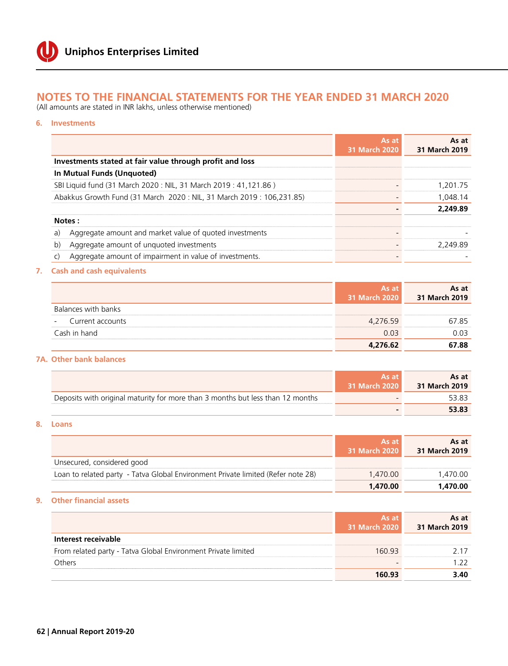(All amounts are stated in INR lakhs, unless otherwise mentioned)

#### **6. Investments**

|                                                                       | As at<br><b>31 March 2020</b> | As at<br>31 March 2019 |
|-----------------------------------------------------------------------|-------------------------------|------------------------|
| Investments stated at fair value through profit and loss              |                               |                        |
| In Mutual Funds (Unquoted)                                            |                               |                        |
| SBI Liquid fund (31 March 2020: NIL, 31 March 2019: 41,121.86)        |                               | 1.201.75               |
| Abakkus Growth Fund (31 March 2020 : NIL, 31 March 2019 : 106,231.85) |                               | 1,048.14               |
|                                                                       |                               | 2,249.89               |
| Notes:                                                                |                               |                        |
| Aggregate amount and market value of quoted investments<br>a)         |                               |                        |
| Aggregate amount of unquoted investments<br>$\mathsf{b}$              |                               | 2,249.89               |
| Aggregate amount of impairment in value of investments.<br>C)         |                               |                        |

#### **7. Cash and cash equivalents**

|                                              | As at<br>31 March 2020 | As at<br>31 March 2019 |
|----------------------------------------------|------------------------|------------------------|
| Balances with banks                          |                        |                        |
| Current accounts<br>$\overline{\phantom{a}}$ | 4,276.59               | 67.85                  |
| Cash in hand                                 | 0.03                   | 0.03                   |
|                                              | 4,276.62               | 67.88                  |

#### **7A. Other bank balances**

|                                                                                | As at<br>31 March 2020 | As at<br>31 March 2019 |
|--------------------------------------------------------------------------------|------------------------|------------------------|
| Deposits with original maturity for more than 3 months but less than 12 months |                        |                        |
|                                                                                |                        | 53.83                  |

#### **8. Loans**

|                                                                                  | As at<br>31 March 2020 | As at<br>31 March 2019 |
|----------------------------------------------------------------------------------|------------------------|------------------------|
| Unsecured, considered good                                                       |                        |                        |
| Loan to related party - Tatva Global Environment Private limited (Refer note 28) | 1.470.00               | 1.470.00               |
|                                                                                  | 1,470.00               | 1,470.00               |

#### **9. Other financial assets**

|                                                               | As at<br>31 March 2020 | As at<br>31 March 2019 |
|---------------------------------------------------------------|------------------------|------------------------|
| Interest receivable                                           |                        |                        |
| From related party - Tatva Global Environment Private limited | 160.93                 | 2 17                   |
| Others                                                        |                        | 1 22                   |
|                                                               | 160.93                 | 3.40                   |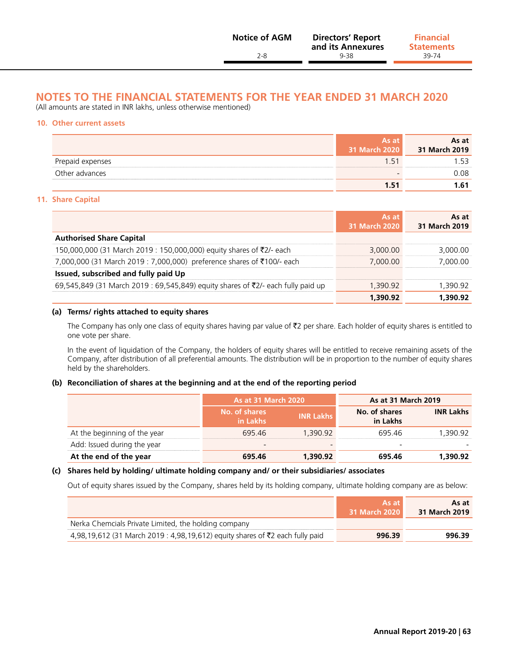(All amounts are stated in INR lakhs, unless otherwise mentioned)

#### **10. Other current assets**

|                  | As at<br>31 March 2020 | As at<br>31 March 2019 |
|------------------|------------------------|------------------------|
| Prepaid expenses | $1.5^{\circ}$          | 153                    |
| Other advances   |                        | 0.08                   |
|                  | 1 51                   | 1.61                   |

#### **11. Share Capital**

|                                                                                  | As at<br><b>31 March 2020</b> | As at<br>31 March 2019 |
|----------------------------------------------------------------------------------|-------------------------------|------------------------|
| <b>Authorised Share Capital</b>                                                  |                               |                        |
| 150,000,000 (31 March 2019 : 150,000,000) equity shares of ₹2/- each             | 3,000.00                      | 3,000.00               |
| 7,000,000 (31 March 2019 : 7,000,000) preference shares of ₹100/- each           | 7.000.00                      | 7.000.00               |
| Issued, subscribed and fully paid Up                                             |                               |                        |
| 69,545,849 (31 March 2019 : 69,545,849) equity shares of ₹2/- each fully paid up | 1.390.92                      | 1.390.92               |
|                                                                                  | 1,390.92                      | 1,390.92               |

#### **(a) Terms/ rights attached to equity shares**

The Company has only one class of equity shares having par value of  $\bar{z}$  per share. Each holder of equity shares is entitled to one vote per share.

 In the event of liquidation of the Company, the holders of equity shares will be entitled to receive remaining assets of the Company, after distribution of all preferential amounts. The distribution will be in proportion to the number of equity shares held by the shareholders.

#### **(b) Reconciliation of shares at the beginning and at the end of the reporting period**

|                              | As at 31 March 2020       |                  | As at 31 March 2019       |                  |
|------------------------------|---------------------------|------------------|---------------------------|------------------|
|                              | No. of shares<br>in Lakhs | <b>INR Lakhs</b> | No. of shares<br>in Lakhs | <b>INR Lakhs</b> |
| At the beginning of the year | 695.46                    | 1,390.92         | 695.46                    | 1,390.92         |
| Add: Issued during the year  |                           |                  |                           |                  |
| At the end of the year       | 695.46                    | 1,390.92         | 695.46                    | 1,390.92         |

#### **(c) Shares held by holding/ ultimate holding company and/ or their subsidiaries/ associates**

Out of equity shares issued by the Company, shares held by its holding company, ultimate holding company are as below:

|                                                                                      | As at<br>31 March 2020 | As at<br>31 March 2019 |
|--------------------------------------------------------------------------------------|------------------------|------------------------|
| Nerka Chemcials Private Limited, the holding company                                 |                        |                        |
| 4,98,19,612 (31 March 2019 : 4,98,19,612) equity shares of $\bar{z}$ each fully paid | 996.39                 | 996.39                 |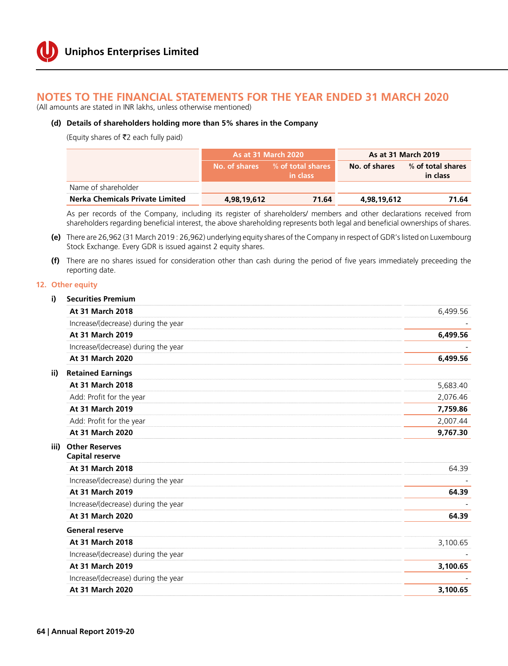(All amounts are stated in INR lakhs, unless otherwise mentioned)

#### **(d) Details of shareholders holding more than 5% shares in the Company**

(Equity shares of `2 each fully paid)

|                                        | <b>As at 31 March 2020</b> |                               |               | <b>As at 31 March 2019</b>    |
|----------------------------------------|----------------------------|-------------------------------|---------------|-------------------------------|
|                                        | Mo. of shares <b>b</b>     | % of total shares<br>in class | No. of shares | % of total shares<br>in class |
| Name of shareholder                    |                            |                               |               |                               |
| <b>Nerka Chemicals Private Limited</b> | 4,98,19,612                | 71.64                         | 4,98,19,612   | 71.64                         |

 As per records of the Company, including its register of shareholders/ members and other declarations received from shareholders regarding beneficial interest, the above shareholding represents both legal and beneficial ownerships of shares.

- **(e)** There are 26,962 (31 March 2019 : 26,962) underlying equity shares of the Company in respect of GDR's listed on Luxembourg Stock Exchange. Every GDR is issued against 2 equity shares.
- **(f)** There are no shares issued for consideration other than cash during the period of five years immediately preceeding the reporting date.

#### **12. O**

|      | 12. Other equity                                |          |
|------|-------------------------------------------------|----------|
| i)   | <b>Securities Premium</b>                       |          |
|      | <b>At 31 March 2018</b>                         | 6,499.56 |
|      | Increase/(decrease) during the year             |          |
|      | At 31 March 2019                                | 6,499.56 |
|      | Increase/(decrease) during the year             |          |
|      | At 31 March 2020                                | 6,499.56 |
| ii)  | <b>Retained Earnings</b>                        |          |
|      | At 31 March 2018                                | 5,683.40 |
|      | Add: Profit for the year                        | 2,076.46 |
|      | At 31 March 2019                                | 7,759.86 |
|      | Add: Profit for the year                        | 2,007.44 |
|      | At 31 March 2020                                | 9,767.30 |
| iii) | <b>Other Reserves</b><br><b>Capital reserve</b> |          |
|      | At 31 March 2018                                | 64.39    |
|      | Increase/(decrease) during the year             |          |
|      | At 31 March 2019                                | 64.39    |
|      | Increase/(decrease) during the year             |          |
|      | At 31 March 2020                                | 64.39    |
|      | <b>General reserve</b>                          |          |
|      | At 31 March 2018                                | 3,100.65 |
|      | Increase/(decrease) during the year             |          |
|      | At 31 March 2019                                | 3,100.65 |
|      | Increase/(decrease) during the year             |          |
|      | At 31 March 2020                                | 3,100.65 |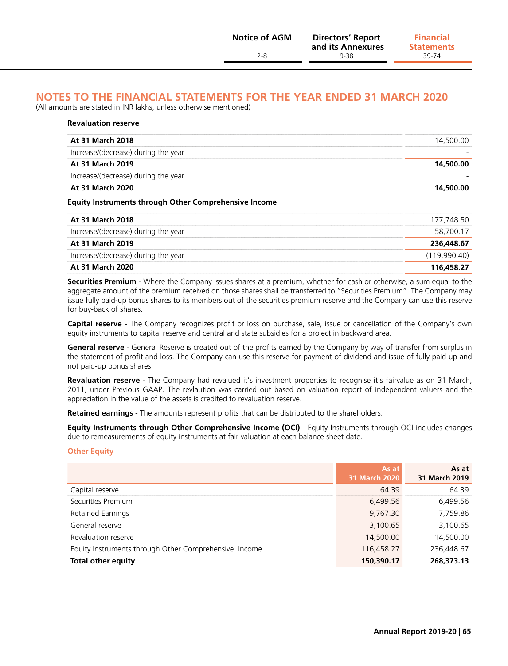(All amounts are stated in INR lakhs, unless otherwise mentioned)

| At 31 March 2018                    | 14,500.00 |
|-------------------------------------|-----------|
| Increase/(decrease) during the year |           |
| At 31 March 2019                    | 14,500.00 |
| Increase/(decrease) during the year |           |
| At 31 March 2020                    | 14,500.00 |

#### **Equity Instruments through Other Comprehensive Income**

| At 31 March 2018                    | 177.748.50   |
|-------------------------------------|--------------|
| Increase/(decrease) during the year | 58,700.17    |
| At 31 March 2019                    | 236,448.67   |
| Increase/(decrease) during the year | (119.990.40) |
| At 31 March 2020                    | 116,458.27   |

 **Securities Premium** - Where the Company issues shares at a premium, whether for cash or otherwise, a sum equal to the aggregate amount of the premium received on those shares shall be transferred to "Securities Premium". The Company may issue fully paid-up bonus shares to its members out of the securities premium reserve and the Company can use this reserve for buy-back of shares.

 **Capital reserve** - The Company recognizes profit or loss on purchase, sale, issue or cancellation of the Company's own equity instruments to capital reserve and central and state subsidies for a project in backward area.

 **General reserve** - General Reserve is created out of the profits earned by the Company by way of transfer from surplus in the statement of profit and loss. The Company can use this reserve for payment of dividend and issue of fully paid-up and not paid-up bonus shares.

 **Revaluation reserve** - The Company had revalued it's investment properties to recognise it's fairvalue as on 31 March, 2011, under Previous GAAP. The revlaution was carried out based on valuation report of independent valuers and the appreciation in the value of the assets is credited to revaluation reserve.

**Retained earnings** - The amounts represent profits that can be distributed to the shareholders.

 **Equity Instruments through Other Comprehensive Income (OCI)** - Equity Instruments through OCI includes changes due to remeasurements of equity instruments at fair valuation at each balance sheet date.

#### **Other Equity**

|                                                       | As at<br><b>31 March 2020</b> | As at<br>31 March 2019 |
|-------------------------------------------------------|-------------------------------|------------------------|
| Capital reserve                                       | 64.39                         | 64.39                  |
| Securities Premium                                    | 6,499.56                      | 6,499.56               |
| Retained Earnings                                     | 9.767.30                      | 7.759.86               |
| General reserve                                       | 3,100.65                      | 3,100.65               |
| Revaluation reserve                                   | 14,500.00                     | 14,500.00              |
| Equity Instruments through Other Comprehensive Income | 116.458.27                    | 236.448.67             |
| <b>Total other equity</b>                             | 150,390.17                    | 268,373.13             |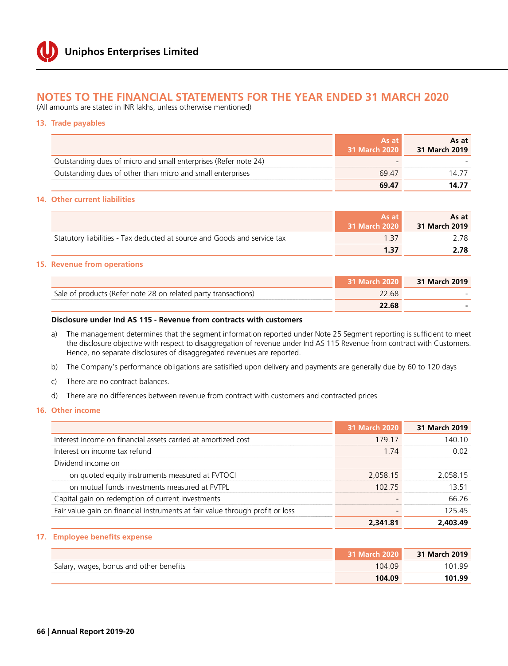(All amounts are stated in INR lakhs, unless otherwise mentioned)

**13. Trade payables**

|                                                                 | As at<br>31 March 2020 | As at<br>31 March 2019 |
|-----------------------------------------------------------------|------------------------|------------------------|
| Outstanding dues of micro and small enterprises (Refer note 24) |                        |                        |
| Outstanding dues of other than micro and small enterprises      | 69.47                  | 14 77                  |
|                                                                 | 69.47                  | 14.77                  |

#### **14. Other current liabilities**

|                                                                          | As at<br>31 March 2020 | As at<br>31 March 2019 |
|--------------------------------------------------------------------------|------------------------|------------------------|
| Statutory liabilities - Tax deducted at source and Goods and service tax |                        | 2 78.                  |
|                                                                          |                        |                        |

#### **15. Revenue from operations**

|                                                                | <b>31 March 2020</b> | 31 March 2019 |
|----------------------------------------------------------------|----------------------|---------------|
| Sale of products (Refer note 28 on related party transactions) | 22.68                |               |
|                                                                | 22.68                |               |

#### **Disclosure under Ind AS 115 - Revenue from contracts with customers**

- a) The management determines that the segment information reported under Note 25 Segment reporting is sufficient to meet the disclosure objective with respect to disaggregation of revenue under Ind AS 115 Revenue from contract with Customers. Hence, no separate disclosures of disaggregated revenues are reported.
- b) The Company's performance obligations are satisified upon delivery and payments are generally due by 60 to 120 days
- c) There are no contract balances.
- d) There are no differences between revenue from contract with customers and contracted prices

#### **16. Other income**

|                                                                               | <b>31 March 2020</b> | 31 March 2019 |
|-------------------------------------------------------------------------------|----------------------|---------------|
| Interest income on financial assets carried at amortized cost                 | 179.17               | 140.10        |
| Interest on income tax refund                                                 | 1 74                 | 0.02          |
| Dividend income on                                                            |                      |               |
| on quoted equity instruments measured at FVTOCI                               | 2,058.15             | 2,058.15      |
| on mutual funds investments measured at FVTPL                                 | 102 75               | 13.51         |
| Capital gain on redemption of current investments                             |                      | 66.26         |
| Fair value gain on financial instruments at fair value through profit or loss |                      | 125.45        |
|                                                                               | 2,341.81             | 2.403.49      |

#### **17. Employee benefits expense**

|                                         | 31 March 2020 | 31 March 2019 |
|-----------------------------------------|---------------|---------------|
| Salary, wages, bonus and other benefits | 104.09        | 101 99        |
|                                         | 104.09        | 101.99        |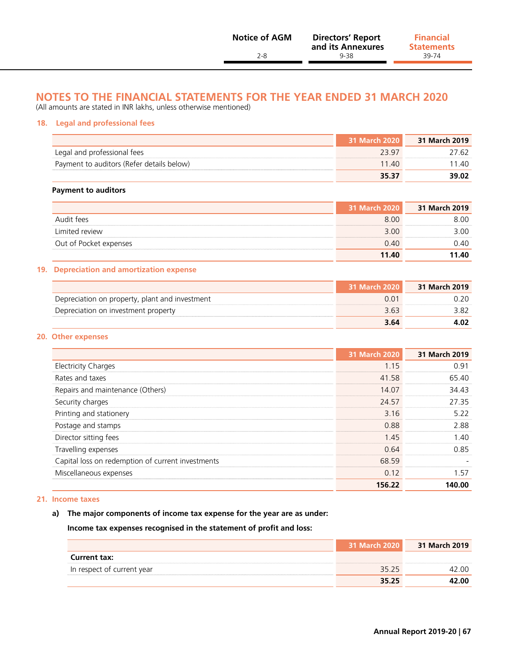(All amounts are stated in INR lakhs, unless otherwise mentioned)

#### **18. Legal and professional fees**

|                                           | 31 March 2020 | 31 March 2019 |
|-------------------------------------------|---------------|---------------|
| Legal and professional fees               | 23.97         | 27.62         |
| Payment to auditors (Refer details below) | 11.40         | 11 40         |
|                                           | 35.37         | 39.02         |

#### **Payment to auditors**

|                        | 31 March 2020 | 31 March 2019 |
|------------------------|---------------|---------------|
| Audit fees             | 8.00          | 8.00          |
| Limited review         | 3.00          | 3.00          |
| Out of Pocket expenses | 0.40          | 0.40          |
|                        | 11.40         | 11.40         |

#### **19. Depreciation and amortization expense**

|                                                | 31 March 2020 | 31 March 2019 |
|------------------------------------------------|---------------|---------------|
| Depreciation on property, plant and investment | ი ი1          | າ 20          |
| Depreciation on investment property            | 3.63          |               |
|                                                | 3.64          |               |

#### **20. Other expenses**

|                                                   | <b>31 March 2020</b> | 31 March 2019 |
|---------------------------------------------------|----------------------|---------------|
| <b>Electricity Charges</b>                        | 1.15                 | 0.91          |
| Rates and taxes                                   | 41.58                | 65.40         |
| Repairs and maintenance (Others)                  | 14.07                | 34.43         |
| Security charges                                  | 24.57                | 27.35         |
| Printing and stationery                           | 3.16                 | 5.22          |
| Postage and stamps                                | 0.88                 | 2.88          |
| Director sitting fees                             | 1.45                 | 1.40          |
| Travelling expenses                               | 0.64                 | 0.85          |
| Capital loss on redemption of current investments | 68.59                |               |
| Miscellaneous expenses                            | 0.12                 | 1.57          |
|                                                   | 156.22               | 140.00        |

#### **21. Income taxes**

#### **a) The major components of income tax expense for the year are as under:**

 **Income tax expenses recognised in the statement of profit and loss:**

|                            | 31 March 2020 | 31 March 2019 |
|----------------------------|---------------|---------------|
| <b>Current tax:</b>        |               |               |
| In respect of current year | 35.25         | 2 OO          |
|                            | 35.25         | 42.00         |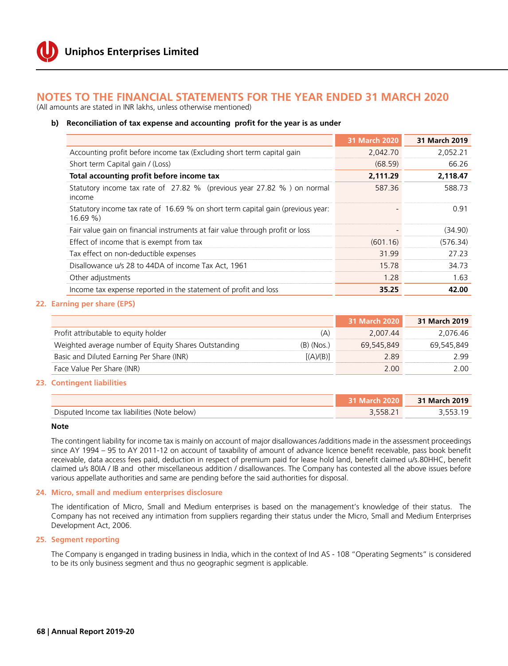(All amounts are stated in INR lakhs, unless otherwise mentioned)

#### **b) Reconciliation of tax expense and accounting profit for the year is as under**

|                                                                                           | <b>31 March 2020</b> | 31 March 2019 |
|-------------------------------------------------------------------------------------------|----------------------|---------------|
| Accounting profit before income tax (Excluding short term capital gain                    | 2,042.70             | 2,052.21      |
| Short term Capital gain / (Loss)                                                          | (68.59)              | 66.26         |
| Total accounting profit before income tax                                                 | 2,111.29             | 2,118.47      |
| Statutory income tax rate of 27.82 % (previous year 27.82 %) on normal<br>income          | 587.36               | 588.73        |
| Statutory income tax rate of 16.69 % on short term capital gain (previous year:<br>16.69% |                      | 0.91          |
| Fair value gain on financial instruments at fair value through profit or loss             |                      | (34.90)       |
| Effect of income that is exempt from tax                                                  | (601.16)             | (576.34)      |
| Tax effect on non-deductible expenses                                                     | 31.99                | 27.23         |
| Disallowance u/s 28 to 44DA of income Tax Act, 1961                                       | 15.78                | 34.73         |
| Other adjustments                                                                         | 1.28                 | 1.63          |
| Income tax expense reported in the statement of profit and loss                           | 35.25                | 42.00         |

#### **22. Earning per share (EPS)**

|                                                      |              | 31 March 2020 | 31 March 2019 |
|------------------------------------------------------|--------------|---------------|---------------|
| Profit attributable to equity holder                 | (A)          | 2.007.44      | 2.076.46      |
| Weighted average number of Equity Shares Outstanding | $(B)$ (Nos.) | 69.545.849    | 69.545.849    |
| Basic and Diluted Earning Per Share (INR)            | [(A)/(B)]    | 289           | 2.99          |
| Face Value Per Share (INR)                           |              | 2.00          | 2.00          |

#### **23. Contingent liabilities**

|                                              | 31 March 2020 I | 31 March 2019 |
|----------------------------------------------|-----------------|---------------|
| Disputed Income tax liabilities (Note below) | 558.2           |               |

#### **Note**

The contingent liability for income tax is mainly on account of major disallowances /additions made in the assessment proceedings since AY 1994 – 95 to AY 2011-12 on account of taxability of amount of advance licence benefit receivable, pass book benefit receivable, data access fees paid, deduction in respect of premium paid for lease hold land, benefit claimed u/s.80HHC, benefit claimed u/s 80IA / IB and other miscellaneous addition / disallowances. The Company has contested all the above issues before various appellate authorities and same are pending before the said authorities for disposal.

#### **24. Micro, small and medium enterprises disclosure**

The identification of Micro, Small and Medium enterprises is based on the management's knowledge of their status. The Company has not received any intimation from suppliers regarding their status under the Micro, Small and Medium Enterprises Development Act, 2006.

#### **25. Segment reporting**

The Company is enganged in trading business in India, which in the context of Ind AS - 108 "Operating Segments" is considered to be its only business segment and thus no geographic segment is applicable.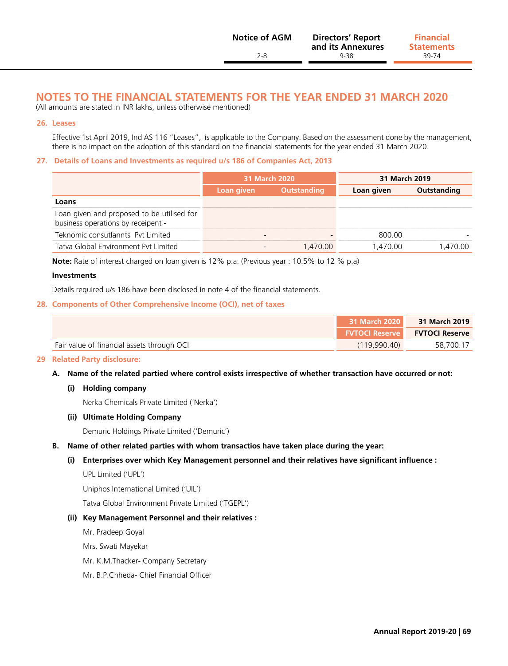| <b>Notice of AGM</b> | <b>Directors' Report</b><br>and its Annexures | <b>Financial</b><br><b>Statements</b> |
|----------------------|-----------------------------------------------|---------------------------------------|
| 2-8                  | 9-38                                          | 39-74                                 |
|                      |                                               |                                       |

(All amounts are stated in INR lakhs, unless otherwise mentioned)

#### **26. Leases**

Effective 1st April 2019, Ind AS 116 "Leases", is applicable to the Company. Based on the assessment done by the management, there is no impact on the adoption of this standard on the financial statements for the year ended 31 March 2020.

#### **27. Details of Loans and Investments as required u/s 186 of Companies Act, 2013**

|                                                                                  | 31 March 2020 |                    | 31 March 2019 |             |
|----------------------------------------------------------------------------------|---------------|--------------------|---------------|-------------|
|                                                                                  | Loan given    | <b>Outstanding</b> | Loan given    | Outstanding |
| Loans                                                                            |               |                    |               |             |
| Loan given and proposed to be utilised for<br>business operations by receipent - |               |                    |               |             |
| Teknomic consutlannts Pyt Limited                                                |               |                    | 800.00        |             |
| Tatva Global Environment Pvt Limited                                             |               | 1.470.00           | 1.470.00      | 1.470.00    |

**Note:** Rate of interest charged on loan given is 12% p.a. (Previous year : 10.5% to 12 % p.a)

#### **Investments**

Details required u/s 186 have been disclosed in note 4 of the financial statements.

#### **28. Components of Other Comprehensive Income (OCI), net of taxes**

|                                            | 31 March 2020         | 31 March 2019         |
|--------------------------------------------|-----------------------|-----------------------|
|                                            | <b>FVTOCI Reserve</b> | <b>FVTOCI Reserve</b> |
| Fair value of financial assets through OCI | (119.990.40)          | 58,700.17             |

#### **29 Related Party disclosure:**

**A. Name of the related partied where control exists irrespective of whether transaction have occurred or not:**

#### **(i) Holding company**

Nerka Chemicals Private Limited ('Nerka')

#### **(ii) Ultimate Holding Company**

Demuric Holdings Private Limited ('Demuric')

**B. Name of other related parties with whom transactios have taken place during the year:**

#### **(i) Enterprises over which Key Management personnel and their relatives have significant influence :**

UPL Limited ('UPL')

Uniphos International Limited ('UIL')

Tatva Global Environment Private Limited ('TGEPL')

#### **(ii) Key Management Personnel and their relatives :**

Mr. Pradeep Goyal

Mrs. Swati Mayekar

- Mr. K.M.Thacker- Company Secretary
- Mr. B.P.Chheda- Chief Financial Officer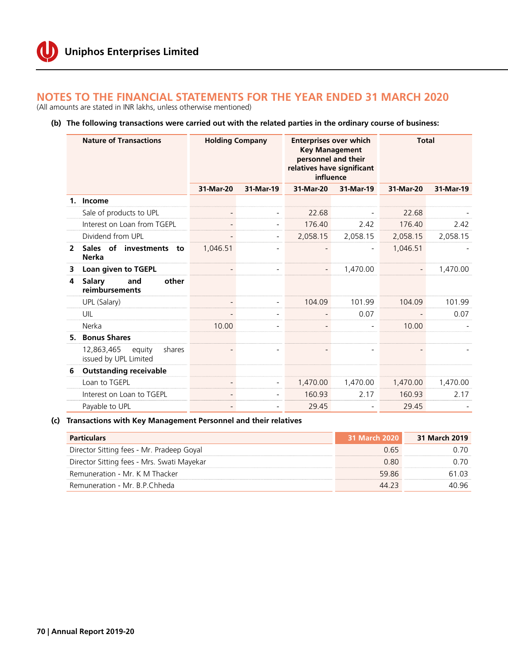#### **Notes to the financial statements for the year ended 31 March 2020** (All amounts are stated in INR lakhs, unless otherwise mentioned)

### **(b) The following transactions were carried out with the related parties in the ordinary course of business:**

|                | <b>Nature of Transactions</b>                           | <b>Holding Company</b>   |           | <b>Enterprises over which</b><br><b>Key Management</b><br>personnel and their<br>relatives have significant<br>influence |           | <b>Total</b> |           |
|----------------|---------------------------------------------------------|--------------------------|-----------|--------------------------------------------------------------------------------------------------------------------------|-----------|--------------|-----------|
|                |                                                         | 31-Mar-20                | 31-Mar-19 | 31-Mar-20                                                                                                                | 31-Mar-19 | 31-Mar-20    | 31-Mar-19 |
| $\mathbf{1}$   | Income                                                  |                          |           |                                                                                                                          |           |              |           |
|                | Sale of products to UPL                                 |                          |           | 22.68                                                                                                                    |           | 22.68        |           |
|                | Interest on Loan from TGEPL                             |                          |           | 176.40                                                                                                                   | 2.42      | 176.40       | 2.42      |
|                | Dividend from UPL                                       |                          |           | 2,058.15                                                                                                                 | 2,058.15  | 2,058.15     | 2,058.15  |
| $\overline{2}$ | Sales of investments to<br><b>Nerka</b>                 | 1.046.51                 |           |                                                                                                                          |           | 1,046.51     |           |
| 3              | Loan given to TGEPL                                     |                          |           |                                                                                                                          | 1,470.00  |              | 1,470.00  |
| 4              | and<br>other<br>Salary<br>reimbursements                |                          |           |                                                                                                                          |           |              |           |
|                | UPL (Salary)                                            | $\overline{\phantom{a}}$ |           | 104.09                                                                                                                   | 101.99    | 104.09       | 101.99    |
|                | UIL                                                     | $\overline{\phantom{a}}$ |           |                                                                                                                          | 0.07      |              | 0.07      |
|                | Nerka                                                   | 10.00                    |           |                                                                                                                          |           | 10.00        |           |
|                | 5. Bonus Shares                                         |                          |           |                                                                                                                          |           |              |           |
|                | 12,863,465<br>shares<br>equity<br>issued by UPL Limited |                          |           |                                                                                                                          |           |              |           |
| 6              | <b>Outstanding receivable</b>                           |                          |           |                                                                                                                          |           |              |           |
|                | Loan to TGEPL                                           |                          |           | 1,470.00                                                                                                                 | 1,470.00  | 1,470.00     | 1,470.00  |
|                | Interest on Loan to TGEPL                               |                          |           | 160.93                                                                                                                   | 2.17      | 160.93       | 2.17      |
|                | Payable to UPL                                          |                          |           | 29.45                                                                                                                    |           | 29.45        |           |

**(c) Transactions with Key Management Personnel and their relatives**

| <b>Particulars</b>                         | 31 March 2020 | 31 March 2019 |
|--------------------------------------------|---------------|---------------|
| Director Sitting fees - Mr. Pradeep Goyal  | 0.65          | <u>በ 7በ</u>   |
| Director Sitting fees - Mrs. Swati Mayekar | 0.80          | 0. ZO         |
| Remuneration - Mr. K M Thacker             | 5986          | 61.03         |
| Remuneration - Mr. B.P.Chheda              | 44.23         | 40.96         |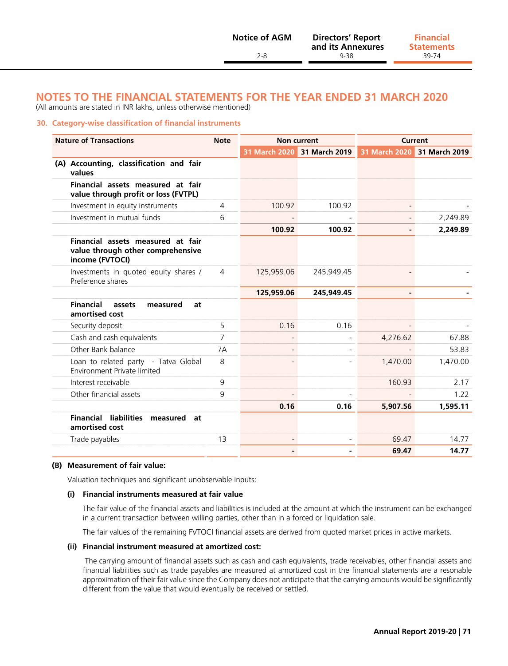#### **Notes to the financial statements for the year ended 31 March 2020** (All amounts are stated in INR lakhs, unless otherwise mentioned)

#### **30. Category-wise classification of financial instruments**

| <b>Nature of Transactions</b>                                                             | <b>Note</b>    | <b>Non current</b> |                             | <b>Current</b> |                             |
|-------------------------------------------------------------------------------------------|----------------|--------------------|-----------------------------|----------------|-----------------------------|
|                                                                                           |                |                    | 31 March 2020 31 March 2019 |                | 31 March 2020 31 March 2019 |
| (A) Accounting, classification and fair<br>values                                         |                |                    |                             |                |                             |
| Financial assets measured at fair<br>value through profit or loss (FVTPL)                 |                |                    |                             |                |                             |
| Investment in equity instruments                                                          | $\overline{4}$ | 100.92             | 100.92                      |                |                             |
| Investment in mutual funds                                                                | 6              |                    |                             |                | 2,249.89                    |
|                                                                                           |                | 100.92             | 100.92                      |                | 2,249.89                    |
| Financial assets measured at fair<br>value through other comprehensive<br>income (FVTOCI) |                |                    |                             |                |                             |
| Investments in quoted equity shares /<br>Preference shares                                | $\overline{4}$ | 125,959.06         | 245,949.45                  |                |                             |
|                                                                                           |                | 125,959.06         | 245,949.45                  |                |                             |
| <b>Financial</b><br>assets<br>measured<br>at<br>amortised cost                            |                |                    |                             |                |                             |
| Security deposit                                                                          | 5              | 0.16               | 0.16                        |                |                             |
| Cash and cash equivalents                                                                 | $\overline{7}$ |                    |                             | 4,276.62       | 67.88                       |
| Other Bank balance                                                                        | 7A             |                    |                             |                | 53.83                       |
| Loan to related party - Tatva Global<br>Environment Private limited                       | 8              |                    |                             | 1,470.00       | 1,470.00                    |
| Interest receivable                                                                       | 9              |                    |                             | 160.93         | 2.17                        |
| Other financial assets                                                                    | 9              |                    |                             |                | 1.22                        |
|                                                                                           |                | 0.16               | 0.16                        | 5,907.56       | 1,595.11                    |
| <b>Financial</b><br>liabilities<br>measured<br>at<br>amortised cost                       |                |                    |                             |                |                             |
| Trade payables                                                                            | 13             |                    |                             | 69.47          | 14.77                       |
|                                                                                           |                |                    |                             | 69.47          | 14.77                       |

#### **(B) Measurement of fair value:**

Valuation techniques and significant unobservable inputs:

#### **(i) Financial instruments measured at fair value**

 The fair value of the financial assets and liabilities is included at the amount at which the instrument can be exchanged in a current transaction between willing parties, other than in a forced or liquidation sale.

The fair values of the remaining FVTOCI financial assets are derived from quoted market prices in active markets.

#### **(ii) Financial instrument measured at amortized cost:**

 The carrying amount of financial assets such as cash and cash equivalents, trade receivables, other financial assets and financial liabilities such as trade payables are measured at amortized cost in the financial statements are a resonable approximation of their fair value since the Company does not anticipate that the carrying amounts would be significantly different from the value that would eventually be received or settled.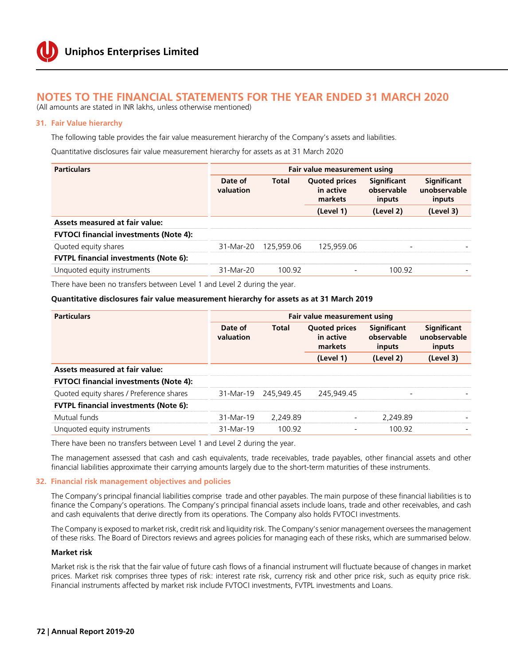# **Notes to the financial statements for the year ended 31 March 2020**

(All amounts are stated in INR lakhs, unless otherwise mentioned)

#### **31. Fair Value hierarchy**

The following table provides the fair value measurement hierarchy of the Company's assets and liabilities.

Quantitative disclosures fair value measurement hierarchy for assets as at 31 March 2020

| <b>Particulars</b>                            | Fair value measurement using |              |                                              |                                            |                                              |  |
|-----------------------------------------------|------------------------------|--------------|----------------------------------------------|--------------------------------------------|----------------------------------------------|--|
|                                               | Date of<br>valuation         | <b>Total</b> | <b>Quoted prices</b><br>in active<br>markets | <b>Significant</b><br>observable<br>inputs | <b>Significant</b><br>unobservable<br>inputs |  |
|                                               |                              |              | (Level 1)                                    | (Level 2)                                  | (Level 3)                                    |  |
| <b>Assets measured at fair value:</b>         |                              |              |                                              |                                            |                                              |  |
| <b>FVTOCI financial investments (Note 4):</b> |                              |              |                                              |                                            |                                              |  |
| Quoted equity shares                          | 31-Mar-20                    | 125.959.06   | 125.959.06                                   |                                            |                                              |  |
| <b>FVTPL financial investments (Note 6):</b>  |                              |              |                                              |                                            |                                              |  |
| Unquoted equity instruments                   | 31-Mar-20                    | 100.92       | $\overline{\phantom{0}}$                     | 100.92                                     |                                              |  |

There have been no transfers between Level 1 and Level 2 during the year.

#### **Quantitative disclosures fair value measurement hierarchy for assets as at 31 March 2019**

| <b>Particulars</b>                            | Fair value measurement using |              |                                              |                                            |                                       |  |
|-----------------------------------------------|------------------------------|--------------|----------------------------------------------|--------------------------------------------|---------------------------------------|--|
|                                               | Date of<br>valuation         | <b>Total</b> | <b>Quoted prices</b><br>in active<br>markets | <b>Significant</b><br>observable<br>inputs | Significant<br>unobservable<br>inputs |  |
|                                               |                              |              | (Level 1)                                    | (Level 2)                                  | (Level 3)                             |  |
| <b>Assets measured at fair value:</b>         |                              |              |                                              |                                            |                                       |  |
| <b>FVTOCI financial investments (Note 4):</b> |                              |              |                                              |                                            |                                       |  |
| Quoted equity shares / Preference shares      | 31-Mar-19                    | 245.949.45   | 245.949.45                                   | -                                          |                                       |  |
| <b>FVTPL financial investments (Note 6):</b>  |                              |              |                                              |                                            |                                       |  |
| Mutual funds                                  | 31-Mar-19                    | 2.249.89     |                                              | 2,249.89                                   |                                       |  |
| Unquoted equity instruments                   | 31-Mar-19                    | 100.92       |                                              | 100.92                                     |                                       |  |

There have been no transfers between Level 1 and Level 2 during the year.

The management assessed that cash and cash equivalents, trade receivables, trade payables, other financial assets and other financial liabilities approximate their carrying amounts largely due to the short-term maturities of these instruments.

#### **32. Financial risk management objectives and policies**

The Company's principal financial liabilities comprise trade and other payables. The main purpose of these financial liabilities is to finance the Company's operations. The Company's principal financial assets include loans, trade and other receivables, and cash and cash equivalents that derive directly from its operations. The Company also holds FVTOCI investments.

The Company is exposed to market risk, credit risk and liquidity risk. The Company's senior management oversees the management of these risks. The Board of Directors reviews and agrees policies for managing each of these risks, which are summarised below.

#### **Market risk**

Market risk is the risk that the fair value of future cash flows of a financial instrument will fluctuate because of changes in market prices. Market risk comprises three types of risk: interest rate risk, currency risk and other price risk, such as equity price risk. Financial instruments affected by market risk include FVTOCI investments, FVTPL investments and Loans.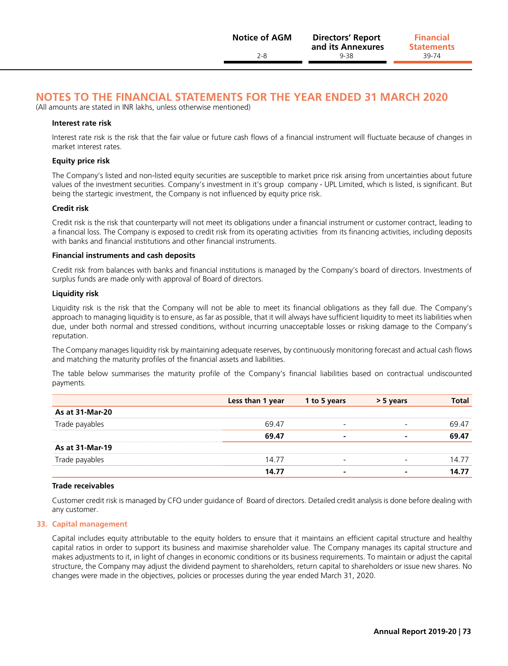**Statements**

# **Notes to the financial statements for the year ended 31 March 2020**

(All amounts are stated in INR lakhs, unless otherwise mentioned)

#### **Interest rate risk**

Interest rate risk is the risk that the fair value or future cash flows of a financial instrument will fluctuate because of changes in market interest rates.

#### **Equity price risk**

The Company's listed and non-listed equity securities are susceptible to market price risk arising from uncertainties about future values of the investment securities. Company's investment in it's group company - UPL Limited, which is listed, is significant. But being the startegic investment, the Company is not influenced by equity price risk.

#### **Credit risk**

Credit risk is the risk that counterparty will not meet its obligations under a financial instrument or customer contract, leading to a financial loss. The Company is exposed to credit risk from its operating activities from its financing activities, including deposits with banks and financial institutions and other financial instruments.

#### **Financial instruments and cash deposits**

Credit risk from balances with banks and financial institutions is managed by the Company's board of directors. Investments of surplus funds are made only with approval of Board of directors.

#### **Liquidity risk**

Liquidity risk is the risk that the Company will not be able to meet its financial obligations as they fall due. The Company's approach to managing liquidity is to ensure, as far as possible, that it will always have sufficient liquidity to meet its liabilities when due, under both normal and stressed conditions, without incurring unacceptable losses or risking damage to the Company's reputation.

The Company manages liquidity risk by maintaining adequate reserves, by continuously monitoring forecast and actual cash flows and matching the maturity profiles of the financial assets and liabilities.

The table below summarises the maturity profile of the Company's financial liabilities based on contractual undiscounted payments.

|                 | Less than 1 year | 1 to 5 years             | > 5 years | <b>Total</b> |
|-----------------|------------------|--------------------------|-----------|--------------|
| As at 31-Mar-20 |                  |                          |           |              |
| Trade payables  | 69.47            | $\overline{\phantom{0}}$ |           | 69.47        |
|                 | 69.47            | ۰                        | ۰         | 69.47        |
| As at 31-Mar-19 |                  |                          |           |              |
| Trade payables  | 14.77            |                          |           | 14.77        |
|                 | 14.77            | ۰                        |           | 14.77        |

#### **Trade receivables**

Customer credit risk is managed by CFO under guidance of Board of directors. Detailed credit analysis is done before dealing with any customer.

#### **33. Capital management**

Capital includes equity attributable to the equity holders to ensure that it maintains an efficient capital structure and healthy capital ratios in order to support its business and maximise shareholder value. The Company manages its capital structure and makes adjustments to it, in light of changes in economic conditions or its business requirements. To maintain or adjust the capital structure, the Company may adjust the dividend payment to shareholders, return capital to shareholders or issue new shares. No changes were made in the objectives, policies or processes during the year ended March 31, 2020.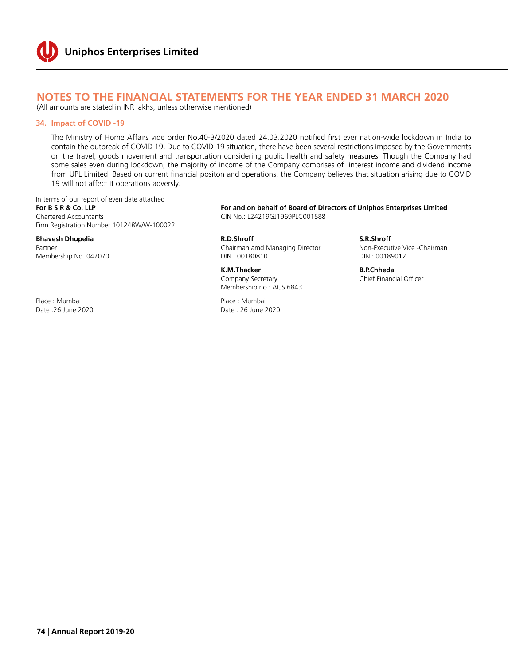## **Notes to the financial statements for the year ended 31 March 2020**

(All amounts are stated in INR lakhs, unless otherwise mentioned)

#### **34. Impact of COVID -19**

The Ministry of Home Affairs vide order No.40-3/2020 dated 24.03.2020 notified first ever nation-wide lockdown in India to contain the outbreak of COVID 19. Due to COVID-19 situation, there have been several restrictions imposed by the Governments on the travel, goods movement and transportation considering public health and safety measures. Though the Company had some sales even during lockdown, the majority of income of the Company comprises of interest income and dividend income from UPL Limited. Based on current financial positon and operations, the Company believes that situation arising due to COVID 19 will not affect it operations adversly.

In terms of our report of even date attached Chartered Accountants CIN No.: L24219GJ1969PLC001588 Firm Registration Number 101248W/W-100022

Place : Mumbai Place : Mumbai

**For B S R & Co. LLP For and on behalf of Board of Directors of Uniphos Enterprises Limited**

**Bhavesh Dhupelia Bhavesh Dhupelia R.D.Shroff R.D.Shroff R.D.Shroff S.R.Shroff S.R.Shroff S.R.Shroff S.R.Shroff S.R.Shroff S.R.Shroff S.R.Shroff S.R.Shroff S.R.Shroff S.R.Shroff S.R.Shroff S** Partner Chairman amd Managing Director Chairman amd Managing Director -Chairman amd Managing Director -Chairman amd Managing Director -Chairman amd Managing Director -Chairman amd Managing Director -Chairman amd Managing D Membership No. 042070 DIN : 00180810 DIN : 00189012

> **K.M.Thacker B.P.Chheda B.P.Chheda B.P.Chheda** *Company Secretary* **B.P.Chief Einancial Officer** Company Secretary Membership no.: ACS 6843

Date :26 June 2020 Date : 26 June 2020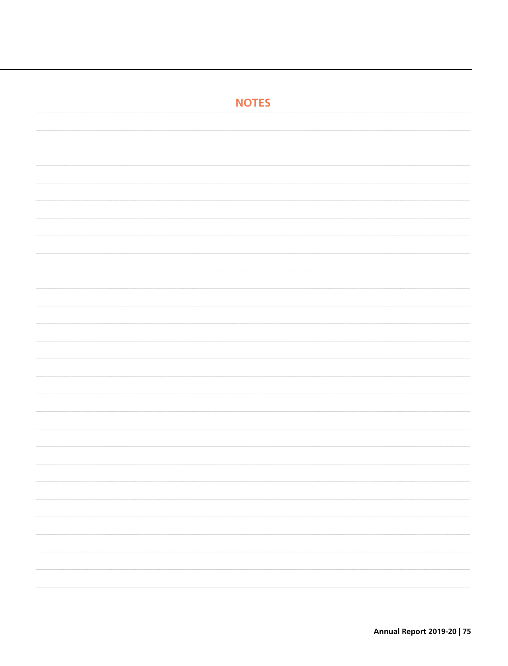| <b>NOTES</b> |
|--------------|
|              |
|              |
|              |
|              |
|              |
|              |
|              |
|              |
|              |
|              |
|              |
|              |
|              |
|              |
|              |
|              |
|              |
|              |
|              |
|              |
|              |
|              |
|              |
|              |
|              |
|              |
|              |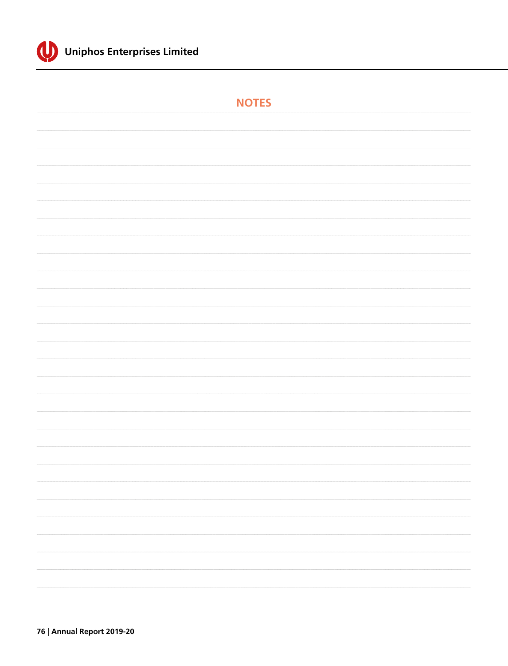

| <b>NOTES</b> |
|--------------|
|              |
|              |
|              |
|              |
|              |
|              |
|              |
|              |
|              |
|              |
|              |
|              |
|              |
|              |
|              |
|              |
|              |
|              |
|              |
|              |
|              |
|              |
| $\cdots$     |
|              |
|              |
|              |
|              |